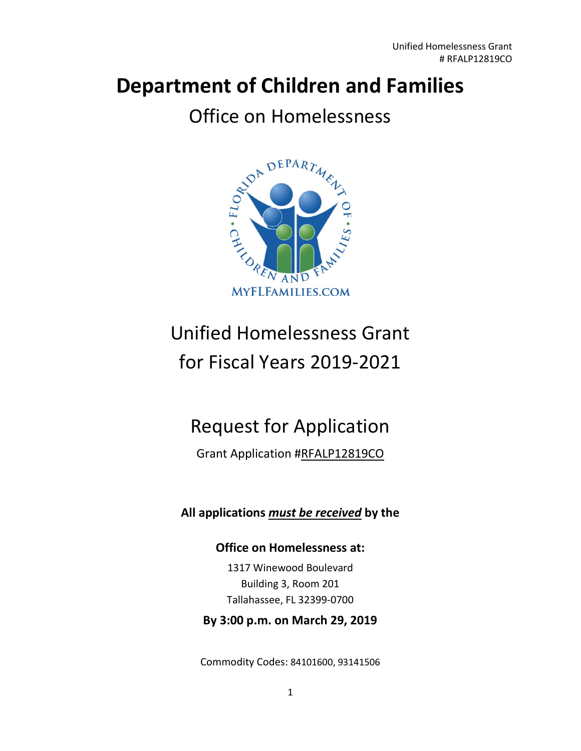# **Department of Children and Families**

## Office on Homelessness



# Unified Homelessness Grant for Fiscal Years 2019-2021

## Request for Application

## Grant Application #RFALP12819CO

## **All applications** *must be received* **by the**

## **Office on Homelessness at:**

1317 Winewood Boulevard Building 3, Room 201 Tallahassee, FL 32399-0700

#### **By 3:00 p.m. on March 29, 2019**

Commodity Codes: 84101600, 93141506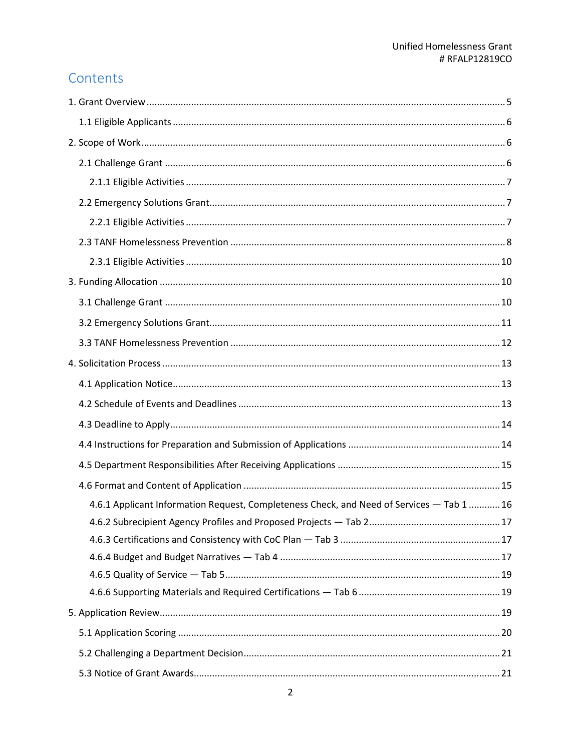## Contents

| 4.6.1 Applicant Information Request, Completeness Check, and Need of Services - Tab 1  16 |  |
|-------------------------------------------------------------------------------------------|--|
|                                                                                           |  |
|                                                                                           |  |
|                                                                                           |  |
|                                                                                           |  |
|                                                                                           |  |
|                                                                                           |  |
|                                                                                           |  |
|                                                                                           |  |
|                                                                                           |  |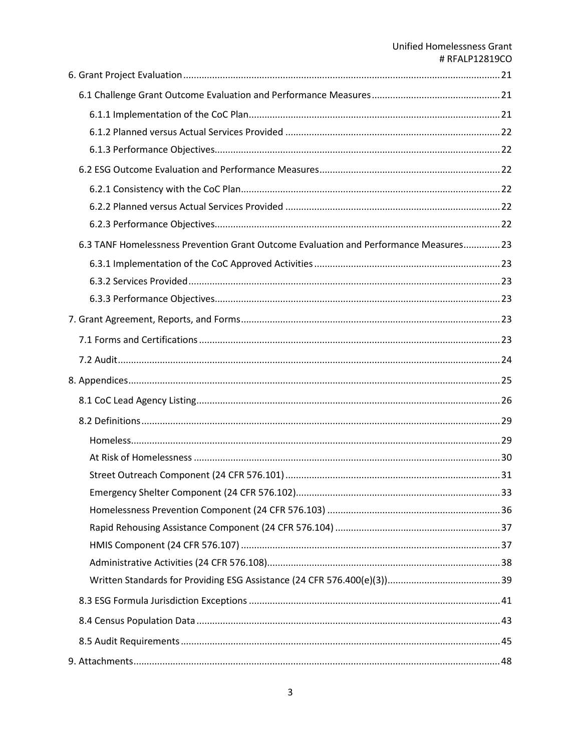## **Unified Homelessness Grant** # RFALP12819CO

| 6.3 TANF Homelessness Prevention Grant Outcome Evaluation and Performance Measures 23 |  |
|---------------------------------------------------------------------------------------|--|
|                                                                                       |  |
|                                                                                       |  |
|                                                                                       |  |
|                                                                                       |  |
|                                                                                       |  |
|                                                                                       |  |
|                                                                                       |  |
|                                                                                       |  |
|                                                                                       |  |
|                                                                                       |  |
|                                                                                       |  |
|                                                                                       |  |
|                                                                                       |  |
|                                                                                       |  |
|                                                                                       |  |
|                                                                                       |  |
|                                                                                       |  |
|                                                                                       |  |
|                                                                                       |  |
|                                                                                       |  |
|                                                                                       |  |
|                                                                                       |  |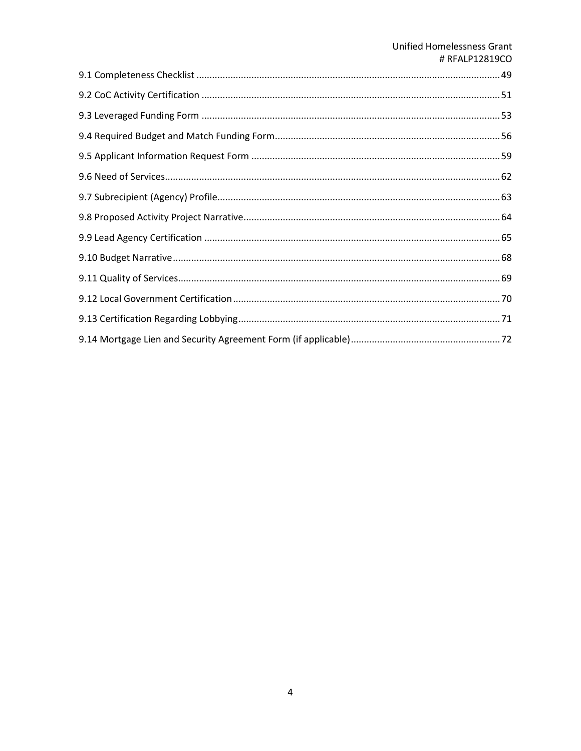## **Unified Homelessness Grant** # RFALP12819CO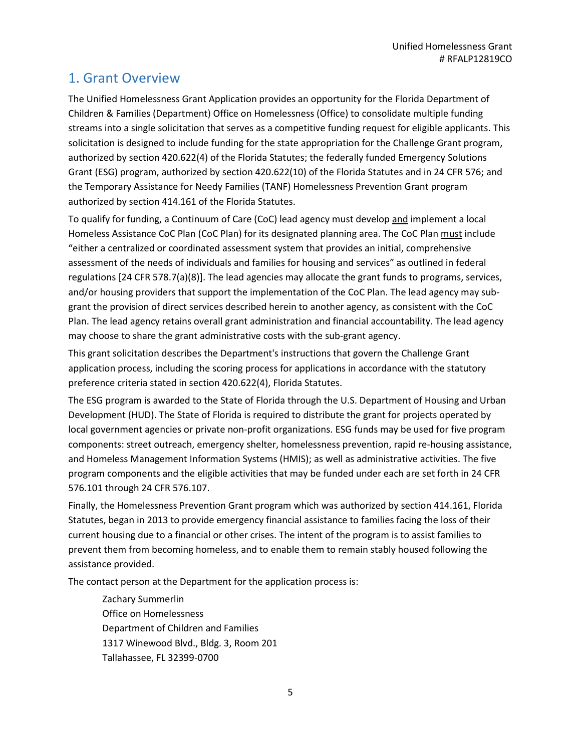## <span id="page-4-0"></span>1. Grant Overview

The Unified Homelessness Grant Application provides an opportunity for the Florida Department of Children & Families (Department) Office on Homelessness (Office) to consolidate multiple funding streams into a single solicitation that serves as a competitive funding request for eligible applicants. This solicitation is designed to include funding for the state appropriation for the Challenge Grant program, authorized by section 420.622(4) of the Florida Statutes; the federally funded Emergency Solutions Grant (ESG) program, authorized by section 420.622(10) of the Florida Statutes and in 24 CFR 576; and the Temporary Assistance for Needy Families (TANF) Homelessness Prevention Grant program authorized by section 414.161 of the Florida Statutes.

To qualify for funding, a Continuum of Care (CoC) lead agency must develop and implement a local Homeless Assistance CoC Plan (CoC Plan) for its designated planning area. The CoC Plan must include "either a centralized or coordinated assessment system that provides an initial, comprehensive assessment of the needs of individuals and families for housing and services" as outlined in federal regulations [24 CFR 578.7(a)(8)]. The lead agencies may allocate the grant funds to programs, services, and/or housing providers that support the implementation of the CoC Plan. The lead agency may subgrant the provision of direct services described herein to another agency, as consistent with the CoC Plan. The lead agency retains overall grant administration and financial accountability. The lead agency may choose to share the grant administrative costs with the sub-grant agency.

This grant solicitation describes the Department's instructions that govern the Challenge Grant application process, including the scoring process for applications in accordance with the statutory preference criteria stated in section 420.622(4), Florida Statutes.

The ESG program is awarded to the State of Florida through the U.S. Department of Housing and Urban Development (HUD). The State of Florida is required to distribute the grant for projects operated by local government agencies or private non-profit organizations. ESG funds may be used for five program components: street outreach, emergency shelter, homelessness prevention, rapid re-housing assistance, and Homeless Management Information Systems (HMIS); as well as administrative activities. The five program components and the eligible activities that may be funded under each are set forth in 24 CFR 576.101 through 24 CFR 576.107.

Finally, the Homelessness Prevention Grant program which was authorized by section 414.161, Florida Statutes, began in 2013 to provide emergency financial assistance to families facing the loss of their current housing due to a financial or other crises. The intent of the program is to assist families to prevent them from becoming homeless, and to enable them to remain stably housed following the assistance provided.

The contact person at the Department for the application process is:

Zachary Summerlin Office on Homelessness Department of Children and Families 1317 Winewood Blvd., Bldg. 3, Room 201 Tallahassee, FL 32399-0700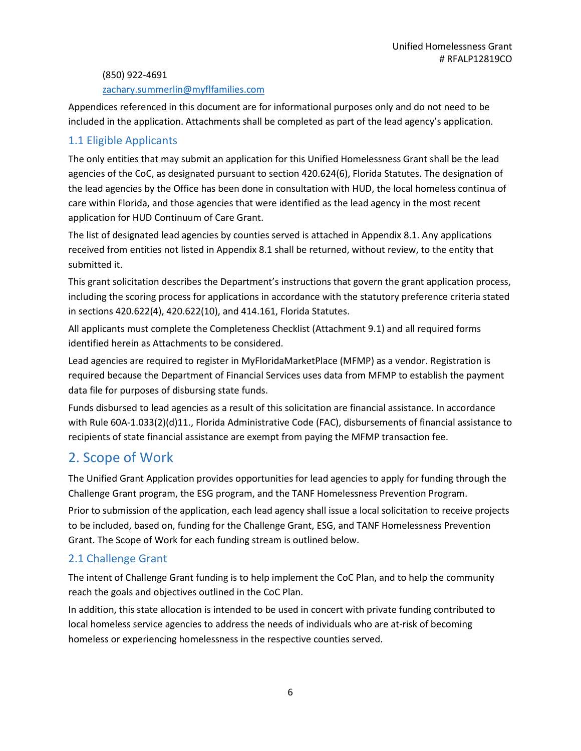(850) 922-4691

#### [zachary.summerlin@myflfamilies.com](mailto:zachary.summerlin@myflfamilies.com)

Appendices referenced in this document are for informational purposes only and do not need to be included in the application. Attachments shall be completed as part of the lead agency's application.

#### <span id="page-5-0"></span>1.1 Eligible Applicants

The only entities that may submit an application for this Unified Homelessness Grant shall be the lead agencies of the CoC, as designated pursuant to section 420.624(6), Florida Statutes. The designation of the lead agencies by the Office has been done in consultation with HUD, the local homeless continua of care within Florida, and those agencies that were identified as the lead agency in the most recent application for HUD Continuum of Care Grant.

The list of designated lead agencies by counties served is attached in Appendix 8.1. Any applications received from entities not listed in Appendix 8.1 shall be returned, without review, to the entity that submitted it.

This grant solicitation describes the Department's instructions that govern the grant application process, including the scoring process for applications in accordance with the statutory preference criteria stated in sections 420.622(4), 420.622(10), and 414.161, Florida Statutes.

All applicants must complete the Completeness Checklist (Attachment 9.1) and all required forms identified herein as Attachments to be considered.

Lead agencies are required to register in MyFloridaMarketPlace (MFMP) as a vendor. Registration is required because the Department of Financial Services uses data from MFMP to establish the payment data file for purposes of disbursing state funds.

Funds disbursed to lead agencies as a result of this solicitation are financial assistance. In accordance with Rule 60A-1.033(2)(d)11., Florida Administrative Code (FAC), disbursements of financial assistance to recipients of state financial assistance are exempt from paying the MFMP transaction fee.

## <span id="page-5-1"></span>2. Scope of Work

The Unified Grant Application provides opportunities for lead agencies to apply for funding through the Challenge Grant program, the ESG program, and the TANF Homelessness Prevention Program.

Prior to submission of the application, each lead agency shall issue a local solicitation to receive projects to be included, based on, funding for the Challenge Grant, ESG, and TANF Homelessness Prevention Grant. The Scope of Work for each funding stream is outlined below.

#### <span id="page-5-2"></span>2.1 Challenge Grant

The intent of Challenge Grant funding is to help implement the CoC Plan, and to help the community reach the goals and objectives outlined in the CoC Plan.

In addition, this state allocation is intended to be used in concert with private funding contributed to local homeless service agencies to address the needs of individuals who are at-risk of becoming homeless or experiencing homelessness in the respective counties served.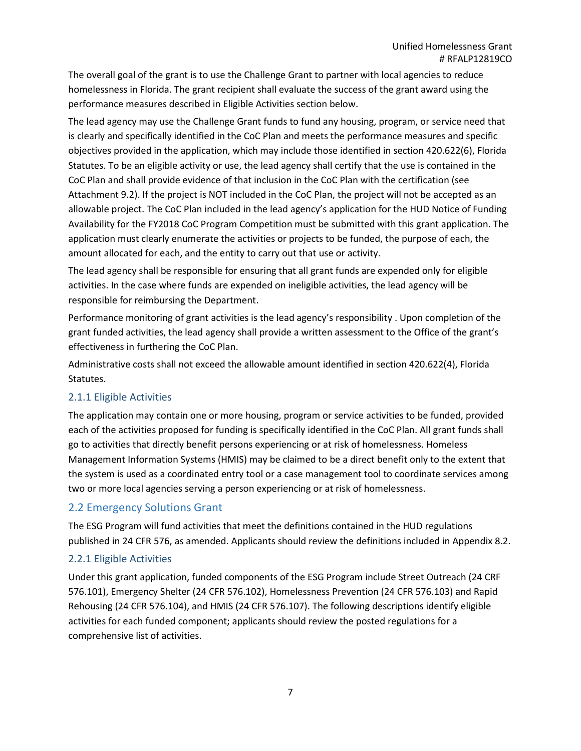The overall goal of the grant is to use the Challenge Grant to partner with local agencies to reduce homelessness in Florida. The grant recipient shall evaluate the success of the grant award using the performance measures described in Eligible Activities section below.

The lead agency may use the Challenge Grant funds to fund any housing, program, or service need that is clearly and specifically identified in the CoC Plan and meets the performance measures and specific objectives provided in the application, which may include those identified in section 420.622(6), Florida Statutes. To be an eligible activity or use, the lead agency shall certify that the use is contained in the CoC Plan and shall provide evidence of that inclusion in the CoC Plan with the certification (see Attachment 9.2). If the project is NOT included in the CoC Plan, the project will not be accepted as an allowable project. The CoC Plan included in the lead agency's application for the HUD Notice of Funding Availability for the FY2018 CoC Program Competition must be submitted with this grant application. The application must clearly enumerate the activities or projects to be funded, the purpose of each, the amount allocated for each, and the entity to carry out that use or activity.

The lead agency shall be responsible for ensuring that all grant funds are expended only for eligible activities. In the case where funds are expended on ineligible activities, the lead agency will be responsible for reimbursing the Department.

Performance monitoring of grant activities is the lead agency's responsibility . Upon completion of the grant funded activities, the lead agency shall provide a written assessment to the Office of the grant's effectiveness in furthering the CoC Plan.

Administrative costs shall not exceed the allowable amount identified in section 420.622(4), Florida Statutes.

#### <span id="page-6-0"></span>2.1.1 Eligible Activities

The application may contain one or more housing, program or service activities to be funded, provided each of the activities proposed for funding is specifically identified in the CoC Plan. All grant funds shall go to activities that directly benefit persons experiencing or at risk of homelessness. Homeless Management Information Systems (HMIS) may be claimed to be a direct benefit only to the extent that the system is used as a coordinated entry tool or a case management tool to coordinate services among two or more local agencies serving a person experiencing or at risk of homelessness.

#### <span id="page-6-1"></span>2.2 Emergency Solutions Grant

The ESG Program will fund activities that meet the definitions contained in the HUD regulations published in 24 CFR 576, as amended. Applicants should review the definitions included in Appendix 8.2.

#### <span id="page-6-2"></span>2.2.1 Eligible Activities

Under this grant application, funded components of the ESG Program include Street Outreach (24 CRF 576.101), Emergency Shelter (24 CFR 576.102), Homelessness Prevention (24 CFR 576.103) and Rapid Rehousing (24 CFR 576.104), and HMIS (24 CFR 576.107). The following descriptions identify eligible activities for each funded component; applicants should review the posted regulations for a comprehensive list of activities.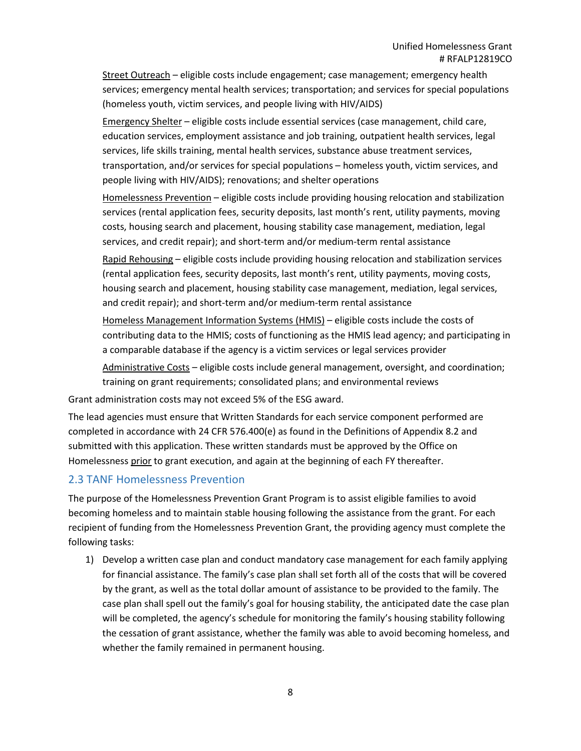Street Outreach – eligible costs include engagement; case management; emergency health services; emergency mental health services; transportation; and services for special populations (homeless youth, victim services, and people living with HIV/AIDS)

Emergency Shelter – eligible costs include essential services (case management, child care, education services, employment assistance and job training, outpatient health services, legal services, life skills training, mental health services, substance abuse treatment services, transportation, and/or services for special populations – homeless youth, victim services, and people living with HIV/AIDS); renovations; and shelter operations

Homelessness Prevention - eligible costs include providing housing relocation and stabilization services (rental application fees, security deposits, last month's rent, utility payments, moving costs, housing search and placement, housing stability case management, mediation, legal services, and credit repair); and short-term and/or medium-term rental assistance

Rapid Rehousing – eligible costs include providing housing relocation and stabilization services (rental application fees, security deposits, last month's rent, utility payments, moving costs, housing search and placement, housing stability case management, mediation, legal services, and credit repair); and short-term and/or medium-term rental assistance

Homeless Management Information Systems (HMIS) – eligible costs include the costs of contributing data to the HMIS; costs of functioning as the HMIS lead agency; and participating in a comparable database if the agency is a victim services or legal services provider

Administrative Costs - eligible costs include general management, oversight, and coordination; training on grant requirements; consolidated plans; and environmental reviews

Grant administration costs may not exceed 5% of the ESG award.

The lead agencies must ensure that Written Standards for each service component performed are completed in accordance with 24 CFR 576.400(e) as found in the Definitions of Appendix 8.2 and submitted with this application. These written standards must be approved by the Office on Homelessness prior to grant execution, and again at the beginning of each FY thereafter.

#### <span id="page-7-0"></span>2.3 TANF Homelessness Prevention

The purpose of the Homelessness Prevention Grant Program is to assist eligible families to avoid becoming homeless and to maintain stable housing following the assistance from the grant. For each recipient of funding from the Homelessness Prevention Grant, the providing agency must complete the following tasks:

1) Develop a written case plan and conduct mandatory case management for each family applying for financial assistance. The family's case plan shall set forth all of the costs that will be covered by the grant, as well as the total dollar amount of assistance to be provided to the family. The case plan shall spell out the family's goal for housing stability, the anticipated date the case plan will be completed, the agency's schedule for monitoring the family's housing stability following the cessation of grant assistance, whether the family was able to avoid becoming homeless, and whether the family remained in permanent housing.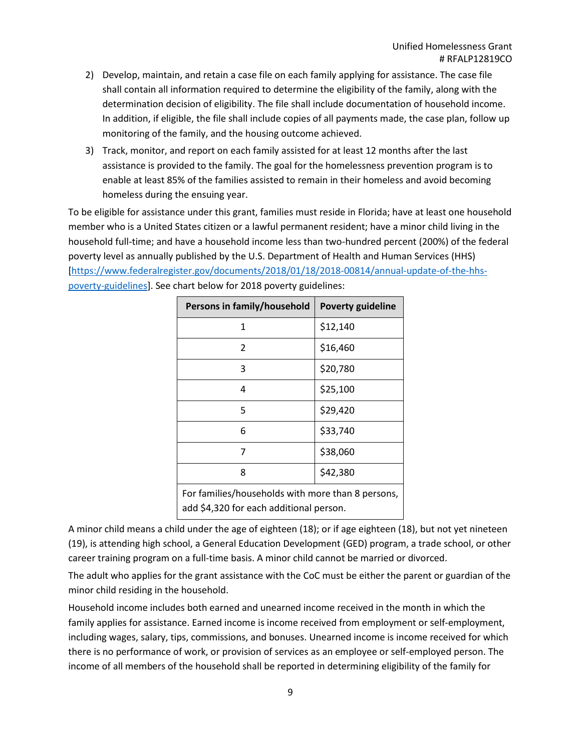- 2) Develop, maintain, and retain a case file on each family applying for assistance. The case file shall contain all information required to determine the eligibility of the family, along with the determination decision of eligibility. The file shall include documentation of household income. In addition, if eligible, the file shall include copies of all payments made, the case plan, follow up monitoring of the family, and the housing outcome achieved.
- 3) Track, monitor, and report on each family assisted for at least 12 months after the last assistance is provided to the family. The goal for the homelessness prevention program is to enable at least 85% of the families assisted to remain in their homeless and avoid becoming homeless during the ensuing year.

To be eligible for assistance under this grant, families must reside in Florida; have at least one household member who is a United States citizen or a lawful permanent resident; have a minor child living in the household full-time; and have a household income less than two-hundred percent (200%) of the federal poverty level as annually published by the U.S. Department of Health and Human Services (HHS) [\[https://www.federalregister.gov/documents/2018/01/18/2018-00814/annual-update-of-the-hhs](https://www.federalregister.gov/documents/2018/01/18/2018-00814/annual-update-of-the-hhs-poverty-guidelines)[poverty-guidelines\]](https://www.federalregister.gov/documents/2018/01/18/2018-00814/annual-update-of-the-hhs-poverty-guidelines). See chart below for 2018 poverty guidelines:

| Persons in family/household                                                                  | <b>Poverty guideline</b> |  |
|----------------------------------------------------------------------------------------------|--------------------------|--|
| 1                                                                                            | \$12,140                 |  |
| 2                                                                                            | \$16,460                 |  |
| 3                                                                                            | \$20,780                 |  |
| 4                                                                                            | \$25,100                 |  |
| 5                                                                                            | \$29,420                 |  |
| 6                                                                                            | \$33,740                 |  |
| 7                                                                                            | \$38,060                 |  |
| 8                                                                                            | \$42,380                 |  |
| For families/households with more than 8 persons,<br>add \$4,320 for each additional person. |                          |  |

A minor child means a child under the age of eighteen (18); or if age eighteen (18), but not yet nineteen (19), is attending high school, a General Education Development (GED) program, a trade school, or other career training program on a full-time basis. A minor child cannot be married or divorced.

The adult who applies for the grant assistance with the CoC must be either the parent or guardian of the minor child residing in the household.

Household income includes both earned and unearned income received in the month in which the family applies for assistance. Earned income is income received from employment or self-employment, including wages, salary, tips, commissions, and bonuses. Unearned income is income received for which there is no performance of work, or provision of services as an employee or self-employed person. The income of all members of the household shall be reported in determining eligibility of the family for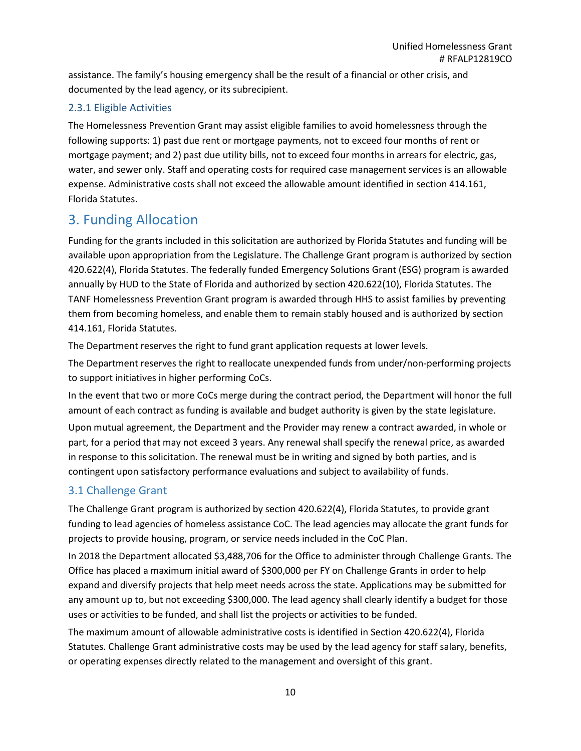assistance. The family's housing emergency shall be the result of a financial or other crisis, and documented by the lead agency, or its subrecipient.

#### <span id="page-9-0"></span>2.3.1 Eligible Activities

The Homelessness Prevention Grant may assist eligible families to avoid homelessness through the following supports: 1) past due rent or mortgage payments, not to exceed four months of rent or mortgage payment; and 2) past due utility bills, not to exceed four months in arrears for electric, gas, water, and sewer only. Staff and operating costs for required case management services is an allowable expense. Administrative costs shall not exceed the allowable amount identified in section 414.161, Florida Statutes.

## <span id="page-9-1"></span>3. Funding Allocation

Funding for the grants included in this solicitation are authorized by Florida Statutes and funding will be available upon appropriation from the Legislature. The Challenge Grant program is authorized by section 420.622(4), Florida Statutes. The federally funded Emergency Solutions Grant (ESG) program is awarded annually by HUD to the State of Florida and authorized by section 420.622(10), Florida Statutes. The TANF Homelessness Prevention Grant program is awarded through HHS to assist families by preventing them from becoming homeless, and enable them to remain stably housed and is authorized by section 414.161, Florida Statutes.

The Department reserves the right to fund grant application requests at lower levels.

The Department reserves the right to reallocate unexpended funds from under/non-performing projects to support initiatives in higher performing CoCs.

In the event that two or more CoCs merge during the contract period, the Department will honor the full amount of each contract as funding is available and budget authority is given by the state legislature. Upon mutual agreement, the Department and the Provider may renew a contract awarded, in whole or part, for a period that may not exceed 3 years. Any renewal shall specify the renewal price, as awarded in response to this solicitation. The renewal must be in writing and signed by both parties, and is contingent upon satisfactory performance evaluations and subject to availability of funds.

## <span id="page-9-2"></span>3.1 Challenge Grant

The Challenge Grant program is authorized by section 420.622(4), Florida Statutes, to provide grant funding to lead agencies of homeless assistance CoC. The lead agencies may allocate the grant funds for projects to provide housing, program, or service needs included in the CoC Plan.

In 2018 the Department allocated \$3,488,706 for the Office to administer through Challenge Grants. The Office has placed a maximum initial award of \$300,000 per FY on Challenge Grants in order to help expand and diversify projects that help meet needs across the state. Applications may be submitted for any amount up to, but not exceeding \$300,000. The lead agency shall clearly identify a budget for those uses or activities to be funded, and shall list the projects or activities to be funded.

The maximum amount of allowable administrative costs is identified in Section 420.622(4), Florida Statutes. Challenge Grant administrative costs may be used by the lead agency for staff salary, benefits, or operating expenses directly related to the management and oversight of this grant.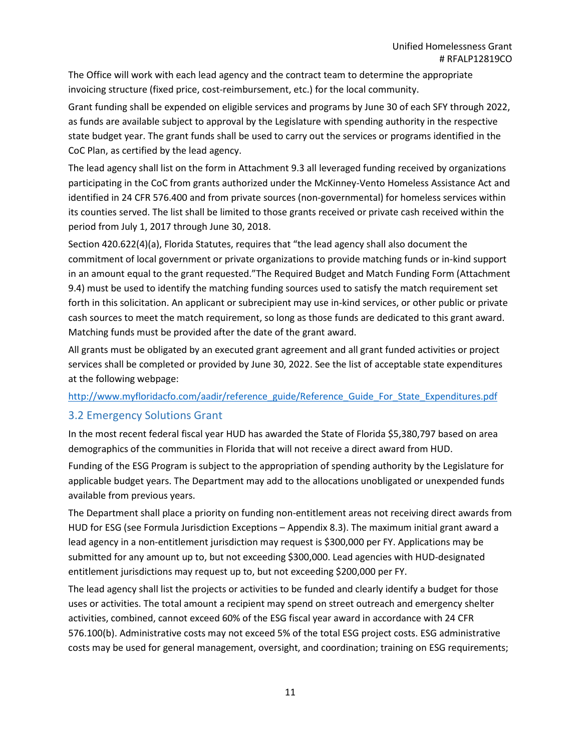The Office will work with each lead agency and the contract team to determine the appropriate invoicing structure (fixed price, cost-reimbursement, etc.) for the local community.

Grant funding shall be expended on eligible services and programs by June 30 of each SFY through 2022, as funds are available subject to approval by the Legislature with spending authority in the respective state budget year. The grant funds shall be used to carry out the services or programs identified in the CoC Plan, as certified by the lead agency.

The lead agency shall list on the form in Attachment 9.3 all leveraged funding received by organizations participating in the CoC from grants authorized under the McKinney-Vento Homeless Assistance Act and identified in 24 CFR 576.400 and from private sources (non-governmental) for homeless services within its counties served. The list shall be limited to those grants received or private cash received within the period from July 1, 2017 through June 30, 2018.

Section 420.622(4)(a), Florida Statutes, requires that "the lead agency shall also document the commitment of local government or private organizations to provide matching funds or in-kind support in an amount equal to the grant requested."The Required Budget and Match Funding Form (Attachment 9.4) must be used to identify the matching funding sources used to satisfy the match requirement set forth in this solicitation. An applicant or subrecipient may use in-kind services, or other public or private cash sources to meet the match requirement, so long as those funds are dedicated to this grant award. Matching funds must be provided after the date of the grant award.

All grants must be obligated by an executed grant agreement and all grant funded activities or project services shall be completed or provided by June 30, 2022. See the list of acceptable state expenditures at the following webpage:

#### [http://www.myfloridacfo.com/aadir/reference\\_guide/Reference\\_Guide\\_For\\_State\\_Expenditures.pdf](http://www.myfloridacfo.com/aadir/reference_guide/Reference_Guide_For_State_Expenditures.pdf)

#### <span id="page-10-0"></span>3.2 Emergency Solutions Grant

In the most recent federal fiscal year HUD has awarded the State of Florida \$5,380,797 based on area demographics of the communities in Florida that will not receive a direct award from HUD.

Funding of the ESG Program is subject to the appropriation of spending authority by the Legislature for applicable budget years. The Department may add to the allocations unobligated or unexpended funds available from previous years.

The Department shall place a priority on funding non-entitlement areas not receiving direct awards from HUD for ESG (see Formula Jurisdiction Exceptions – Appendix 8.3). The maximum initial grant award a lead agency in a non-entitlement jurisdiction may request is \$300,000 per FY. Applications may be submitted for any amount up to, but not exceeding \$300,000. Lead agencies with HUD-designated entitlement jurisdictions may request up to, but not exceeding \$200,000 per FY.

The lead agency shall list the projects or activities to be funded and clearly identify a budget for those uses or activities. The total amount a recipient may spend on street outreach and emergency shelter activities, combined, cannot exceed 60% of the ESG fiscal year award in accordance with 24 CFR 576.100(b). Administrative costs may not exceed 5% of the total ESG project costs. ESG administrative costs may be used for general management, oversight, and coordination; training on ESG requirements;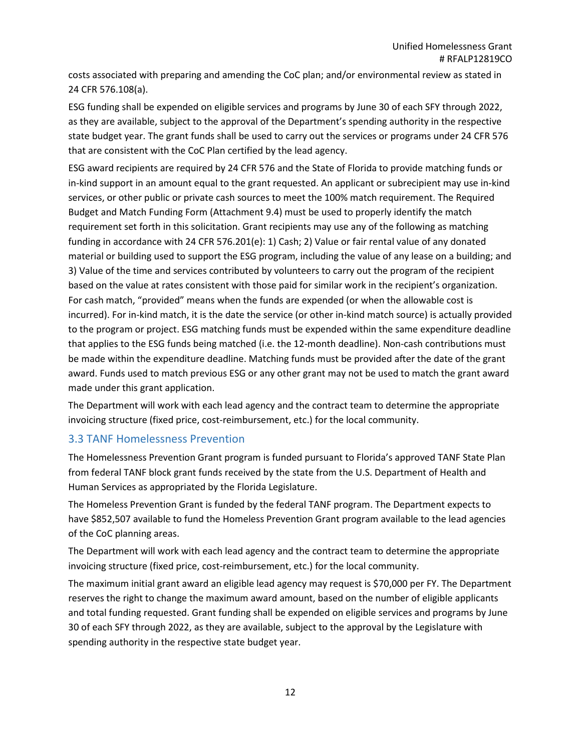costs associated with preparing and amending the CoC plan; and/or environmental review as stated in 24 CFR 576.108(a).

ESG funding shall be expended on eligible services and programs by June 30 of each SFY through 2022, as they are available, subject to the approval of the Department's spending authority in the respective state budget year. The grant funds shall be used to carry out the services or programs under 24 CFR 576 that are consistent with the CoC Plan certified by the lead agency.

ESG award recipients are required by 24 CFR 576 and the State of Florida to provide matching funds or in-kind support in an amount equal to the grant requested. An applicant or subrecipient may use in-kind services, or other public or private cash sources to meet the 100% match requirement. The Required Budget and Match Funding Form (Attachment 9.4) must be used to properly identify the match requirement set forth in this solicitation. Grant recipients may use any of the following as matching funding in accordance with 24 CFR 576.201(e): 1) Cash; 2) Value or fair rental value of any donated material or building used to support the ESG program, including the value of any lease on a building; and 3) Value of the time and services contributed by volunteers to carry out the program of the recipient based on the value at rates consistent with those paid for similar work in the recipient's organization. For cash match, "provided" means when the funds are expended (or when the allowable cost is incurred). For in-kind match, it is the date the service (or other in-kind match source) is actually provided to the program or project. ESG matching funds must be expended within the same expenditure deadline that applies to the ESG funds being matched (i.e. the 12-month deadline). Non-cash contributions must be made within the expenditure deadline. Matching funds must be provided after the date of the grant award. Funds used to match previous ESG or any other grant may not be used to match the grant award made under this grant application.

The Department will work with each lead agency and the contract team to determine the appropriate invoicing structure (fixed price, cost-reimbursement, etc.) for the local community.

#### <span id="page-11-0"></span>3.3 TANF Homelessness Prevention

The Homelessness Prevention Grant program is funded pursuant to Florida's approved TANF State Plan from federal TANF block grant funds received by the state from the U.S. Department of Health and Human Services as appropriated by the Florida Legislature.

The Homeless Prevention Grant is funded by the federal TANF program. The Department expects to have \$852,507 available to fund the Homeless Prevention Grant program available to the lead agencies of the CoC planning areas.

The Department will work with each lead agency and the contract team to determine the appropriate invoicing structure (fixed price, cost-reimbursement, etc.) for the local community.

The maximum initial grant award an eligible lead agency may request is \$70,000 per FY. The Department reserves the right to change the maximum award amount, based on the number of eligible applicants and total funding requested. Grant funding shall be expended on eligible services and programs by June 30 of each SFY through 2022, as they are available, subject to the approval by the Legislature with spending authority in the respective state budget year.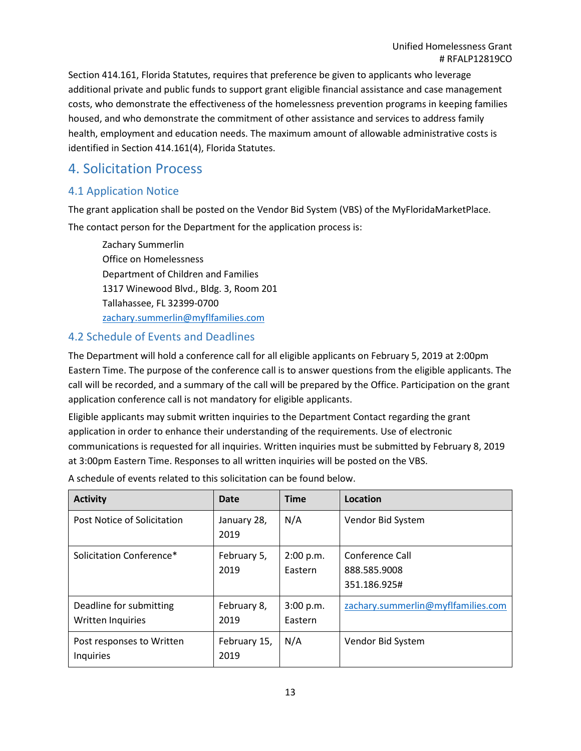Section 414.161, Florida Statutes, requires that preference be given to applicants who leverage additional private and public funds to support grant eligible financial assistance and case management costs, who demonstrate the effectiveness of the homelessness prevention programs in keeping families housed, and who demonstrate the commitment of other assistance and services to address family health, employment and education needs. The maximum amount of allowable administrative costs is identified in Section 414.161(4), Florida Statutes.

## <span id="page-12-0"></span>4. Solicitation Process

#### <span id="page-12-1"></span>4.1 Application Notice

The grant application shall be posted on the Vendor Bid System (VBS) of the MyFloridaMarketPlace. The contact person for the Department for the application process is:

Zachary Summerlin Office on Homelessness Department of Children and Families 1317 Winewood Blvd., Bldg. 3, Room 201 Tallahassee, FL 32399-0700 [zachary.summerlin@myflfamilies.com](mailto:zachary.summerlin@myflfamilies.com)

#### <span id="page-12-2"></span>4.2 Schedule of Events and Deadlines

The Department will hold a conference call for all eligible applicants on February 5, 2019 at 2:00pm Eastern Time. The purpose of the conference call is to answer questions from the eligible applicants. The call will be recorded, and a summary of the call will be prepared by the Office. Participation on the grant application conference call is not mandatory for eligible applicants.

Eligible applicants may submit written inquiries to the Department Contact regarding the grant application in order to enhance their understanding of the requirements. Use of electronic communications is requested for all inquiries. Written inquiries must be submitted by February 8, 2019 at 3:00pm Eastern Time. Responses to all written inquiries will be posted on the VBS.

A schedule of events related to this solicitation can be found below.

| <b>Activity</b>                                     | Date                 | <b>Time</b>          | Location                                        |
|-----------------------------------------------------|----------------------|----------------------|-------------------------------------------------|
| Post Notice of Solicitation                         | January 28,<br>2019  | N/A                  | Vendor Bid System                               |
| Solicitation Conference*                            | February 5,<br>2019  | 2:00 p.m.<br>Eastern | Conference Call<br>888.585.9008<br>351.186.925# |
| Deadline for submitting<br><b>Written Inquiries</b> | February 8,<br>2019  | 3:00 p.m.<br>Eastern | zachary.summerlin@myflfamilies.com              |
| Post responses to Written<br>Inquiries              | February 15,<br>2019 | N/A                  | Vendor Bid System                               |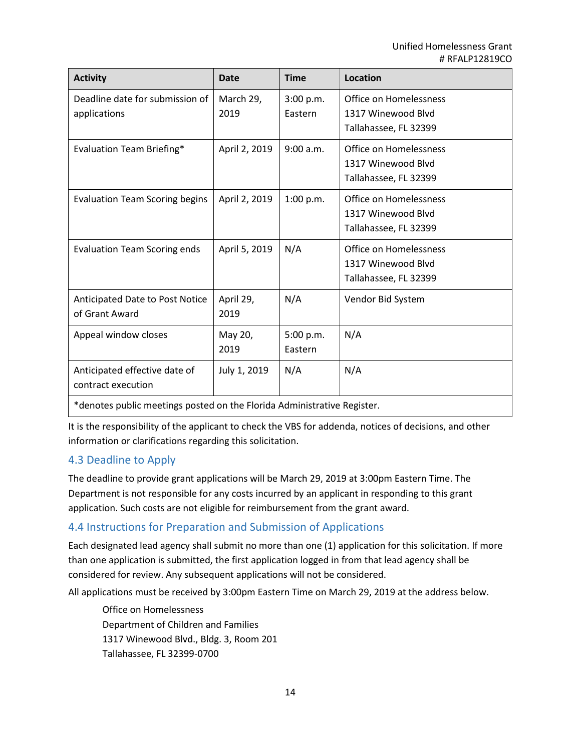| <b>Activity</b>                                                         | Date              | <b>Time</b>          | Location                                                              |
|-------------------------------------------------------------------------|-------------------|----------------------|-----------------------------------------------------------------------|
| Deadline date for submission of<br>applications                         | March 29,<br>2019 | 3:00 p.m.<br>Eastern | Office on Homelessness<br>1317 Winewood Blvd<br>Tallahassee, FL 32399 |
| <b>Evaluation Team Briefing*</b>                                        | April 2, 2019     | 9:00 a.m.            | Office on Homelessness<br>1317 Winewood Blyd<br>Tallahassee, FL 32399 |
| <b>Evaluation Team Scoring begins</b>                                   | April 2, 2019     | 1:00 p.m.            | Office on Homelessness<br>1317 Winewood Blvd<br>Tallahassee, FL 32399 |
| <b>Evaluation Team Scoring ends</b>                                     | April 5, 2019     | N/A                  | Office on Homelessness<br>1317 Winewood Blvd<br>Tallahassee, FL 32399 |
| Anticipated Date to Post Notice<br>of Grant Award                       | April 29,<br>2019 | N/A                  | Vendor Bid System                                                     |
| Appeal window closes                                                    | May 20,<br>2019   | 5:00 p.m.<br>Eastern | N/A                                                                   |
| Anticipated effective date of<br>contract execution                     | July 1, 2019      | N/A                  | N/A                                                                   |
| *denotes public meetings posted on the Florida Administrative Register. |                   |                      |                                                                       |

It is the responsibility of the applicant to check the VBS for addenda, notices of decisions, and other information or clarifications regarding this solicitation.

#### <span id="page-13-0"></span>4.3 Deadline to Apply

The deadline to provide grant applications will be March 29, 2019 at 3:00pm Eastern Time. The Department is not responsible for any costs incurred by an applicant in responding to this grant application. Such costs are not eligible for reimbursement from the grant award.

#### <span id="page-13-1"></span>4.4 Instructions for Preparation and Submission of Applications

Each designated lead agency shall submit no more than one (1) application for this solicitation. If more than one application is submitted, the first application logged in from that lead agency shall be considered for review. Any subsequent applications will not be considered.

All applications must be received by 3:00pm Eastern Time on March 29, 2019 at the address below.

Office on Homelessness Department of Children and Families 1317 Winewood Blvd., Bldg. 3, Room 201 Tallahassee, FL 32399-0700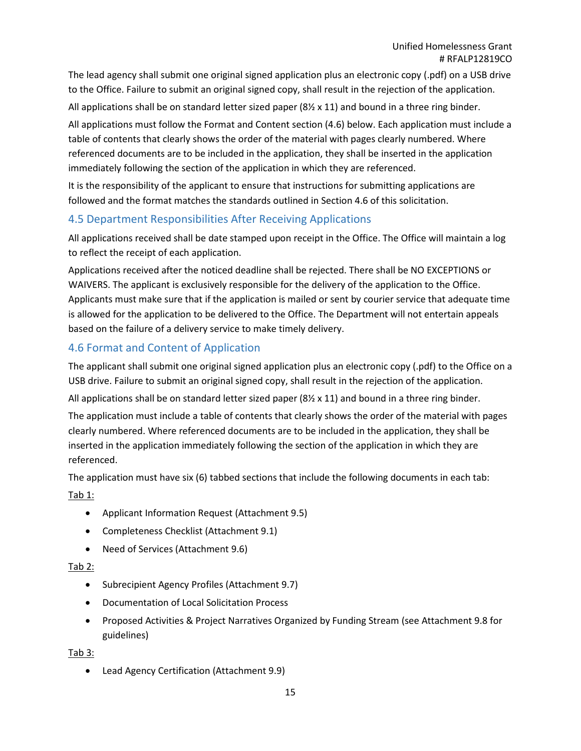The lead agency shall submit one original signed application plus an electronic copy (.pdf) on a USB drive to the Office. Failure to submit an original signed copy, shall result in the rejection of the application. All applications shall be on standard letter sized paper ( $8\frac{1}{2} \times 11$ ) and bound in a three ring binder.

All applications must follow the Format and Content section (4.6) below. Each application must include a table of contents that clearly shows the order of the material with pages clearly numbered. Where referenced documents are to be included in the application, they shall be inserted in the application immediately following the section of the application in which they are referenced.

It is the responsibility of the applicant to ensure that instructions for submitting applications are followed and the format matches the standards outlined in Section 4.6 of this solicitation.

#### <span id="page-14-0"></span>4.5 Department Responsibilities After Receiving Applications

All applications received shall be date stamped upon receipt in the Office. The Office will maintain a log to reflect the receipt of each application.

Applications received after the noticed deadline shall be rejected. There shall be NO EXCEPTIONS or WAIVERS. The applicant is exclusively responsible for the delivery of the application to the Office. Applicants must make sure that if the application is mailed or sent by courier service that adequate time is allowed for the application to be delivered to the Office. The Department will not entertain appeals based on the failure of a delivery service to make timely delivery.

#### <span id="page-14-1"></span>4.6 Format and Content of Application

The applicant shall submit one original signed application plus an electronic copy (.pdf) to the Office on a USB drive. Failure to submit an original signed copy, shall result in the rejection of the application.

All applications shall be on standard letter sized paper ( $8\frac{1}{2}$  x 11) and bound in a three ring binder.

The application must include a table of contents that clearly shows the order of the material with pages clearly numbered. Where referenced documents are to be included in the application, they shall be inserted in the application immediately following the section of the application in which they are referenced.

The application must have six (6) tabbed sections that include the following documents in each tab:

Tab 1:

- Applicant Information Request (Attachment 9.5)
- Completeness Checklist (Attachment 9.1)
- Need of Services (Attachment 9.6)

#### Tab 2:

- Subrecipient Agency Profiles (Attachment 9.7)
- Documentation of Local Solicitation Process
- Proposed Activities & Project Narratives Organized by Funding Stream (see Attachment 9.8 for guidelines)

Tab 3:

• Lead Agency Certification (Attachment 9.9)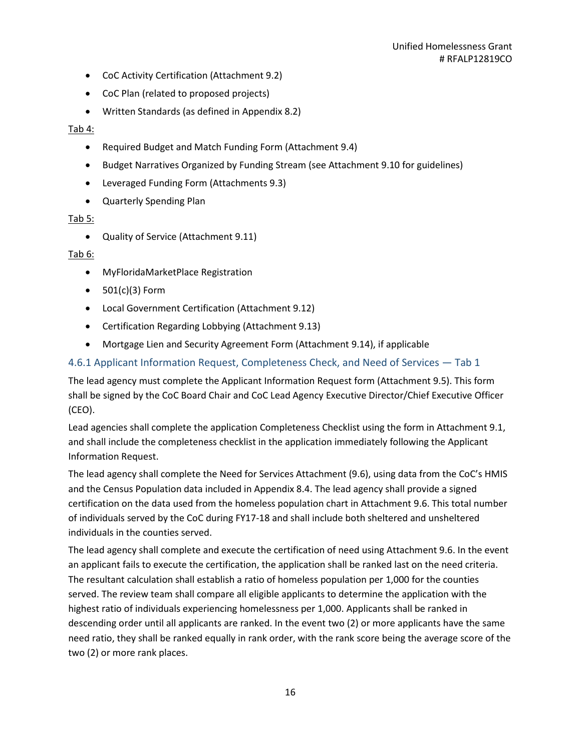- CoC Activity Certification (Attachment 9.2)
- CoC Plan (related to proposed projects)
- Written Standards (as defined in Appendix 8.2)

#### Tab 4:

- Required Budget and Match Funding Form (Attachment 9.4)
- Budget Narratives Organized by Funding Stream (see Attachment 9.10 for guidelines)
- Leveraged Funding Form (Attachments 9.3)
- Quarterly Spending Plan

#### Tab 5:

• Quality of Service (Attachment 9.11)

#### Tab 6:

- MyFloridaMarketPlace Registration
- 501(c)(3) Form
- Local Government Certification (Attachment 9.12)
- Certification Regarding Lobbying (Attachment 9.13)
- Mortgage Lien and Security Agreement Form (Attachment 9.14), if applicable

#### <span id="page-15-0"></span>4.6.1 Applicant Information Request, Completeness Check, and Need of Services — Tab 1

The lead agency must complete the Applicant Information Request form (Attachment 9.5). This form shall be signed by the CoC Board Chair and CoC Lead Agency Executive Director/Chief Executive Officer (CEO).

Lead agencies shall complete the application Completeness Checklist using the form in Attachment 9.1, and shall include the completeness checklist in the application immediately following the Applicant Information Request.

The lead agency shall complete the Need for Services Attachment (9.6), using data from the CoC's HMIS and the Census Population data included in Appendix 8.4. The lead agency shall provide a signed certification on the data used from the homeless population chart in Attachment 9.6. This total number of individuals served by the CoC during FY17-18 and shall include both sheltered and unsheltered individuals in the counties served.

The lead agency shall complete and execute the certification of need using Attachment 9.6. In the event an applicant fails to execute the certification, the application shall be ranked last on the need criteria. The resultant calculation shall establish a ratio of homeless population per 1,000 for the counties served. The review team shall compare all eligible applicants to determine the application with the highest ratio of individuals experiencing homelessness per 1,000. Applicants shall be ranked in descending order until all applicants are ranked. In the event two (2) or more applicants have the same need ratio, they shall be ranked equally in rank order, with the rank score being the average score of the two (2) or more rank places.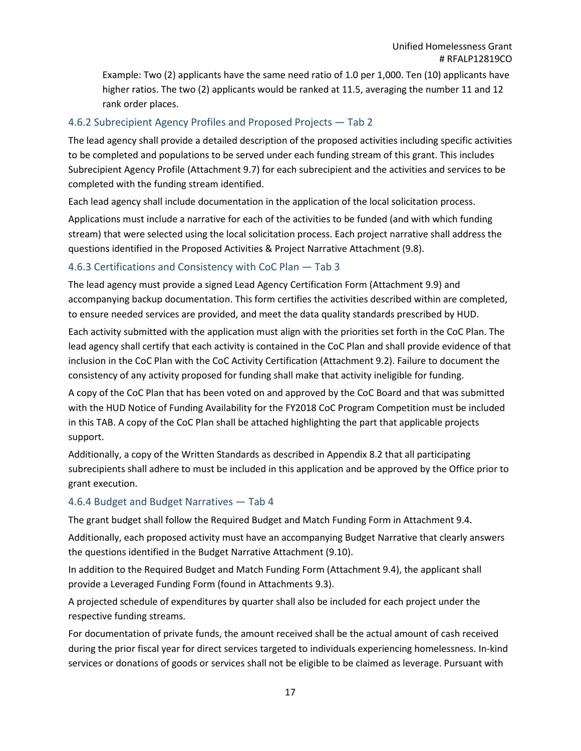Example: Two (2) applicants have the same need ratio of 1.0 per 1,000. Ten (10) applicants have higher ratios. The two (2) applicants would be ranked at 11.5, averaging the number 11 and 12 rank order places.

#### <span id="page-16-0"></span>4.6.2 Subrecipient Agency Profiles and Proposed Projects — Tab 2

The lead agency shall provide a detailed description of the proposed activities including specific activities to be completed and populations to be served under each funding stream of this grant. This includes Subrecipient Agency Profile (Attachment 9.7) for each subrecipient and the activities and services to be completed with the funding stream identified.

Each lead agency shall include documentation in the application of the local solicitation process.

Applications must include a narrative for each of the activities to be funded (and with which funding stream) that were selected using the local solicitation process. Each project narrative shall address the questions identified in the Proposed Activities & Project Narrative Attachment (9.8).

#### <span id="page-16-1"></span>4.6.3 Certifications and Consistency with CoC Plan — Tab 3

The lead agency must provide a signed Lead Agency Certification Form (Attachment 9.9) and accompanying backup documentation. This form certifies the activities described within are completed, to ensure needed services are provided, and meet the data quality standards prescribed by HUD.

Each activity submitted with the application must align with the priorities set forth in the CoC Plan. The lead agency shall certify that each activity is contained in the CoC Plan and shall provide evidence of that inclusion in the CoC Plan with the CoC Activity Certification (Attachment 9.2). Failure to document the consistency of any activity proposed for funding shall make that activity ineligible for funding.

A copy of the CoC Plan that has been voted on and approved by the CoC Board and that was submitted with the HUD Notice of Funding Availability for the FY2018 CoC Program Competition must be included in this TAB. A copy of the CoC Plan shall be attached highlighting the part that applicable projects support.

Additionally, a copy of the Written Standards as described in Appendix 8.2 that all participating subrecipients shall adhere to must be included in this application and be approved by the Office prior to grant execution.

#### <span id="page-16-2"></span>4.6.4 Budget and Budget Narratives — Tab 4

The grant budget shall follow the Required Budget and Match Funding Form in Attachment 9.4.

Additionally, each proposed activity must have an accompanying Budget Narrative that clearly answers the questions identified in the Budget Narrative Attachment (9.10).

In addition to the Required Budget and Match Funding Form (Attachment 9.4), the applicant shall provide a Leveraged Funding Form (found in Attachments 9.3).

A projected schedule of expenditures by quarter shall also be included for each project under the respective funding streams.

For documentation of private funds, the amount received shall be the actual amount of cash received during the prior fiscal year for direct services targeted to individuals experiencing homelessness. In-kind services or donations of goods or services shall not be eligible to be claimed as leverage. Pursuant with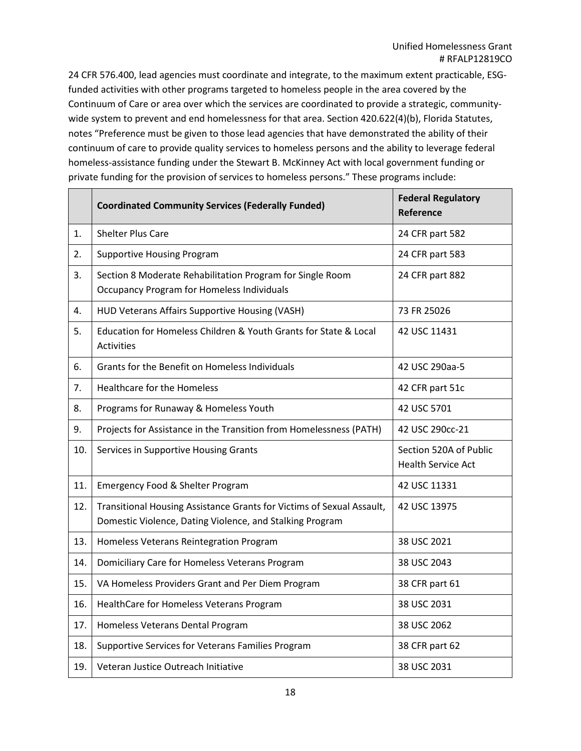24 CFR 576.400, lead agencies must coordinate and integrate, to the maximum extent practicable, ESGfunded activities with other programs targeted to homeless people in the area covered by the Continuum of Care or area over which the services are coordinated to provide a strategic, communitywide system to prevent and end homelessness for that area. Section 420.622(4)(b), Florida Statutes, notes "Preference must be given to those lead agencies that have demonstrated the ability of their continuum of care to provide quality services to homeless persons and the ability to leverage federal homeless-assistance funding under the Stewart B. McKinney Act with local government funding or private funding for the provision of services to homeless persons." These programs include:

|                  | <b>Coordinated Community Services (Federally Funded)</b>                                                                          | <b>Federal Regulatory</b><br>Reference              |
|------------------|-----------------------------------------------------------------------------------------------------------------------------------|-----------------------------------------------------|
| 1.               | <b>Shelter Plus Care</b>                                                                                                          | 24 CFR part 582                                     |
| $\overline{2}$ . | <b>Supportive Housing Program</b>                                                                                                 | 24 CFR part 583                                     |
| 3.               | Section 8 Moderate Rehabilitation Program for Single Room<br><b>Occupancy Program for Homeless Individuals</b>                    | 24 CFR part 882                                     |
| 4.               | HUD Veterans Affairs Supportive Housing (VASH)                                                                                    | 73 FR 25026                                         |
| 5.               | Education for Homeless Children & Youth Grants for State & Local<br>Activities                                                    | 42 USC 11431                                        |
| 6.               | Grants for the Benefit on Homeless Individuals                                                                                    | 42 USC 290aa-5                                      |
| 7.               | Healthcare for the Homeless                                                                                                       | 42 CFR part 51c                                     |
| 8.               | Programs for Runaway & Homeless Youth                                                                                             | 42 USC 5701                                         |
| 9.               | Projects for Assistance in the Transition from Homelessness (PATH)                                                                | 42 USC 290cc-21                                     |
| 10.              | Services in Supportive Housing Grants                                                                                             | Section 520A of Public<br><b>Health Service Act</b> |
| 11.              | Emergency Food & Shelter Program                                                                                                  | 42 USC 11331                                        |
| 12.              | Transitional Housing Assistance Grants for Victims of Sexual Assault,<br>Domestic Violence, Dating Violence, and Stalking Program | 42 USC 13975                                        |
| 13.              | Homeless Veterans Reintegration Program                                                                                           | 38 USC 2021                                         |
| 14.              | Domiciliary Care for Homeless Veterans Program                                                                                    | 38 USC 2043                                         |
| 15.              | VA Homeless Providers Grant and Per Diem Program                                                                                  | 38 CFR part 61                                      |
| 16.              | HealthCare for Homeless Veterans Program                                                                                          | 38 USC 2031                                         |
| 17.              | Homeless Veterans Dental Program                                                                                                  | 38 USC 2062                                         |
| 18.              | Supportive Services for Veterans Families Program                                                                                 | 38 CFR part 62                                      |
| 19.              | Veteran Justice Outreach Initiative                                                                                               | 38 USC 2031                                         |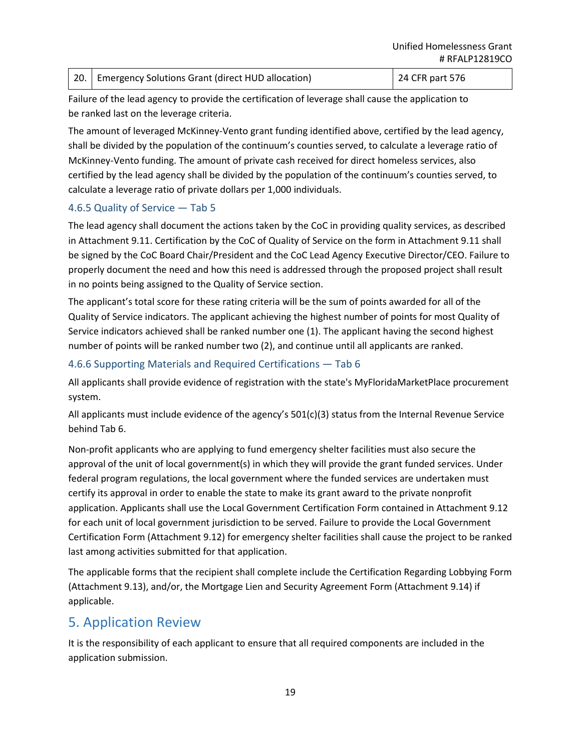|  | 20.   Emergency Solutions Grant (direct HUD allocation) | 24 CFR part 576 |
|--|---------------------------------------------------------|-----------------|
|--|---------------------------------------------------------|-----------------|

Failure of the lead agency to provide the certification of leverage shall cause the application to be ranked last on the leverage criteria.

The amount of leveraged McKinney-Vento grant funding identified above, certified by the lead agency, shall be divided by the population of the continuum's counties served, to calculate a leverage ratio of McKinney-Vento funding. The amount of private cash received for direct homeless services, also certified by the lead agency shall be divided by the population of the continuum's counties served, to calculate a leverage ratio of private dollars per 1,000 individuals.

#### <span id="page-18-0"></span>4.6.5 Quality of Service — Tab 5

The lead agency shall document the actions taken by the CoC in providing quality services, as described in Attachment 9.11. Certification by the CoC of Quality of Service on the form in Attachment 9.11 shall be signed by the CoC Board Chair/President and the CoC Lead Agency Executive Director/CEO. Failure to properly document the need and how this need is addressed through the proposed project shall result in no points being assigned to the Quality of Service section.

The applicant's total score for these rating criteria will be the sum of points awarded for all of the Quality of Service indicators. The applicant achieving the highest number of points for most Quality of Service indicators achieved shall be ranked number one (1). The applicant having the second highest number of points will be ranked number two (2), and continue until all applicants are ranked.

#### <span id="page-18-1"></span>4.6.6 Supporting Materials and Required Certifications — Tab 6

All applicants shall provide evidence of registration with the state's MyFloridaMarketPlace procurement system.

All applicants must include evidence of the agency's 501(c)(3) status from the Internal Revenue Service behind Tab 6.

Non-profit applicants who are applying to fund emergency shelter facilities must also secure the approval of the unit of local government(s) in which they will provide the grant funded services. Under federal program regulations, the local government where the funded services are undertaken must certify its approval in order to enable the state to make its grant award to the private nonprofit application. Applicants shall use the Local Government Certification Form contained in Attachment 9.12 for each unit of local government jurisdiction to be served. Failure to provide the Local Government Certification Form (Attachment 9.12) for emergency shelter facilities shall cause the project to be ranked last among activities submitted for that application.

The applicable forms that the recipient shall complete include the Certification Regarding Lobbying Form (Attachment 9.13), and/or, the Mortgage Lien and Security Agreement Form (Attachment 9.14) if applicable.

## <span id="page-18-2"></span>5. Application Review

It is the responsibility of each applicant to ensure that all required components are included in the application submission.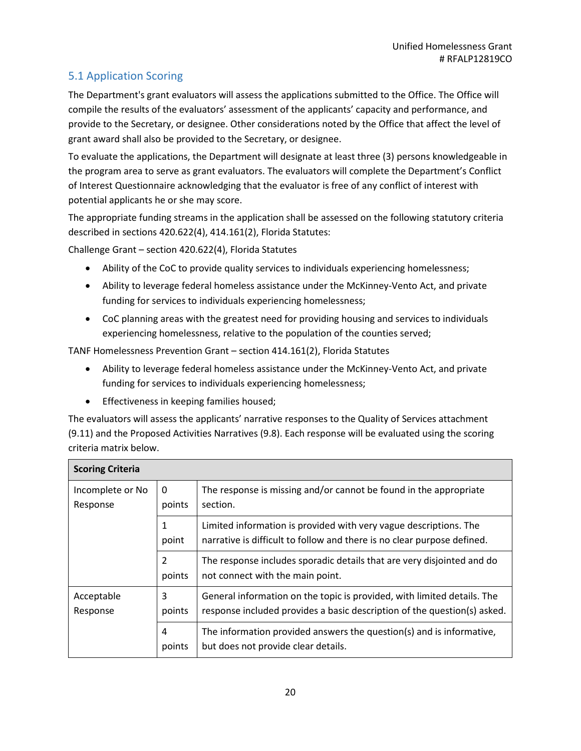## <span id="page-19-0"></span>5.1 Application Scoring

The Department's grant evaluators will assess the applications submitted to the Office. The Office will compile the results of the evaluators' assessment of the applicants' capacity and performance, and provide to the Secretary, or designee. Other considerations noted by the Office that affect the level of grant award shall also be provided to the Secretary, or designee.

To evaluate the applications, the Department will designate at least three (3) persons knowledgeable in the program area to serve as grant evaluators. The evaluators will complete the Department's Conflict of Interest Questionnaire acknowledging that the evaluator is free of any conflict of interest with potential applicants he or she may score.

The appropriate funding streams in the application shall be assessed on the following statutory criteria described in sections 420.622(4), 414.161(2), Florida Statutes:

Challenge Grant – section 420.622(4), Florida Statutes

- Ability of the CoC to provide quality services to individuals experiencing homelessness;
- Ability to leverage federal homeless assistance under the McKinney-Vento Act, and private funding for services to individuals experiencing homelessness;
- CoC planning areas with the greatest need for providing housing and services to individuals experiencing homelessness, relative to the population of the counties served;

TANF Homelessness Prevention Grant – section 414.161(2), Florida Statutes

- Ability to leverage federal homeless assistance under the McKinney-Vento Act, and private funding for services to individuals experiencing homelessness;
- Effectiveness in keeping families housed;

The evaluators will assess the applicants' narrative responses to the Quality of Services attachment (9.11) and the Proposed Activities Narratives (9.8). Each response will be evaluated using the scoring criteria matrix below.

| <b>Scoring Criteria</b>               |                          |                                                                                                                                                     |
|---------------------------------------|--------------------------|-----------------------------------------------------------------------------------------------------------------------------------------------------|
| Incomplete or No<br>Response          | $\mathbf{0}$<br>points   | The response is missing and/or cannot be found in the appropriate<br>section.                                                                       |
| 1<br>point                            |                          | Limited information is provided with very vague descriptions. The<br>narrative is difficult to follow and there is no clear purpose defined.        |
|                                       | $\overline{2}$<br>points | The response includes sporadic details that are very disjointed and do<br>not connect with the main point.                                          |
| 3<br>Acceptable<br>points<br>Response |                          | General information on the topic is provided, with limited details. The<br>response included provides a basic description of the question(s) asked. |
|                                       | 4<br>points              | The information provided answers the question(s) and is informative,<br>but does not provide clear details.                                         |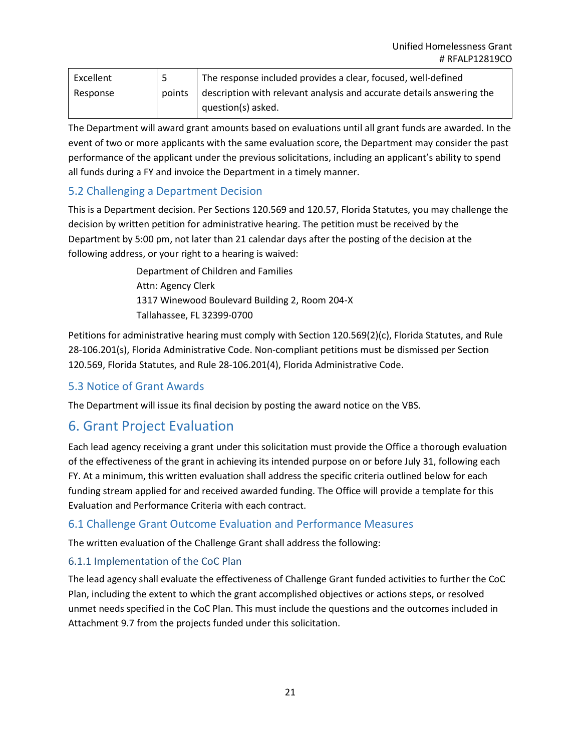| Excellent |        | The response included provides a clear, focused, well-defined         |  |
|-----------|--------|-----------------------------------------------------------------------|--|
| Response  | points | description with relevant analysis and accurate details answering the |  |
|           |        | question(s) asked.                                                    |  |

The Department will award grant amounts based on evaluations until all grant funds are awarded. In the event of two or more applicants with the same evaluation score, the Department may consider the past performance of the applicant under the previous solicitations, including an applicant's ability to spend all funds during a FY and invoice the Department in a timely manner.

#### <span id="page-20-0"></span>5.2 Challenging a Department Decision

This is a Department decision. Per Sections 120.569 and 120.57, Florida Statutes, you may challenge the decision by written petition for administrative hearing. The petition must be received by the Department by 5:00 pm, not later than 21 calendar days after the posting of the decision at the following address, or your right to a hearing is waived:

> Department of Children and Families Attn: Agency Clerk 1317 Winewood Boulevard Building 2, Room 204-X Tallahassee, FL 32399-0700

Petitions for administrative hearing must comply with Section 120.569(2)(c), Florida Statutes, and Rule 28-106.201(s), Florida Administrative Code. Non-compliant petitions must be dismissed per Section 120.569, Florida Statutes, and Rule 28-106.201(4), Florida Administrative Code.

#### <span id="page-20-1"></span>5.3 Notice of Grant Awards

The Department will issue its final decision by posting the award notice on the VBS.

## <span id="page-20-2"></span>6. Grant Project Evaluation

Each lead agency receiving a grant under this solicitation must provide the Office a thorough evaluation of the effectiveness of the grant in achieving its intended purpose on or before July 31, following each FY. At a minimum, this written evaluation shall address the specific criteria outlined below for each funding stream applied for and received awarded funding. The Office will provide a template for this Evaluation and Performance Criteria with each contract.

#### <span id="page-20-3"></span>6.1 Challenge Grant Outcome Evaluation and Performance Measures

The written evaluation of the Challenge Grant shall address the following:

#### <span id="page-20-4"></span>6.1.1 Implementation of the CoC Plan

The lead agency shall evaluate the effectiveness of Challenge Grant funded activities to further the CoC Plan, including the extent to which the grant accomplished objectives or actions steps, or resolved unmet needs specified in the CoC Plan. This must include the questions and the outcomes included in Attachment 9.7 from the projects funded under this solicitation.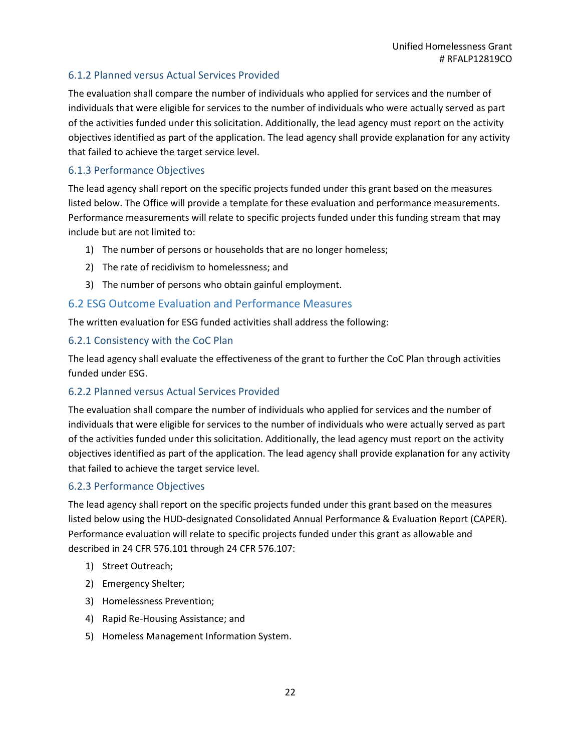#### <span id="page-21-0"></span>6.1.2 Planned versus Actual Services Provided

The evaluation shall compare the number of individuals who applied for services and the number of individuals that were eligible for services to the number of individuals who were actually served as part of the activities funded under this solicitation. Additionally, the lead agency must report on the activity objectives identified as part of the application. The lead agency shall provide explanation for any activity that failed to achieve the target service level.

#### <span id="page-21-1"></span>6.1.3 Performance Objectives

The lead agency shall report on the specific projects funded under this grant based on the measures listed below. The Office will provide a template for these evaluation and performance measurements. Performance measurements will relate to specific projects funded under this funding stream that may include but are not limited to:

- 1) The number of persons or households that are no longer homeless;
- 2) The rate of recidivism to homelessness; and
- 3) The number of persons who obtain gainful employment.

#### <span id="page-21-2"></span>6.2 ESG Outcome Evaluation and Performance Measures

The written evaluation for ESG funded activities shall address the following:

#### <span id="page-21-3"></span>6.2.1 Consistency with the CoC Plan

The lead agency shall evaluate the effectiveness of the grant to further the CoC Plan through activities funded under ESG.

#### <span id="page-21-4"></span>6.2.2 Planned versus Actual Services Provided

The evaluation shall compare the number of individuals who applied for services and the number of individuals that were eligible for services to the number of individuals who were actually served as part of the activities funded under this solicitation. Additionally, the lead agency must report on the activity objectives identified as part of the application. The lead agency shall provide explanation for any activity that failed to achieve the target service level.

#### <span id="page-21-5"></span>6.2.3 Performance Objectives

The lead agency shall report on the specific projects funded under this grant based on the measures listed below using the HUD-designated Consolidated Annual Performance & Evaluation Report (CAPER). Performance evaluation will relate to specific projects funded under this grant as allowable and described in 24 CFR 576.101 through 24 CFR 576.107:

- 1) Street Outreach;
- 2) Emergency Shelter;
- 3) Homelessness Prevention;
- 4) Rapid Re-Housing Assistance; and
- 5) Homeless Management Information System.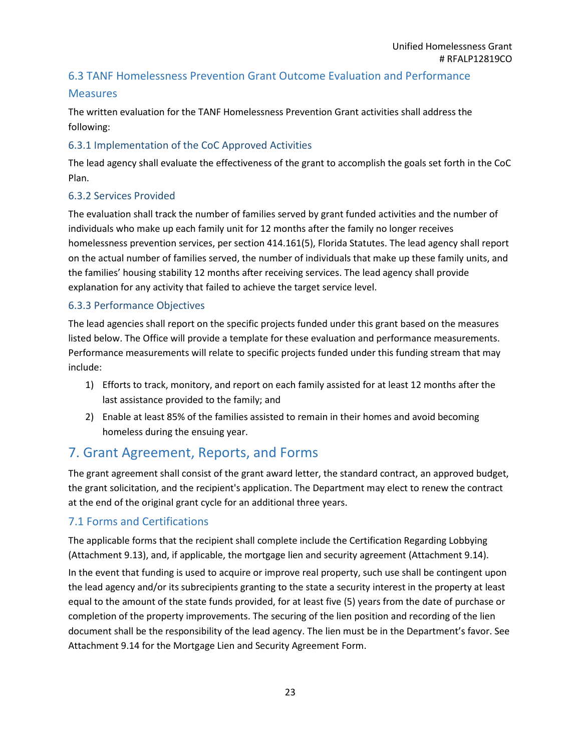#### <span id="page-22-0"></span>6.3 TANF Homelessness Prevention Grant Outcome Evaluation and Performance

#### Measures

The written evaluation for the TANF Homelessness Prevention Grant activities shall address the following:

#### <span id="page-22-1"></span>6.3.1 Implementation of the CoC Approved Activities

The lead agency shall evaluate the effectiveness of the grant to accomplish the goals set forth in the CoC Plan.

#### <span id="page-22-2"></span>6.3.2 Services Provided

The evaluation shall track the number of families served by grant funded activities and the number of individuals who make up each family unit for 12 months after the family no longer receives homelessness prevention services, per section 414.161(5), Florida Statutes. The lead agency shall report on the actual number of families served, the number of individuals that make up these family units, and the families' housing stability 12 months after receiving services. The lead agency shall provide explanation for any activity that failed to achieve the target service level.

#### <span id="page-22-3"></span>6.3.3 Performance Objectives

The lead agencies shall report on the specific projects funded under this grant based on the measures listed below. The Office will provide a template for these evaluation and performance measurements. Performance measurements will relate to specific projects funded under this funding stream that may include:

- 1) Efforts to track, monitory, and report on each family assisted for at least 12 months after the last assistance provided to the family; and
- 2) Enable at least 85% of the families assisted to remain in their homes and avoid becoming homeless during the ensuing year.

## <span id="page-22-4"></span>7. Grant Agreement, Reports, and Forms

The grant agreement shall consist of the grant award letter, the standard contract, an approved budget, the grant solicitation, and the recipient's application. The Department may elect to renew the contract at the end of the original grant cycle for an additional three years.

#### <span id="page-22-5"></span>7.1 Forms and Certifications

The applicable forms that the recipient shall complete include the Certification Regarding Lobbying (Attachment 9.13), and, if applicable, the mortgage lien and security agreement (Attachment 9.14).

In the event that funding is used to acquire or improve real property, such use shall be contingent upon the lead agency and/or its subrecipients granting to the state a security interest in the property at least equal to the amount of the state funds provided, for at least five (5) years from the date of purchase or completion of the property improvements. The securing of the lien position and recording of the lien document shall be the responsibility of the lead agency. The lien must be in the Department's favor. See Attachment 9.14 for the Mortgage Lien and Security Agreement Form.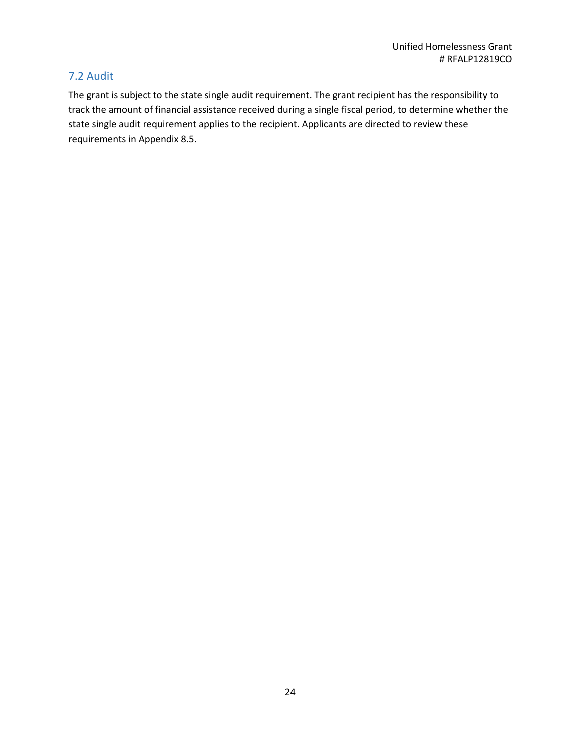#### <span id="page-23-0"></span>7.2 Audit

The grant is subject to the state single audit requirement. The grant recipient has the responsibility to track the amount of financial assistance received during a single fiscal period, to determine whether the state single audit requirement applies to the recipient. Applicants are directed to review these requirements in Appendix 8.5.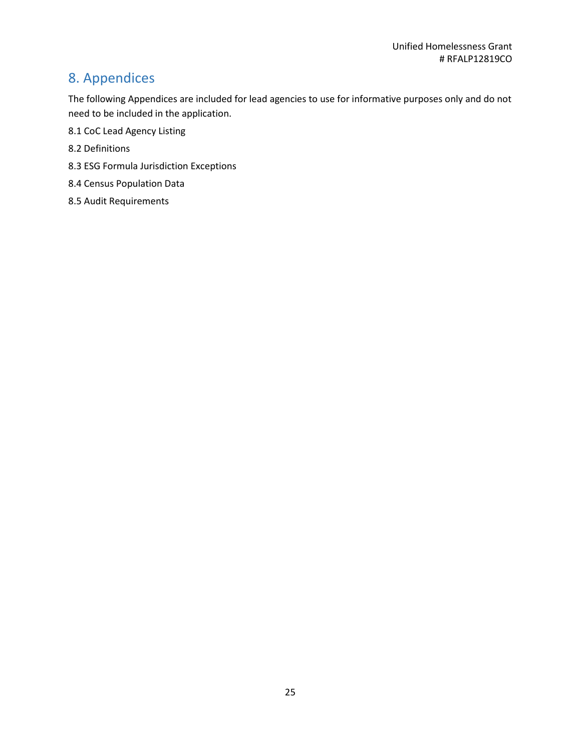## <span id="page-24-0"></span>8. Appendices

The following Appendices are included for lead agencies to use for informative purposes only and do not need to be included in the application.

- 8.1 CoC Lead Agency Listing
- 8.2 Definitions
- 8.3 ESG Formula Jurisdiction Exceptions
- 8.4 Census Population Data
- 8.5 Audit Requirements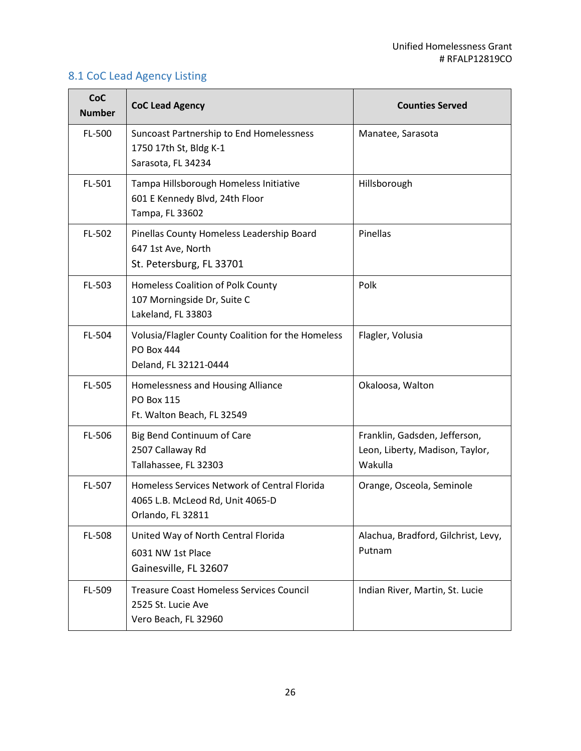## <span id="page-25-0"></span>8.1 CoC Lead Agency Listing

| CoC<br><b>Number</b> | <b>CoC Lead Agency</b>                                                                                | <b>Counties Served</b>                                                      |
|----------------------|-------------------------------------------------------------------------------------------------------|-----------------------------------------------------------------------------|
| FL-500               | Suncoast Partnership to End Homelessness<br>1750 17th St, Bldg K-1<br>Sarasota, FL 34234              | Manatee, Sarasota                                                           |
| FL-501               | Tampa Hillsborough Homeless Initiative<br>601 E Kennedy Blvd, 24th Floor<br>Tampa, FL 33602           | Hillsborough                                                                |
| FL-502               | Pinellas County Homeless Leadership Board<br>647 1st Ave, North<br>St. Petersburg, FL 33701           | Pinellas                                                                    |
| FL-503               | Homeless Coalition of Polk County<br>107 Morningside Dr, Suite C<br>Lakeland, FL 33803                | Polk                                                                        |
| FL-504               | Volusia/Flagler County Coalition for the Homeless<br><b>PO Box 444</b><br>Deland, FL 32121-0444       | Flagler, Volusia                                                            |
| FL-505               | Homelessness and Housing Alliance<br><b>PO Box 115</b><br>Ft. Walton Beach, FL 32549                  | Okaloosa, Walton                                                            |
| FL-506               | Big Bend Continuum of Care<br>2507 Callaway Rd<br>Tallahassee, FL 32303                               | Franklin, Gadsden, Jefferson,<br>Leon, Liberty, Madison, Taylor,<br>Wakulla |
| FL-507               | Homeless Services Network of Central Florida<br>4065 L.B. McLeod Rd, Unit 4065-D<br>Orlando, FL 32811 | Orange, Osceola, Seminole                                                   |
| FL-508               | United Way of North Central Florida<br>6031 NW 1st Place<br>Gainesville, FL 32607                     | Alachua, Bradford, Gilchrist, Levy,<br>Putnam                               |
| FL-509               | <b>Treasure Coast Homeless Services Council</b><br>2525 St. Lucie Ave<br>Vero Beach, FL 32960         | Indian River, Martin, St. Lucie                                             |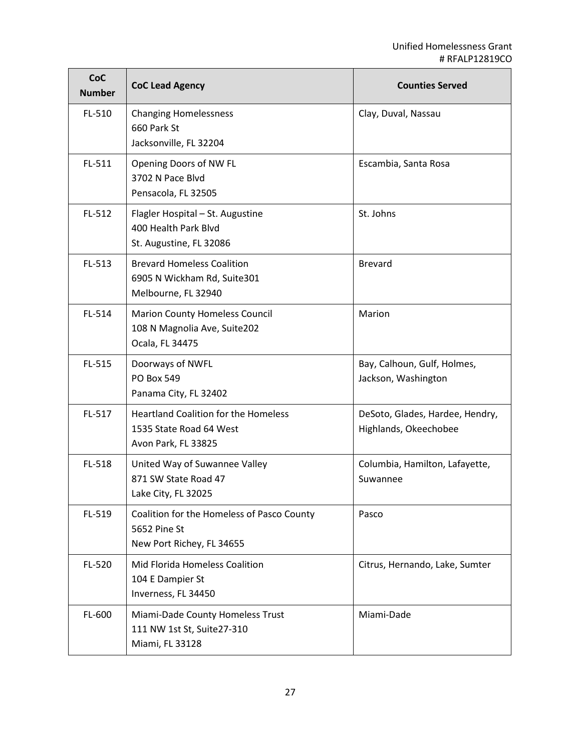| <b>CoC</b><br><b>Number</b> | <b>CoC Lead Agency</b>                                                                        | <b>Counties Served</b>                                   |
|-----------------------------|-----------------------------------------------------------------------------------------------|----------------------------------------------------------|
| FL-510                      | <b>Changing Homelessness</b><br>660 Park St<br>Jacksonville, FL 32204                         | Clay, Duval, Nassau                                      |
| FL-511                      | Opening Doors of NW FL<br>3702 N Pace Blvd<br>Pensacola, FL 32505                             | Escambia, Santa Rosa                                     |
| FL-512                      | Flagler Hospital - St. Augustine<br>400 Health Park Blvd<br>St. Augustine, FL 32086           | St. Johns                                                |
| FL-513                      | <b>Brevard Homeless Coalition</b><br>6905 N Wickham Rd, Suite301<br>Melbourne, FL 32940       | <b>Brevard</b>                                           |
| FL-514                      | <b>Marion County Homeless Council</b><br>108 N Magnolia Ave, Suite202<br>Ocala, FL 34475      | Marion                                                   |
| FL-515                      | Doorways of NWFL<br><b>PO Box 549</b><br>Panama City, FL 32402                                | Bay, Calhoun, Gulf, Holmes,<br>Jackson, Washington       |
| FL-517                      | <b>Heartland Coalition for the Homeless</b><br>1535 State Road 64 West<br>Avon Park, FL 33825 | DeSoto, Glades, Hardee, Hendry,<br>Highlands, Okeechobee |
| FL-518                      | United Way of Suwannee Valley<br>871 SW State Road 47<br>Lake City, FL 32025                  | Columbia, Hamilton, Lafayette,<br>Suwannee               |
| FL-519                      | Coalition for the Homeless of Pasco County<br>5652 Pine St<br>New Port Richey, FL 34655       | Pasco                                                    |
| FL-520                      | Mid Florida Homeless Coalition<br>104 E Dampier St<br>Inverness, FL 34450                     | Citrus, Hernando, Lake, Sumter                           |
| FL-600                      | Miami-Dade County Homeless Trust<br>111 NW 1st St, Suite27-310<br>Miami, FL 33128             | Miami-Dade                                               |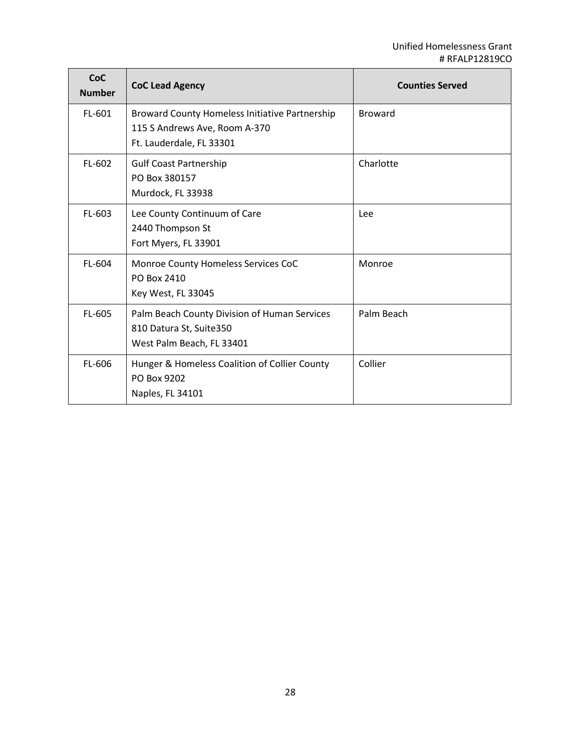| <b>CoC</b><br><b>Number</b> | <b>CoC Lead Agency</b>                                                                                      | <b>Counties Served</b> |
|-----------------------------|-------------------------------------------------------------------------------------------------------------|------------------------|
| FL-601                      | Broward County Homeless Initiative Partnership<br>115 S Andrews Ave, Room A-370<br>Ft. Lauderdale, FL 33301 | <b>Broward</b>         |
| FL-602                      | <b>Gulf Coast Partnership</b><br>PO Box 380157<br>Murdock, FL 33938                                         | Charlotte              |
| FL-603                      | Lee County Continuum of Care<br>2440 Thompson St<br>Fort Myers, FL 33901                                    | Lee                    |
| FL-604                      | Monroe County Homeless Services CoC<br>PO Box 2410<br>Key West, FL 33045                                    | Monroe                 |
| FL-605                      | Palm Beach County Division of Human Services<br>810 Datura St, Suite350<br>West Palm Beach, FL 33401        | Palm Beach             |
| FL-606                      | Hunger & Homeless Coalition of Collier County<br>PO Box 9202<br>Naples, FL 34101                            | Collier                |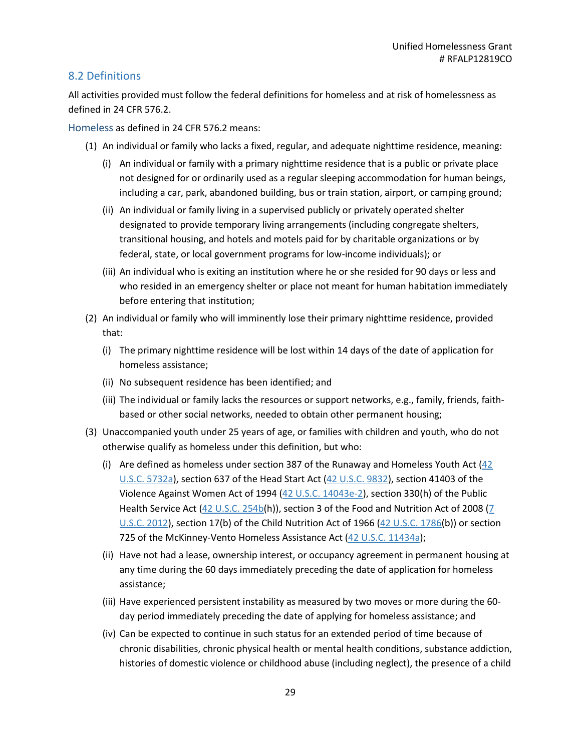#### <span id="page-28-0"></span>8.2 Definitions

All activities provided must follow the federal definitions for homeless and at risk of homelessness as defined in 24 CFR 576.2.

<span id="page-28-1"></span>Homeless as defined in 24 CFR 576.2 means:

- (1) An individual or family who lacks a fixed, regular, and adequate nighttime residence, meaning:
	- (i) An individual or family with a primary nighttime residence that is a public or private place not designed for or ordinarily used as a regular sleeping accommodation for human beings, including a car, park, abandoned building, bus or train station, airport, or camping ground;
	- (ii) An individual or family living in a supervised publicly or privately operated shelter designated to provide temporary living arrangements (including congregate shelters, transitional housing, and hotels and motels paid for by charitable organizations or by federal, state, or local government programs for low-income individuals); or
	- (iii) An individual who is exiting an institution where he or she resided for 90 days or less and who resided in an emergency shelter or place not meant for human habitation immediately before entering that institution;
- (2) An individual or family who will imminently lose their primary nighttime residence, provided that:
	- (i) The primary nighttime residence will be lost within 14 days of the date of application for homeless assistance;
	- (ii) No subsequent residence has been identified; and
	- (iii) The individual or family lacks the resources or support networks, e.g., family, friends, faithbased or other social networks, needed to obtain other permanent housing;
- (3) Unaccompanied youth under 25 years of age, or families with children and youth, who do not otherwise qualify as homeless under this definition, but who:
	- (i) Are defined as homeless under section 387 of the Runaway and Homeless Youth Act [\(42](https://www.govregs.com/uscode/42/5732a)  [U.S.C. 5732a\)](https://www.govregs.com/uscode/42/5732a), section 637 of the Head Start Act [\(42 U.S.C. 9832\)](https://www.govregs.com/uscode/42/9832), section 41403 of the Violence Against Women Act of 1994 [\(42 U.S.C. 14043e-2\)](https://www.govregs.com/uscode/42/14043e-2), section 330(h) of the Public Health Service Act  $(42 \text{ U.S.C. } 254\text{b(h)}),$  section 3 of the Food and Nutrition Act of 2008 (7 [U.S.C. 2012\)](https://www.govregs.com/uscode/7/2012), section 17(b) of the Child Nutrition Act of 1966 [\(42 U.S.C. 1786\(](https://www.govregs.com/uscode/42/1786)b)) or section 725 of the McKinney-Vento Homeless Assistance Act [\(42 U.S.C. 11434a\)](https://www.govregs.com/uscode/42/11434a);
	- (ii) Have not had a lease, ownership interest, or occupancy agreement in permanent housing at any time during the 60 days immediately preceding the date of application for homeless assistance;
	- (iii) Have experienced persistent instability as measured by two moves or more during the 60 day period immediately preceding the date of applying for homeless assistance; and
	- (iv) Can be expected to continue in such status for an extended period of time because of chronic disabilities, chronic physical health or mental health conditions, substance addiction, histories of domestic violence or childhood abuse (including neglect), the presence of a child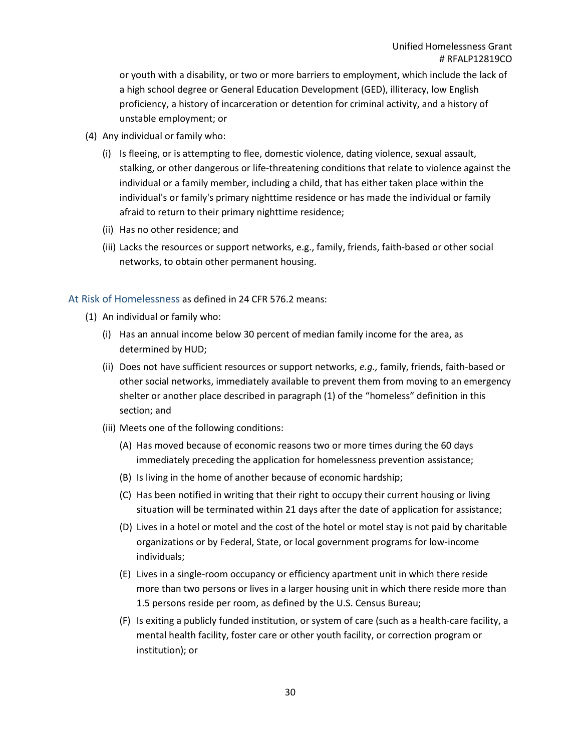or youth with a disability, or two or more barriers to employment, which include the lack of a high school degree or General Education Development (GED), illiteracy, low English proficiency, a history of incarceration or detention for criminal activity, and a history of unstable employment; or

- (4) Any individual or family who:
	- (i) Is fleeing, or is attempting to flee, domestic violence, dating violence, sexual assault, stalking, or other dangerous or life-threatening conditions that relate to violence against the individual or a family member, including a child, that has either taken place within the individual's or family's primary nighttime residence or has made the individual or family afraid to return to their primary nighttime residence;
	- (ii) Has no other residence; and
	- (iii) Lacks the resources or support networks, e.g., family, friends, faith-based or other social networks, to obtain other permanent housing.

#### <span id="page-29-0"></span>At Risk of Homelessness as defined in 24 CFR 576.2 means:

- (1) An individual or family who:
	- (i) Has an annual income below 30 percent of median family income for the area, as determined by HUD;
	- (ii) Does not have sufficient resources or support networks, *e.g.,* family, friends, faith-based or other social networks, immediately available to prevent them from moving to an emergency shelter or another place described in paragraph (1) of the "homeless" definition in this section; and
	- (iii) Meets one of the following conditions:
		- (A) Has moved because of economic reasons two or more times during the 60 days immediately preceding the application for homelessness prevention assistance;
		- (B) Is living in the home of another because of economic hardship;
		- (C) Has been notified in writing that their right to occupy their current housing or living situation will be terminated within 21 days after the date of application for assistance;
		- (D) Lives in a hotel or motel and the cost of the hotel or motel stay is not paid by charitable organizations or by Federal, State, or local government programs for low-income individuals;
		- (E) Lives in a single-room occupancy or efficiency apartment unit in which there reside more than two persons or lives in a larger housing unit in which there reside more than 1.5 persons reside per room, as defined by the U.S. Census Bureau;
		- (F) Is exiting a publicly funded institution, or system of care (such as a health-care facility, a mental health facility, foster care or other youth facility, or correction program or institution); or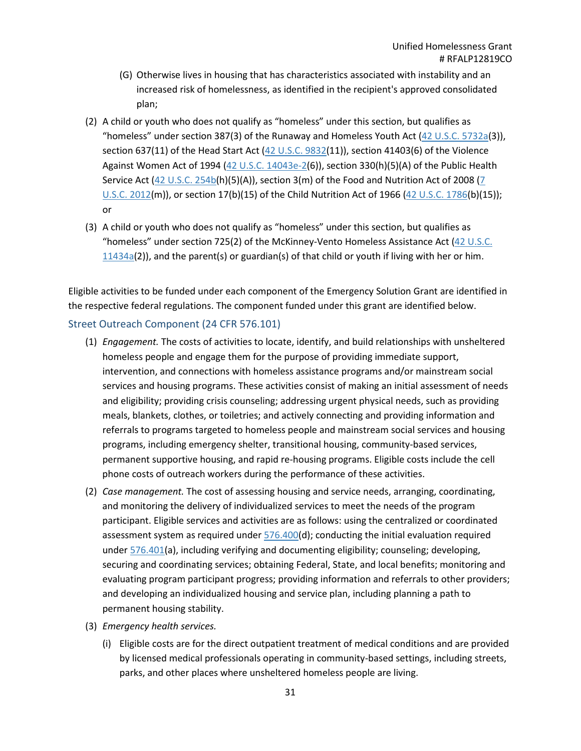- (G) Otherwise lives in housing that has characteristics associated with instability and an increased risk of homelessness, as identified in the recipient's approved consolidated plan;
- (2) A child or youth who does not qualify as "homeless" under this section, but qualifies as "homeless" under section 387(3) of the Runaway and Homeless Youth Act [\(42 U.S.C. 5732a\(](https://www.govregs.com/uscode/42/5732a)3)), section 637(11) of the Head Start Act [\(42 U.S.C. 9832\(](https://www.govregs.com/uscode/42/9832)11)), section 41403(6) of the Violence Against Women Act of 1994 [\(42 U.S.C. 14043e-2\(](https://www.govregs.com/uscode/42/14043e-2)6)), section 330(h)(5)(A) of the Public Health Service Act  $(42 \text{ U.S.C. } 254\text{b(h)}(5)(A))$ , section 3(m) of the Food and Nutrition Act of 2008 (7 [U.S.C. 2012\(](https://www.govregs.com/uscode/7/2012)m)), or section 17(b)(15) of the Child Nutrition Act of 1966 [\(42 U.S.C. 1786\(](https://www.govregs.com/uscode/42/1786)b)(15)); or
- (3) A child or youth who does not qualify as "homeless" under this section, but qualifies as "homeless" under section 725(2) of the McKinney-Vento Homeless Assistance Act [\(42 U.S.C.](https://www.govregs.com/uscode/42/11434a)   $11434a(2)$  $11434a(2)$ ), and the parent(s) or guardian(s) of that child or youth if living with her or him.

Eligible activities to be funded under each component of the Emergency Solution Grant are identified in the respective federal regulations. The component funded under this grant are identified below.

#### <span id="page-30-0"></span>Street Outreach Component (24 CFR 576.101)

- (1) *Engagement.* The costs of activities to locate, identify, and build relationships with unsheltered homeless people and engage them for the purpose of providing immediate support, intervention, and connections with homeless assistance programs and/or mainstream social services and housing programs. These activities consist of making an initial assessment of needs and eligibility; providing crisis counseling; addressing urgent physical needs, such as providing meals, blankets, clothes, or toiletries; and actively connecting and providing information and referrals to programs targeted to homeless people and mainstream social services and housing programs, including emergency shelter, transitional housing, community-based services, permanent supportive housing, and rapid re-housing programs. Eligible costs include the cell phone costs of outreach workers during the performance of these activities.
- (2) *Case management.* The cost of assessing housing and service needs, arranging, coordinating, and monitoring the delivery of individualized services to meet the needs of the program participant. Eligible services and activities are as follows: using the centralized or coordinated assessment system as required under [576.400\(](https://www.govregs.com/regulations/24/576.400)d); conducting the initial evaluation required under [576.401\(](https://www.govregs.com/regulations/24/576.401)a), including verifying and documenting eligibility; counseling; developing, securing and coordinating services; obtaining Federal, State, and local benefits; monitoring and evaluating program participant progress; providing information and referrals to other providers; and developing an individualized housing and service plan, including planning a path to permanent housing stability.
- (3) *Emergency health services.*
	- (i) Eligible costs are for the direct outpatient treatment of medical conditions and are provided by licensed medical professionals operating in community-based settings, including streets, parks, and other places where unsheltered homeless people are living.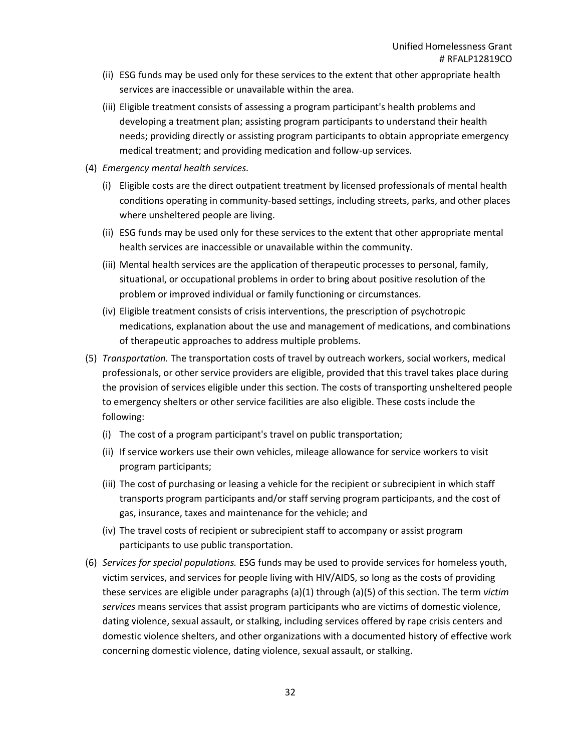- (ii) ESG funds may be used only for these services to the extent that other appropriate health services are inaccessible or unavailable within the area.
- (iii) Eligible treatment consists of assessing a program participant's health problems and developing a treatment plan; assisting program participants to understand their health needs; providing directly or assisting program participants to obtain appropriate emergency medical treatment; and providing medication and follow-up services.
- (4) *Emergency mental health services.*
	- (i) Eligible costs are the direct outpatient treatment by licensed professionals of mental health conditions operating in community-based settings, including streets, parks, and other places where unsheltered people are living.
	- (ii) ESG funds may be used only for these services to the extent that other appropriate mental health services are inaccessible or unavailable within the community.
	- (iii) Mental health services are the application of therapeutic processes to personal, family, situational, or occupational problems in order to bring about positive resolution of the problem or improved individual or family functioning or circumstances.
	- (iv) Eligible treatment consists of crisis interventions, the prescription of psychotropic medications, explanation about the use and management of medications, and combinations of therapeutic approaches to address multiple problems.
- (5) *Transportation.* The transportation costs of travel by outreach workers, social workers, medical professionals, or other service providers are eligible, provided that this travel takes place during the provision of services eligible under this section. The costs of transporting unsheltered people to emergency shelters or other service facilities are also eligible. These costs include the following:
	- (i) The cost of a program participant's travel on public transportation;
	- (ii) If service workers use their own vehicles, mileage allowance for service workers to visit program participants;
	- (iii) The cost of purchasing or leasing a vehicle for the recipient or subrecipient in which staff transports program participants and/or staff serving program participants, and the cost of gas, insurance, taxes and maintenance for the vehicle; and
	- (iv) The travel costs of recipient or subrecipient staff to accompany or assist program participants to use public transportation.
- (6) *Services for special populations.* ESG funds may be used to provide services for homeless youth, victim services, and services for people living with HIV/AIDS, so long as the costs of providing these services are eligible under paragraphs (a)(1) through (a)(5) of this section. The term *victim services* means services that assist program participants who are victims of domestic violence, dating violence, sexual assault, or stalking, including services offered by rape crisis centers and domestic violence shelters, and other organizations with a documented history of effective work concerning domestic violence, dating violence, sexual assault, or stalking.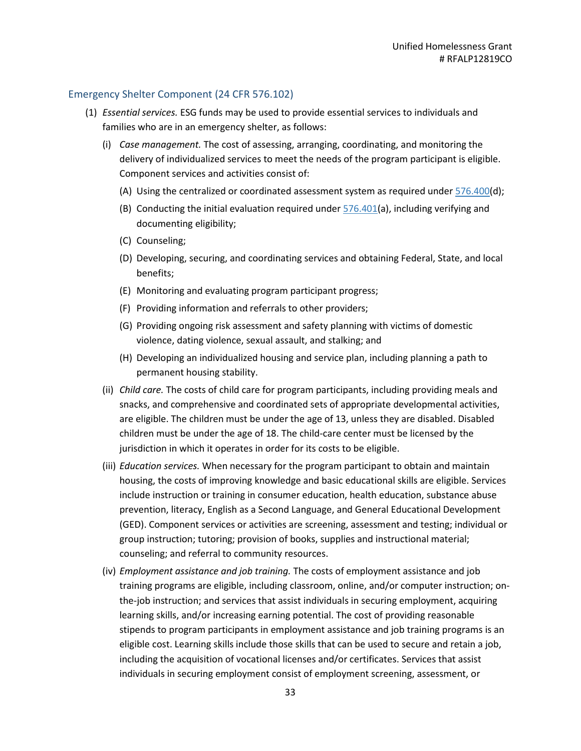#### <span id="page-32-0"></span>Emergency Shelter Component (24 CFR 576.102)

- (1) *Essential services.* ESG funds may be used to provide essential services to individuals and families who are in an emergency shelter, as follows:
	- (i) *Case management.* The cost of assessing, arranging, coordinating, and monitoring the delivery of individualized services to meet the needs of the program participant is eligible. Component services and activities consist of:
		- (A) Using the centralized or coordinated assessment system as required under  $576.400(d)$  $576.400(d)$ ;
		- (B) Conducting the initial evaluation required under  $576.401(a)$  $576.401(a)$ , including verifying and documenting eligibility;
		- (C) Counseling;
		- (D) Developing, securing, and coordinating services and obtaining Federal, State, and local benefits;
		- (E) Monitoring and evaluating program participant progress;
		- (F) Providing information and referrals to other providers;
		- (G) Providing ongoing risk assessment and safety planning with victims of domestic violence, dating violence, sexual assault, and stalking; and
		- (H) Developing an individualized housing and service plan, including planning a path to permanent housing stability.
	- (ii) *Child care.* The costs of child care for program participants, including providing meals and snacks, and comprehensive and coordinated sets of appropriate developmental activities, are eligible. The children must be under the age of 13, unless they are disabled. Disabled children must be under the age of 18. The child-care center must be licensed by the jurisdiction in which it operates in order for its costs to be eligible.
	- (iii) *Education services.* When necessary for the program participant to obtain and maintain housing, the costs of improving knowledge and basic educational skills are eligible. Services include instruction or training in consumer education, health education, substance abuse prevention, literacy, English as a Second Language, and General Educational Development (GED). Component services or activities are screening, assessment and testing; individual or group instruction; tutoring; provision of books, supplies and instructional material; counseling; and referral to community resources.
	- (iv) *Employment assistance and job training.* The costs of employment assistance and job training programs are eligible, including classroom, online, and/or computer instruction; onthe-job instruction; and services that assist individuals in securing employment, acquiring learning skills, and/or increasing earning potential. The cost of providing reasonable stipends to program participants in employment assistance and job training programs is an eligible cost. Learning skills include those skills that can be used to secure and retain a job, including the acquisition of vocational licenses and/or certificates. Services that assist individuals in securing employment consist of employment screening, assessment, or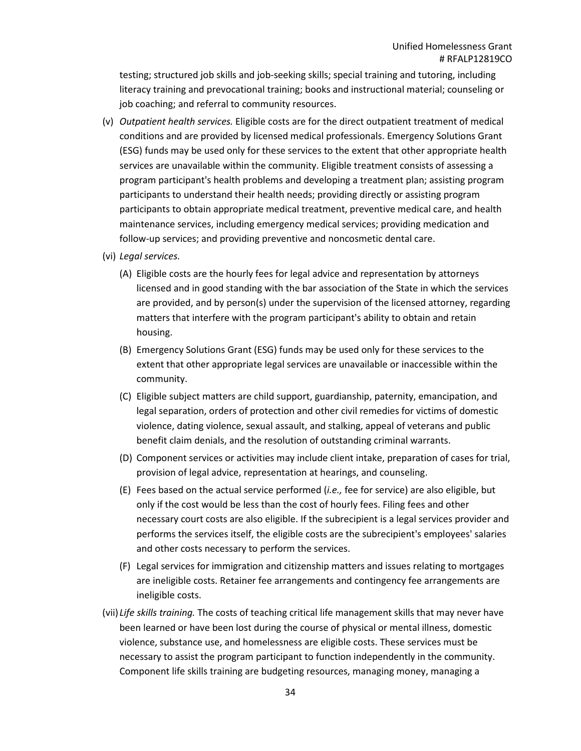testing; structured job skills and job-seeking skills; special training and tutoring, including literacy training and prevocational training; books and instructional material; counseling or job coaching; and referral to community resources.

- (v) *Outpatient health services.* Eligible costs are for the direct outpatient treatment of medical conditions and are provided by licensed medical professionals. Emergency Solutions Grant (ESG) funds may be used only for these services to the extent that other appropriate health services are unavailable within the community. Eligible treatment consists of assessing a program participant's health problems and developing a treatment plan; assisting program participants to understand their health needs; providing directly or assisting program participants to obtain appropriate medical treatment, preventive medical care, and health maintenance services, including emergency medical services; providing medication and follow-up services; and providing preventive and noncosmetic dental care.
- (vi) *Legal services.*
	- (A) Eligible costs are the hourly fees for legal advice and representation by attorneys licensed and in good standing with the bar association of the State in which the services are provided, and by person(s) under the supervision of the licensed attorney, regarding matters that interfere with the program participant's ability to obtain and retain housing.
	- (B) Emergency Solutions Grant (ESG) funds may be used only for these services to the extent that other appropriate legal services are unavailable or inaccessible within the community.
	- (C) Eligible subject matters are child support, guardianship, paternity, emancipation, and legal separation, orders of protection and other civil remedies for victims of domestic violence, dating violence, sexual assault, and stalking, appeal of veterans and public benefit claim denials, and the resolution of outstanding criminal warrants.
	- (D) Component services or activities may include client intake, preparation of cases for trial, provision of legal advice, representation at hearings, and counseling.
	- (E) Fees based on the actual service performed (*i.e.,* fee for service) are also eligible, but only if the cost would be less than the cost of hourly fees. Filing fees and other necessary court costs are also eligible. If the subrecipient is a legal services provider and performs the services itself, the eligible costs are the subrecipient's employees' salaries and other costs necessary to perform the services.
	- (F) Legal services for immigration and citizenship matters and issues relating to mortgages are ineligible costs. Retainer fee arrangements and contingency fee arrangements are ineligible costs.
- (vii) *Life skills training.* The costs of teaching critical life management skills that may never have been learned or have been lost during the course of physical or mental illness, domestic violence, substance use, and homelessness are eligible costs. These services must be necessary to assist the program participant to function independently in the community. Component life skills training are budgeting resources, managing money, managing a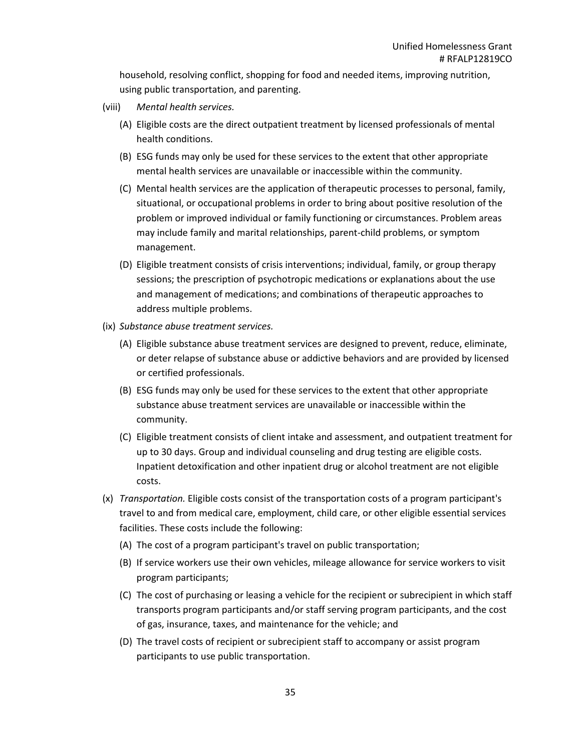household, resolving conflict, shopping for food and needed items, improving nutrition, using public transportation, and parenting.

- (viii) *Mental health services.*
	- (A) Eligible costs are the direct outpatient treatment by licensed professionals of mental health conditions.
	- (B) ESG funds may only be used for these services to the extent that other appropriate mental health services are unavailable or inaccessible within the community.
	- (C) Mental health services are the application of therapeutic processes to personal, family, situational, or occupational problems in order to bring about positive resolution of the problem or improved individual or family functioning or circumstances. Problem areas may include family and marital relationships, parent-child problems, or symptom management.
	- (D) Eligible treatment consists of crisis interventions; individual, family, or group therapy sessions; the prescription of psychotropic medications or explanations about the use and management of medications; and combinations of therapeutic approaches to address multiple problems.
- (ix) *Substance abuse treatment services.*
	- (A) Eligible substance abuse treatment services are designed to prevent, reduce, eliminate, or deter relapse of substance abuse or addictive behaviors and are provided by licensed or certified professionals.
	- (B) ESG funds may only be used for these services to the extent that other appropriate substance abuse treatment services are unavailable or inaccessible within the community.
	- (C) Eligible treatment consists of client intake and assessment, and outpatient treatment for up to 30 days. Group and individual counseling and drug testing are eligible costs. Inpatient detoxification and other inpatient drug or alcohol treatment are not eligible costs.
- (x) *Transportation.* Eligible costs consist of the transportation costs of a program participant's travel to and from medical care, employment, child care, or other eligible essential services facilities. These costs include the following:
	- (A) The cost of a program participant's travel on public transportation;
	- (B) If service workers use their own vehicles, mileage allowance for service workers to visit program participants;
	- (C) The cost of purchasing or leasing a vehicle for the recipient or subrecipient in which staff transports program participants and/or staff serving program participants, and the cost of gas, insurance, taxes, and maintenance for the vehicle; and
	- (D) The travel costs of recipient or subrecipient staff to accompany or assist program participants to use public transportation.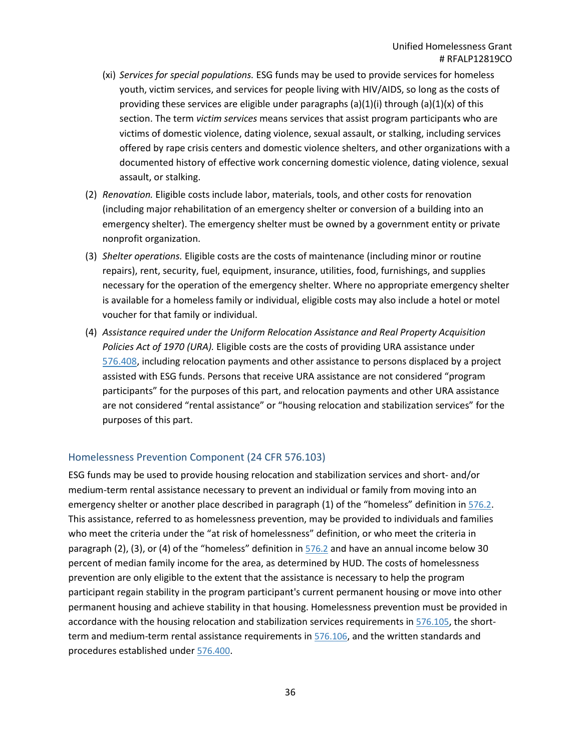- (xi) *Services for special populations.* ESG funds may be used to provide services for homeless youth, victim services, and services for people living with HIV/AIDS, so long as the costs of providing these services are eligible under paragraphs (a)(1)(i) through (a)(1)(x) of this section. The term *victim services* means services that assist program participants who are victims of domestic violence, dating violence, sexual assault, or stalking, including services offered by rape crisis centers and domestic violence shelters, and other organizations with a documented history of effective work concerning domestic violence, dating violence, sexual assault, or stalking.
- (2) *Renovation.* Eligible costs include labor, materials, tools, and other costs for renovation (including major rehabilitation of an emergency shelter or conversion of a building into an emergency shelter). The emergency shelter must be owned by a government entity or private nonprofit organization.
- (3) *Shelter operations.* Eligible costs are the costs of maintenance (including minor or routine repairs), rent, security, fuel, equipment, insurance, utilities, food, furnishings, and supplies necessary for the operation of the emergency shelter. Where no appropriate emergency shelter is available for a homeless family or individual, eligible costs may also include a hotel or motel voucher for that family or individual.
- (4) *Assistance required under the Uniform Relocation Assistance and Real Property Acquisition Policies Act of 1970 (URA).* Eligible costs are the costs of providing URA assistance under [576.408,](https://www.govregs.com/regulations/24/576.408) including relocation payments and other assistance to persons displaced by a project assisted with ESG funds. Persons that receive URA assistance are not considered "program participants" for the purposes of this part, and relocation payments and other URA assistance are not considered "rental assistance" or "housing relocation and stabilization services" for the purposes of this part.

#### <span id="page-35-0"></span>Homelessness Prevention Component (24 CFR 576.103)

ESG funds may be used to provide housing relocation and stabilization services and short- and/or medium-term rental assistance necessary to prevent an individual or family from moving into an emergency shelter or another place described in paragraph (1) of the "homeless" definition in [576.2.](https://www.govregs.com/regulations/24/576.2) This assistance, referred to as homelessness prevention, may be provided to individuals and families who meet the criteria under the "at risk of homelessness" definition, or who meet the criteria in paragraph (2), (3), or (4) of the "homeless" definition in [576.2](https://www.govregs.com/regulations/24/576.2) and have an annual income below 30 percent of median family income for the area, as determined by HUD. The costs of homelessness prevention are only eligible to the extent that the assistance is necessary to help the program participant regain stability in the program participant's current permanent housing or move into other permanent housing and achieve stability in that housing. Homelessness prevention must be provided in accordance with the housing relocation and stabilization services requirements in [576.105,](https://www.govregs.com/regulations/24/576.105) the short-term and medium-term rental assistance requirements in [576.106,](https://www.govregs.com/regulations/24/576.106) and the written standards and procedures established under [576.400.](https://www.govregs.com/regulations/24/576.400)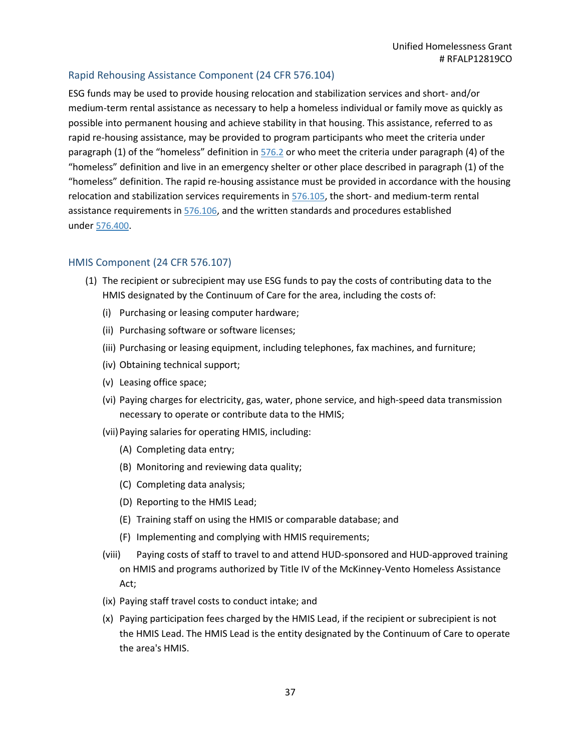## Rapid Rehousing Assistance Component (24 CFR 576.104)

ESG funds may be used to provide housing relocation and stabilization services and short- and/or medium-term rental assistance as necessary to help a homeless individual or family move as quickly as possible into permanent housing and achieve stability in that housing. This assistance, referred to as rapid re-housing assistance, may be provided to program participants who meet the criteria under paragraph (1) of the "homeless" definition in [576.2](https://www.govregs.com/regulations/24/576.2) or who meet the criteria under paragraph (4) of the "homeless" definition and live in an emergency shelter or other place described in paragraph (1) of the "homeless" definition. The rapid re-housing assistance must be provided in accordance with the housing relocation and stabilization services requirements in [576.105,](https://www.govregs.com/regulations/24/576.105) the short- and medium-term rental assistance requirements in [576.106,](https://www.govregs.com/regulations/24/576.106) and the written standards and procedures established under [576.400.](https://www.govregs.com/regulations/24/576.400)

### HMIS Component (24 CFR 576.107)

- (1) The recipient or subrecipient may use ESG funds to pay the costs of contributing data to the HMIS designated by the Continuum of Care for the area, including the costs of:
	- (i) Purchasing or leasing computer hardware;
	- (ii) Purchasing software or software licenses;
	- (iii) Purchasing or leasing equipment, including telephones, fax machines, and furniture;
	- (iv) Obtaining technical support;
	- (v) Leasing office space;
	- (vi) Paying charges for electricity, gas, water, phone service, and high-speed data transmission necessary to operate or contribute data to the HMIS;
	- (vii)Paying salaries for operating HMIS, including:
		- (A) Completing data entry;
		- (B) Monitoring and reviewing data quality;
		- (C) Completing data analysis;
		- (D) Reporting to the HMIS Lead;
		- (E) Training staff on using the HMIS or comparable database; and
		- (F) Implementing and complying with HMIS requirements;
	- (viii) Paying costs of staff to travel to and attend HUD-sponsored and HUD-approved training on HMIS and programs authorized by Title IV of the McKinney-Vento Homeless Assistance Act;
	- (ix) Paying staff travel costs to conduct intake; and
	- (x) Paying participation fees charged by the HMIS Lead, if the recipient or subrecipient is not the HMIS Lead. The HMIS Lead is the entity designated by the Continuum of Care to operate the area's HMIS.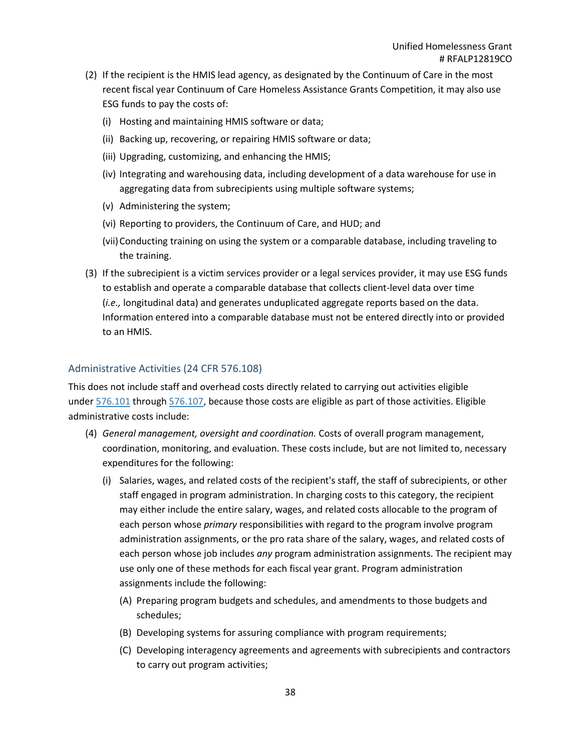- (2) If the recipient is the HMIS lead agency, as designated by the Continuum of Care in the most recent fiscal year Continuum of Care Homeless Assistance Grants Competition, it may also use ESG funds to pay the costs of:
	- (i) Hosting and maintaining HMIS software or data;
	- (ii) Backing up, recovering, or repairing HMIS software or data;
	- (iii) Upgrading, customizing, and enhancing the HMIS;
	- (iv) Integrating and warehousing data, including development of a data warehouse for use in aggregating data from subrecipients using multiple software systems;
	- (v) Administering the system;
	- (vi) Reporting to providers, the Continuum of Care, and HUD; and
	- (vii)Conducting training on using the system or a comparable database, including traveling to the training.
- (3) If the subrecipient is a victim services provider or a legal services provider, it may use ESG funds to establish and operate a comparable database that collects client-level data over time (*i.e.,* longitudinal data) and generates unduplicated aggregate reports based on the data. Information entered into a comparable database must not be entered directly into or provided to an HMIS.

### Administrative Activities (24 CFR 576.108)

This does not include staff and overhead costs directly related to carrying out activities eligible under [576.101](https://www.govregs.com/regulations/24/576.101) through [576.107,](https://www.govregs.com/regulations/24/576.107) because those costs are eligible as part of those activities. Eligible administrative costs include:

- (4) *General management, oversight and coordination.* Costs of overall program management, coordination, monitoring, and evaluation. These costs include, but are not limited to, necessary expenditures for the following:
	- (i) Salaries, wages, and related costs of the recipient's staff, the staff of subrecipients, or other staff engaged in program administration. In charging costs to this category, the recipient may either include the entire salary, wages, and related costs allocable to the program of each person whose *primary* responsibilities with regard to the program involve program administration assignments, or the pro rata share of the salary, wages, and related costs of each person whose job includes *any* program administration assignments. The recipient may use only one of these methods for each fiscal year grant. Program administration assignments include the following:
		- (A) Preparing program budgets and schedules, and amendments to those budgets and schedules;
		- (B) Developing systems for assuring compliance with program requirements;
		- (C) Developing interagency agreements and agreements with subrecipients and contractors to carry out program activities;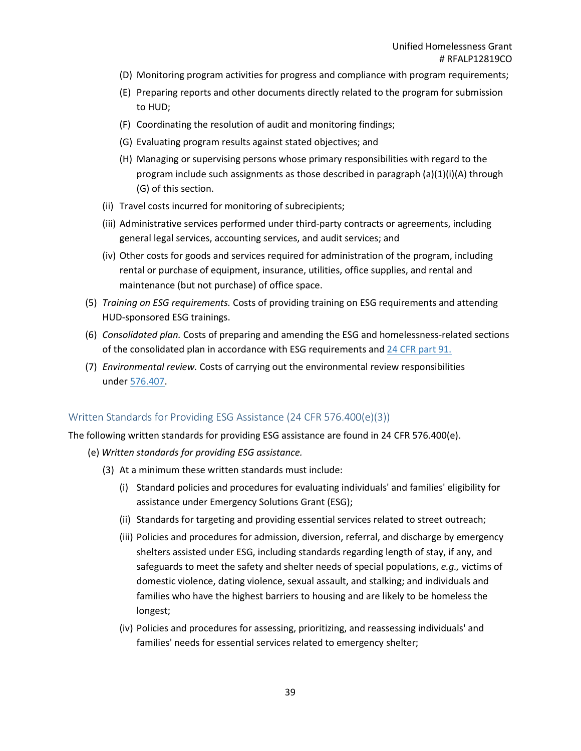- (D) Monitoring program activities for progress and compliance with program requirements;
- (E) Preparing reports and other documents directly related to the program for submission to HUD;
- (F) Coordinating the resolution of audit and monitoring findings;
- (G) Evaluating program results against stated objectives; and
- (H) Managing or supervising persons whose primary responsibilities with regard to the program include such assignments as those described in paragraph (a)(1)(i)(A) through (G) of this section.
- (ii) Travel costs incurred for monitoring of subrecipients;
- (iii) Administrative services performed under third-party contracts or agreements, including general legal services, accounting services, and audit services; and
- (iv) Other costs for goods and services required for administration of the program, including rental or purchase of equipment, insurance, utilities, office supplies, and rental and maintenance (but not purchase) of office space.
- (5) *Training on ESG requirements.* Costs of providing training on ESG requirements and attending HUD-sponsored ESG trainings.
- (6) *Consolidated plan.* Costs of preparing and amending the ESG and homelessness-related sections of the consolidated plan in accordance with ESG requirements and [24 CFR part 91.](https://www.govregs.com/regulations/24/91.)
- (7) *Environmental review.* Costs of carrying out the environmental review responsibilities under [576.407.](https://www.govregs.com/regulations/24/576.407)

### Written Standards for Providing ESG Assistance (24 CFR 576.400(e)(3))

The following written standards for providing ESG assistance are found in 24 CFR 576.400(e).

- (e) *Written standards for providing ESG assistance.*
	- (3) At a minimum these written standards must include:
		- (i) Standard policies and procedures for evaluating individuals' and families' eligibility for assistance under Emergency Solutions Grant (ESG);
		- (ii) Standards for targeting and providing essential services related to street outreach;
		- (iii) Policies and procedures for admission, diversion, referral, and discharge by emergency shelters assisted under ESG, including standards regarding length of stay, if any, and safeguards to meet the safety and shelter needs of special populations, *e.g.,* victims of domestic violence, dating violence, sexual assault, and stalking; and individuals and families who have the highest barriers to housing and are likely to be homeless the longest;
		- (iv) Policies and procedures for assessing, prioritizing, and reassessing individuals' and families' needs for essential services related to emergency shelter;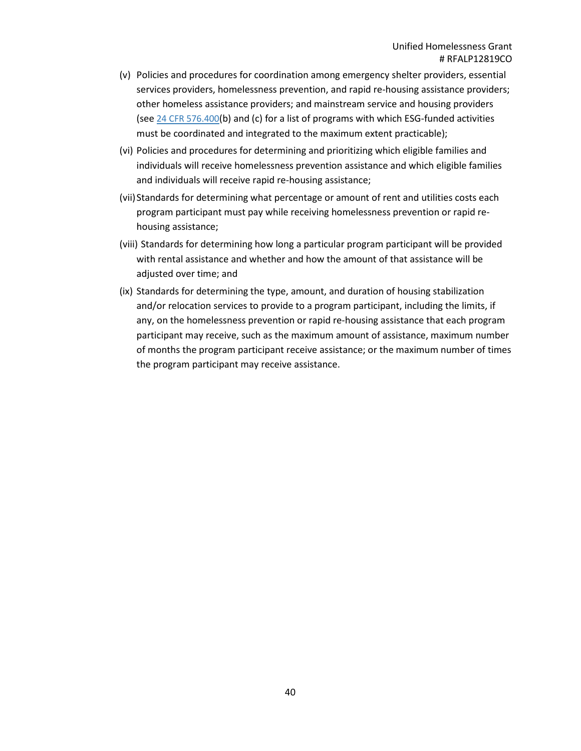- (v) Policies and procedures for coordination among emergency shelter providers, essential services providers, homelessness prevention, and rapid re-housing assistance providers; other homeless assistance providers; and mainstream service and housing providers (see 24 CFR [576.400\(](https://www.govregs.com/regulations/24/576.400)b) and (c) for a list of programs with which ESG-funded activities must be coordinated and integrated to the maximum extent practicable);
- (vi) Policies and procedures for determining and prioritizing which eligible families and individuals will receive homelessness prevention assistance and which eligible families and individuals will receive rapid re-housing assistance;
- (vii)Standards for determining what percentage or amount of rent and utilities costs each program participant must pay while receiving homelessness prevention or rapid rehousing assistance;
- (viii) Standards for determining how long a particular program participant will be provided with rental assistance and whether and how the amount of that assistance will be adjusted over time; and
- (ix) Standards for determining the type, amount, and duration of housing stabilization and/or relocation services to provide to a program participant, including the limits, if any, on the homelessness prevention or rapid re-housing assistance that each program participant may receive, such as the maximum amount of assistance, maximum number of months the program participant receive assistance; or the maximum number of times the program participant may receive assistance.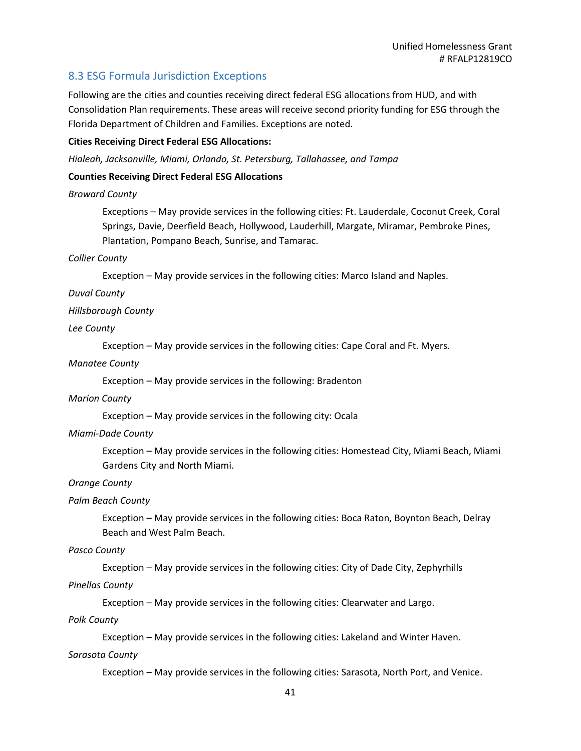# 8.3 ESG Formula Jurisdiction Exceptions

Following are the cities and counties receiving direct federal ESG allocations from HUD, and with Consolidation Plan requirements. These areas will receive second priority funding for ESG through the Florida Department of Children and Families. Exceptions are noted.

### **Cities Receiving Direct Federal ESG Allocations:**

*Hialeah, Jacksonville, Miami, Orlando, St. Petersburg, Tallahassee, and Tampa*

### **Counties Receiving Direct Federal ESG Allocations**

### *Broward County*

Exceptions – May provide services in the following cities: Ft. Lauderdale, Coconut Creek, Coral Springs, Davie, Deerfield Beach, Hollywood, Lauderhill, Margate, Miramar, Pembroke Pines, Plantation, Pompano Beach, Sunrise, and Tamarac.

### *Collier County*

Exception – May provide services in the following cities: Marco Island and Naples.

### *Duval County*

### *Hillsborough County*

### *Lee County*

Exception – May provide services in the following cities: Cape Coral and Ft. Myers.

### *Manatee County*

Exception – May provide services in the following: Bradenton

### *Marion County*

Exception – May provide services in the following city: Ocala

### *Miami-Dade County*

Exception – May provide services in the following cities: Homestead City, Miami Beach, Miami Gardens City and North Miami.

### *Orange County*

### *Palm Beach County*

Exception – May provide services in the following cities: Boca Raton, Boynton Beach, Delray Beach and West Palm Beach.

### *Pasco County*

Exception – May provide services in the following cities: City of Dade City, Zephyrhills

### *Pinellas County*

Exception – May provide services in the following cities: Clearwater and Largo.

### *Polk County*

Exception – May provide services in the following cities: Lakeland and Winter Haven.

### *Sarasota County*

Exception – May provide services in the following cities: Sarasota, North Port, and Venice.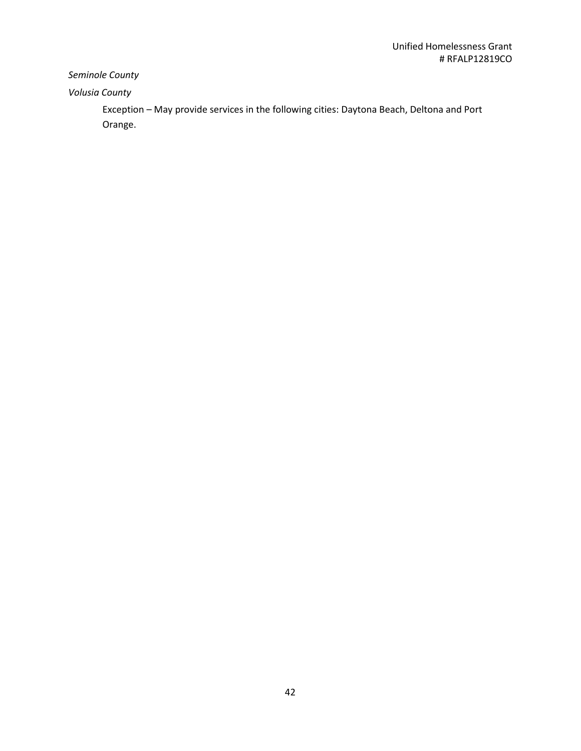# *Seminole County*

# *Volusia County*

Exception – May provide services in the following cities: Daytona Beach, Deltona and Port Orange.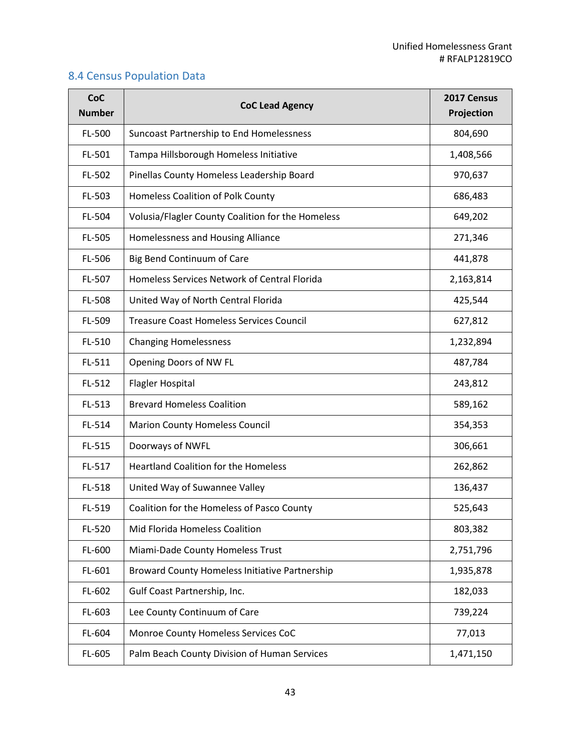# 8.4 Census Population Data

| <b>CoC</b><br><b>Number</b> | <b>CoC Lead Agency</b>                                | 2017 Census<br>Projection |
|-----------------------------|-------------------------------------------------------|---------------------------|
| FL-500                      | Suncoast Partnership to End Homelessness              | 804,690                   |
| FL-501                      | Tampa Hillsborough Homeless Initiative                | 1,408,566                 |
| FL-502                      | Pinellas County Homeless Leadership Board             | 970,637                   |
| FL-503                      | Homeless Coalition of Polk County                     | 686,483                   |
| FL-504                      | Volusia/Flagler County Coalition for the Homeless     | 649,202                   |
| FL-505                      | Homelessness and Housing Alliance                     | 271,346                   |
| FL-506                      | Big Bend Continuum of Care                            | 441,878                   |
| FL-507                      | Homeless Services Network of Central Florida          | 2,163,814                 |
| FL-508                      | United Way of North Central Florida                   | 425,544                   |
| FL-509                      | <b>Treasure Coast Homeless Services Council</b>       | 627,812                   |
| FL-510                      | <b>Changing Homelessness</b>                          | 1,232,894                 |
| FL-511                      | Opening Doors of NW FL                                | 487,784                   |
| FL-512                      | <b>Flagler Hospital</b>                               | 243,812                   |
| FL-513                      | <b>Brevard Homeless Coalition</b>                     | 589,162                   |
| FL-514                      | <b>Marion County Homeless Council</b>                 | 354,353                   |
| FL-515                      | Doorways of NWFL                                      | 306,661                   |
| FL-517                      | <b>Heartland Coalition for the Homeless</b>           | 262,862                   |
| FL-518                      | United Way of Suwannee Valley                         | 136,437                   |
| FL-519                      | Coalition for the Homeless of Pasco County            | 525,643                   |
| FL-520                      | Mid Florida Homeless Coalition                        | 803,382                   |
| FL-600                      | Miami-Dade County Homeless Trust                      | 2,751,796                 |
| FL-601                      | <b>Broward County Homeless Initiative Partnership</b> | 1,935,878                 |
| FL-602                      | Gulf Coast Partnership, Inc.                          | 182,033                   |
| FL-603                      | Lee County Continuum of Care                          | 739,224                   |
| FL-604                      | Monroe County Homeless Services CoC                   | 77,013                    |
| FL-605                      | Palm Beach County Division of Human Services          | 1,471,150                 |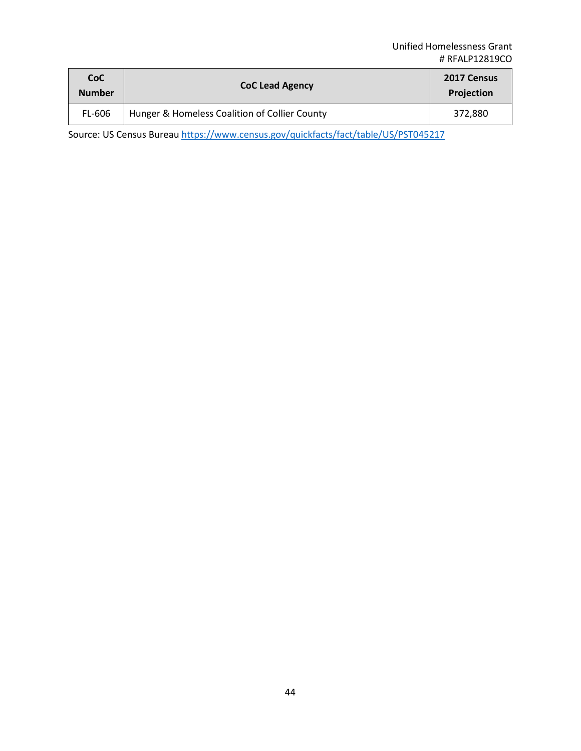| <b>CoC</b><br><b>Number</b> | <b>CoC Lead Agency</b>                        | 2017 Census<br>Projection |
|-----------------------------|-----------------------------------------------|---------------------------|
| FL-606                      | Hunger & Homeless Coalition of Collier County | 372,880                   |

Source: US Census Bureau <https://www.census.gov/quickfacts/fact/table/US/PST045217>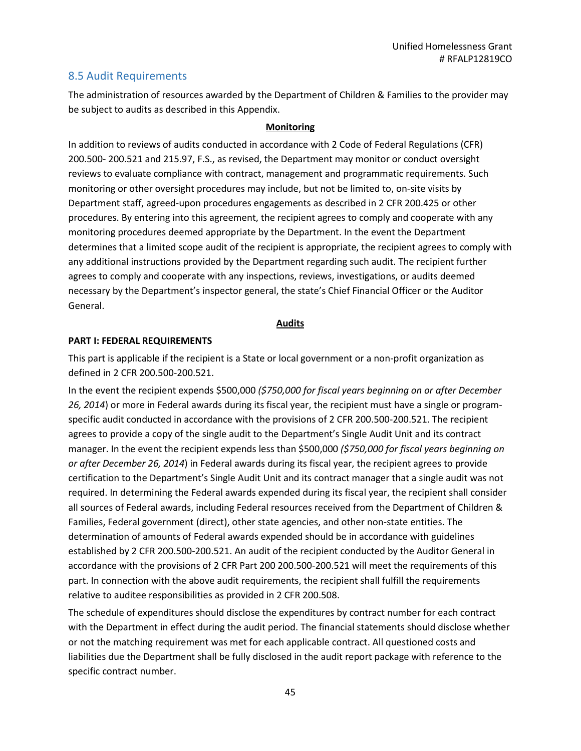## 8.5 Audit Requirements

The administration of resources awarded by the Department of Children & Families to the provider may be subject to audits as described in this Appendix.

### **Monitoring**

In addition to reviews of audits conducted in accordance with 2 Code of Federal Regulations (CFR) 200.500- 200.521 and 215.97, F.S., as revised, the Department may monitor or conduct oversight reviews to evaluate compliance with contract, management and programmatic requirements. Such monitoring or other oversight procedures may include, but not be limited to, on-site visits by Department staff, agreed-upon procedures engagements as described in 2 CFR 200.425 or other procedures. By entering into this agreement, the recipient agrees to comply and cooperate with any monitoring procedures deemed appropriate by the Department. In the event the Department determines that a limited scope audit of the recipient is appropriate, the recipient agrees to comply with any additional instructions provided by the Department regarding such audit. The recipient further agrees to comply and cooperate with any inspections, reviews, investigations, or audits deemed necessary by the Department's inspector general, the state's Chief Financial Officer or the Auditor General.

### **Audits**

### **PART I: FEDERAL REQUIREMENTS**

This part is applicable if the recipient is a State or local government or a non-profit organization as defined in 2 CFR 200.500-200.521.

In the event the recipient expends \$500,000 *(\$750,000 for fiscal years beginning on or after December 26, 2014*) or more in Federal awards during its fiscal year, the recipient must have a single or programspecific audit conducted in accordance with the provisions of 2 CFR 200.500-200.521. The recipient agrees to provide a copy of the single audit to the Department's Single Audit Unit and its contract manager. In the event the recipient expends less than \$500,000 *(\$750,000 for fiscal years beginning on or after December 26, 2014*) in Federal awards during its fiscal year, the recipient agrees to provide certification to the Department's Single Audit Unit and its contract manager that a single audit was not required. In determining the Federal awards expended during its fiscal year, the recipient shall consider all sources of Federal awards, including Federal resources received from the Department of Children & Families, Federal government (direct), other state agencies, and other non-state entities. The determination of amounts of Federal awards expended should be in accordance with guidelines established by 2 CFR 200.500-200.521. An audit of the recipient conducted by the Auditor General in accordance with the provisions of 2 CFR Part 200 200.500-200.521 will meet the requirements of this part. In connection with the above audit requirements, the recipient shall fulfill the requirements relative to auditee responsibilities as provided in 2 CFR 200.508.

The schedule of expenditures should disclose the expenditures by contract number for each contract with the Department in effect during the audit period. The financial statements should disclose whether or not the matching requirement was met for each applicable contract. All questioned costs and liabilities due the Department shall be fully disclosed in the audit report package with reference to the specific contract number.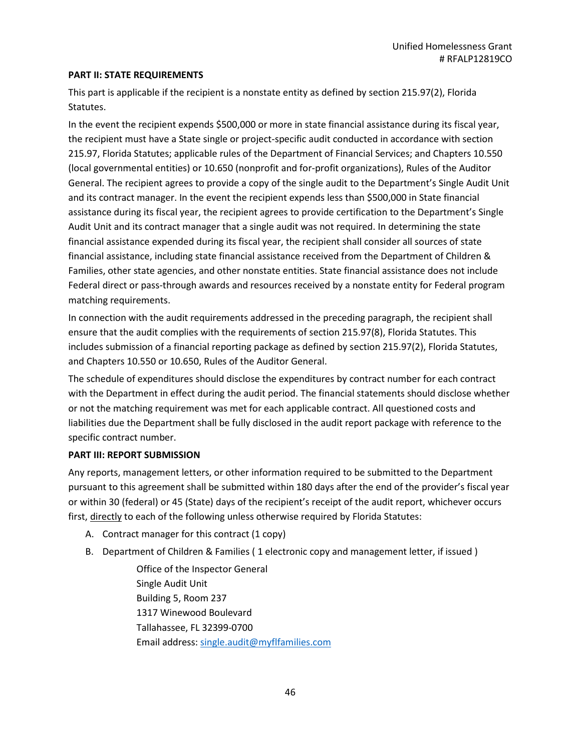### **PART II: STATE REQUIREMENTS**

This part is applicable if the recipient is a nonstate entity as defined by section 215.97(2), Florida Statutes.

In the event the recipient expends \$500,000 or more in state financial assistance during its fiscal year, the recipient must have a State single or project-specific audit conducted in accordance with section 215.97, Florida Statutes; applicable rules of the Department of Financial Services; and Chapters 10.550 (local governmental entities) or 10.650 (nonprofit and for-profit organizations), Rules of the Auditor General. The recipient agrees to provide a copy of the single audit to the Department's Single Audit Unit and its contract manager. In the event the recipient expends less than \$500,000 in State financial assistance during its fiscal year, the recipient agrees to provide certification to the Department's Single Audit Unit and its contract manager that a single audit was not required. In determining the state financial assistance expended during its fiscal year, the recipient shall consider all sources of state financial assistance, including state financial assistance received from the Department of Children & Families, other state agencies, and other nonstate entities. State financial assistance does not include Federal direct or pass-through awards and resources received by a nonstate entity for Federal program matching requirements.

In connection with the audit requirements addressed in the preceding paragraph, the recipient shall ensure that the audit complies with the requirements of section 215.97(8), Florida Statutes. This includes submission of a financial reporting package as defined by section 215.97(2), Florida Statutes, and Chapters 10.550 or 10.650, Rules of the Auditor General.

The schedule of expenditures should disclose the expenditures by contract number for each contract with the Department in effect during the audit period. The financial statements should disclose whether or not the matching requirement was met for each applicable contract. All questioned costs and liabilities due the Department shall be fully disclosed in the audit report package with reference to the specific contract number.

### **PART III: REPORT SUBMISSION**

Any reports, management letters, or other information required to be submitted to the Department pursuant to this agreement shall be submitted within 180 days after the end of the provider's fiscal year or within 30 (federal) or 45 (State) days of the recipient's receipt of the audit report, whichever occurs first, directly to each of the following unless otherwise required by Florida Statutes:

- A. Contract manager for this contract (1 copy)
- B. Department of Children & Families ( 1 electronic copy and management letter, if issued )

Office of the Inspector General Single Audit Unit Building 5, Room 237 1317 Winewood Boulevard Tallahassee, FL 32399-0700 Email address: [single.audit@myflfamilies.com](mailto:single_audit@dcf.state.fl.us)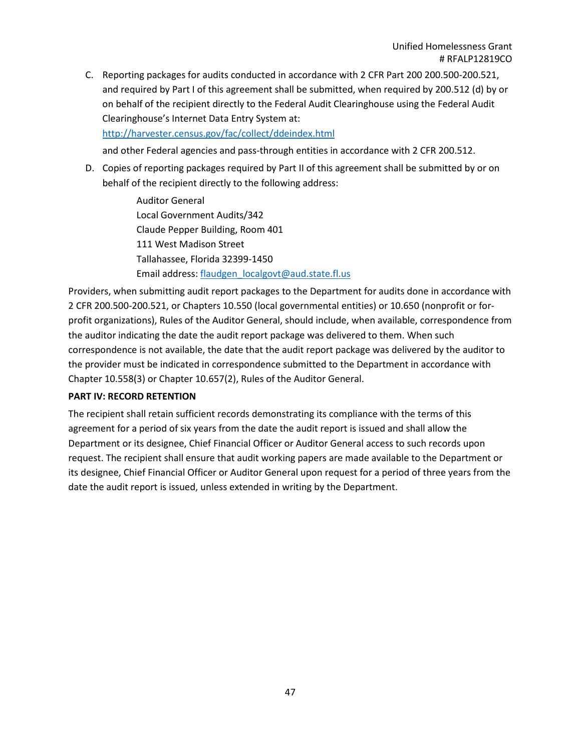C. Reporting packages for audits conducted in accordance with 2 CFR Part 200 200.500-200.521, and required by Part I of this agreement shall be submitted, when required by 200.512 (d) by or on behalf of the recipient directly to the Federal Audit Clearinghouse using the Federal Audit Clearinghouse's Internet Data Entry System at:

<http://harvester.census.gov/fac/collect/ddeindex.html>

and other Federal agencies and pass-through entities in accordance with 2 CFR 200.512.

D. Copies of reporting packages required by Part II of this agreement shall be submitted by or on behalf of the recipient directly to the following address:

> Auditor General Local Government Audits/342 Claude Pepper Building, Room 401 111 West Madison Street Tallahassee, Florida 32399-1450 Email address: [flaudgen\\_localgovt@aud.state.fl.us](mailto:flaudgen_localgovt@aud.state.fl.us)

Providers, when submitting audit report packages to the Department for audits done in accordance with 2 CFR 200.500-200.521, or Chapters 10.550 (local governmental entities) or 10.650 (nonprofit or forprofit organizations), Rules of the Auditor General, should include, when available, correspondence from the auditor indicating the date the audit report package was delivered to them. When such correspondence is not available, the date that the audit report package was delivered by the auditor to the provider must be indicated in correspondence submitted to the Department in accordance with Chapter 10.558(3) or Chapter 10.657(2), Rules of the Auditor General.

### **PART IV: RECORD RETENTION**

The recipient shall retain sufficient records demonstrating its compliance with the terms of this agreement for a period of six years from the date the audit report is issued and shall allow the Department or its designee, Chief Financial Officer or Auditor General access to such records upon request. The recipient shall ensure that audit working papers are made available to the Department or its designee, Chief Financial Officer or Auditor General upon request for a period of three years from the date the audit report is issued, unless extended in writing by the Department.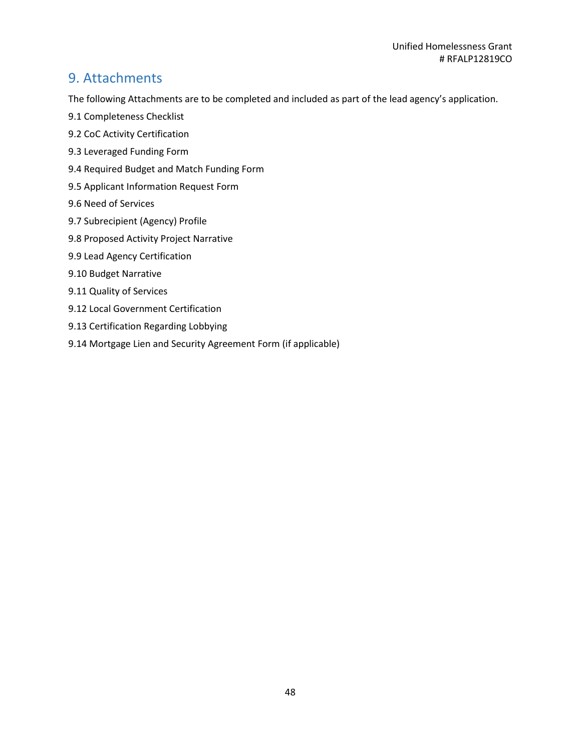# 9. Attachments

The following Attachments are to be completed and included as part of the lead agency's application.

- 9.1 Completeness Checklist
- 9.2 CoC Activity Certification
- 9.3 Leveraged Funding Form
- 9.4 Required Budget and Match Funding Form
- 9.5 Applicant Information Request Form
- 9.6 Need of Services
- 9.7 Subrecipient (Agency) Profile
- 9.8 Proposed Activity Project Narrative
- 9.9 Lead Agency Certification
- 9.10 Budget Narrative
- 9.11 Quality of Services
- 9.12 Local Government Certification
- 9.13 Certification Regarding Lobbying
- 9.14 Mortgage Lien and Security Agreement Form (if applicable)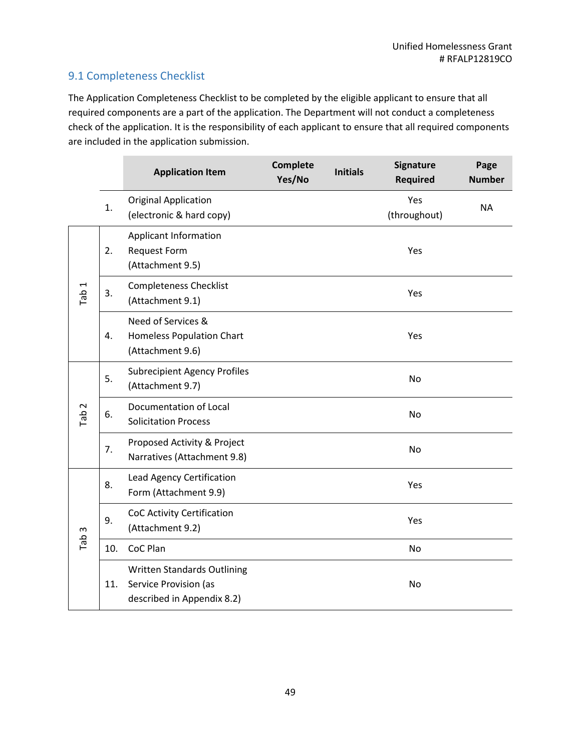# 9.1 Completeness Checklist

The Application Completeness Checklist to be completed by the eligible applicant to ensure that all required components are a part of the application. The Department will not conduct a completeness check of the application. It is the responsibility of each applicant to ensure that all required components are included in the application submission.

|                  |     | <b>Application Item</b>                                                            | <b>Complete</b><br>Yes/No | <b>Initials</b> | Signature<br><b>Required</b> | Page<br><b>Number</b> |
|------------------|-----|------------------------------------------------------------------------------------|---------------------------|-----------------|------------------------------|-----------------------|
|                  | 1.  | <b>Original Application</b><br>(electronic & hard copy)                            |                           |                 | Yes<br>(throughout)          | <b>NA</b>             |
| Tab <sub>1</sub> | 2.  | <b>Applicant Information</b><br>Request Form<br>(Attachment 9.5)                   |                           |                 | Yes                          |                       |
|                  | 3.  | <b>Completeness Checklist</b><br>(Attachment 9.1)                                  |                           |                 | Yes                          |                       |
|                  | 4.  | Need of Services &<br><b>Homeless Population Chart</b><br>(Attachment 9.6)         |                           |                 | Yes                          |                       |
|                  | 5.  | <b>Subrecipient Agency Profiles</b><br>(Attachment 9.7)                            |                           |                 | <b>No</b>                    |                       |
| Tab <sub>2</sub> | 6.  | Documentation of Local<br><b>Solicitation Process</b>                              |                           |                 | <b>No</b>                    |                       |
|                  | 7.  | Proposed Activity & Project<br>Narratives (Attachment 9.8)                         |                           |                 | <b>No</b>                    |                       |
|                  | 8.  | Lead Agency Certification<br>Form (Attachment 9.9)                                 |                           |                 | Yes                          |                       |
|                  | 9.  | CoC Activity Certification<br>(Attachment 9.2)                                     |                           |                 | Yes                          |                       |
| Tab <sub>3</sub> | 10. | CoC Plan                                                                           |                           |                 | <b>No</b>                    |                       |
|                  | 11. | Written Standards Outlining<br>Service Provision (as<br>described in Appendix 8.2) |                           |                 | No                           |                       |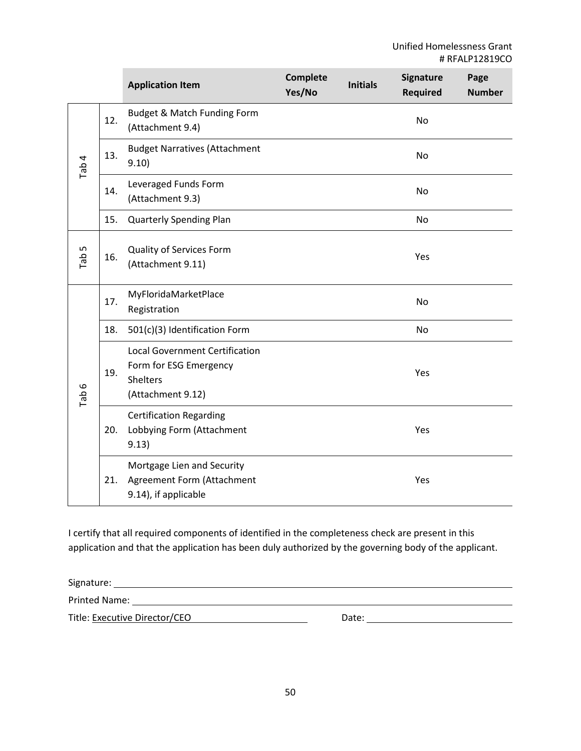|          |     | <b>Application Item</b>                                                                                 | <b>Complete</b><br>Yes/No | <b>Initials</b> | Signature<br><b>Required</b> | Page<br><b>Number</b> |
|----------|-----|---------------------------------------------------------------------------------------------------------|---------------------------|-----------------|------------------------------|-----------------------|
| Tab 4    | 12. | Budget & Match Funding Form<br>(Attachment 9.4)                                                         |                           |                 | No                           |                       |
|          | 13. | <b>Budget Narratives (Attachment</b><br>9.10)                                                           |                           |                 | <b>No</b>                    |                       |
|          | 14. | Leveraged Funds Form<br>(Attachment 9.3)                                                                |                           |                 | No                           |                       |
|          | 15. | <b>Quarterly Spending Plan</b>                                                                          |                           |                 | <b>No</b>                    |                       |
| Б<br>Tab | 16. | Quality of Services Form<br>(Attachment 9.11)                                                           |                           |                 | Yes                          |                       |
|          | 17. | MyFloridaMarketPlace<br>Registration                                                                    |                           |                 | No                           |                       |
|          | 18. | 501(c)(3) Identification Form                                                                           |                           |                 | <b>No</b>                    |                       |
| Tab 6    | 19. | <b>Local Government Certification</b><br>Form for ESG Emergency<br><b>Shelters</b><br>(Attachment 9.12) |                           |                 | Yes                          |                       |
|          | 20. | <b>Certification Regarding</b><br>Lobbying Form (Attachment<br>9.13)                                    |                           |                 | Yes                          |                       |
|          | 21. | Mortgage Lien and Security<br>Agreement Form (Attachment<br>9.14), if applicable                        |                           |                 | Yes                          |                       |

I certify that all required components of identified in the completeness check are present in this application and that the application has been duly authorized by the governing body of the applicant.

Signature:

Printed Name:

Title: Executive Director/CEO Date: Date: Date: Date: Date: Date: Date: Date: Date: Date: Date: Date: Date: Date: Date: Date: Date: Date: Date: Date: Date: Date: Date: Date: Date: Date: Date: Date: Date: Date: Date: Date: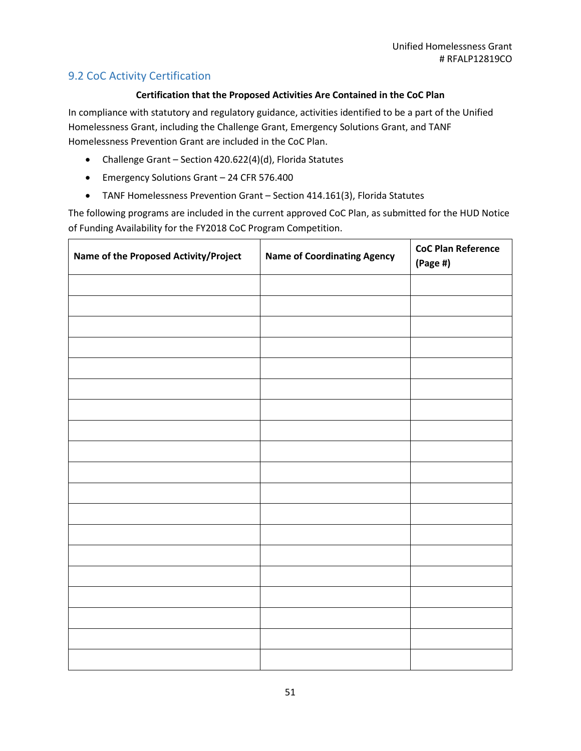# 9.2 CoC Activity Certification

### **Certification that the Proposed Activities Are Contained in the CoC Plan**

In compliance with statutory and regulatory guidance, activities identified to be a part of the Unified Homelessness Grant, including the Challenge Grant, Emergency Solutions Grant, and TANF Homelessness Prevention Grant are included in the CoC Plan.

- Challenge Grant Section 420.622(4)(d), Florida Statutes
- Emergency Solutions Grant 24 CFR 576.400
- TANF Homelessness Prevention Grant Section 414.161(3), Florida Statutes

The following programs are included in the current approved CoC Plan, as submitted for the HUD Notice of Funding Availability for the FY2018 CoC Program Competition.

| Name of the Proposed Activity/Project | <b>Name of Coordinating Agency</b> | <b>CoC Plan Reference</b><br>$(Page \#)$ |
|---------------------------------------|------------------------------------|------------------------------------------|
|                                       |                                    |                                          |
|                                       |                                    |                                          |
|                                       |                                    |                                          |
|                                       |                                    |                                          |
|                                       |                                    |                                          |
|                                       |                                    |                                          |
|                                       |                                    |                                          |
|                                       |                                    |                                          |
|                                       |                                    |                                          |
|                                       |                                    |                                          |
|                                       |                                    |                                          |
|                                       |                                    |                                          |
|                                       |                                    |                                          |
|                                       |                                    |                                          |
|                                       |                                    |                                          |
|                                       |                                    |                                          |
|                                       |                                    |                                          |
|                                       |                                    |                                          |
|                                       |                                    |                                          |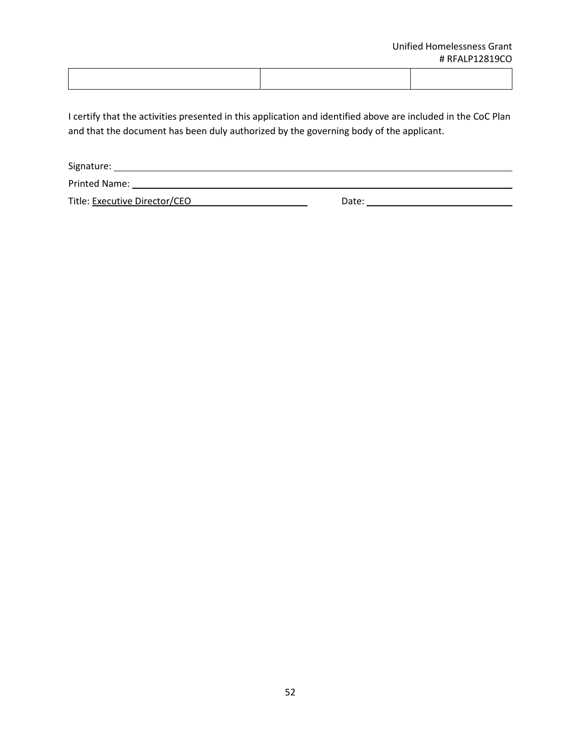I certify that the activities presented in this application and identified above are included in the CoC Plan and that the document has been duly authorized by the governing body of the applicant.

Signature: Printed Name: Name: Name and Allen Name and Allen Name and Allen Name and Allen Name and Allen Name and Allen N Title: Executive Director/CEO Date: Date: Date: Date: Date: Date: Date: Date: Date: Date: Date: Date: Date: Date: Date: Date: Date: Date: Date: Date: Date: Date: Date: Date: Date: Date: Date: Date: Date: Date: Date: Date: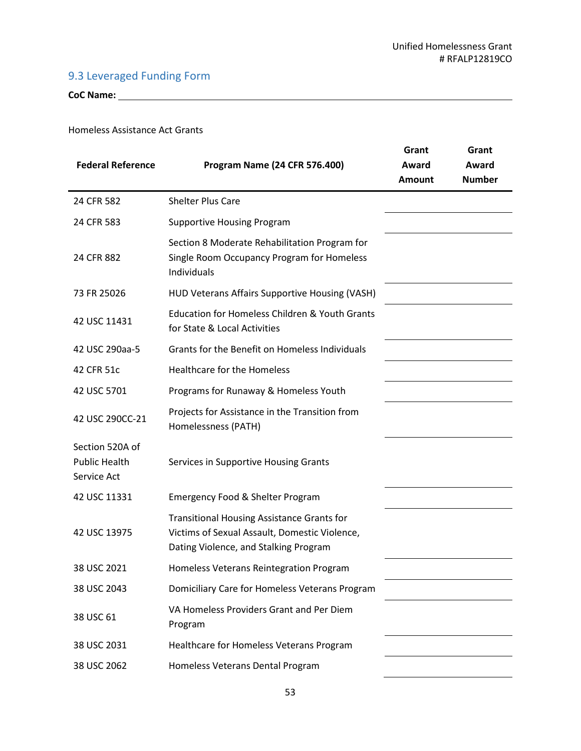# 9.3 Leveraged Funding Form

**CoC Name:** 

### Homeless Assistance Act Grants

| <b>Federal Reference</b>                               | <b>Program Name (24 CFR 576.400)</b>                                                                                                        | Grant<br>Award<br><b>Amount</b> | Grant<br>Award<br><b>Number</b> |
|--------------------------------------------------------|---------------------------------------------------------------------------------------------------------------------------------------------|---------------------------------|---------------------------------|
| 24 CFR 582                                             | <b>Shelter Plus Care</b>                                                                                                                    |                                 |                                 |
| 24 CFR 583                                             | <b>Supportive Housing Program</b>                                                                                                           |                                 |                                 |
| 24 CFR 882                                             | Section 8 Moderate Rehabilitation Program for<br>Single Room Occupancy Program for Homeless<br>Individuals                                  |                                 |                                 |
| 73 FR 25026                                            | HUD Veterans Affairs Supportive Housing (VASH)                                                                                              |                                 |                                 |
| 42 USC 11431                                           | <b>Education for Homeless Children &amp; Youth Grants</b><br>for State & Local Activities                                                   |                                 |                                 |
| 42 USC 290aa-5                                         | Grants for the Benefit on Homeless Individuals                                                                                              |                                 |                                 |
| 42 CFR 51c                                             | <b>Healthcare for the Homeless</b>                                                                                                          |                                 |                                 |
| 42 USC 5701                                            | Programs for Runaway & Homeless Youth                                                                                                       |                                 |                                 |
| 42 USC 290CC-21                                        | Projects for Assistance in the Transition from<br>Homelessness (PATH)                                                                       |                                 |                                 |
| Section 520A of<br><b>Public Health</b><br>Service Act | Services in Supportive Housing Grants                                                                                                       |                                 |                                 |
| 42 USC 11331                                           | Emergency Food & Shelter Program                                                                                                            |                                 |                                 |
| 42 USC 13975                                           | <b>Transitional Housing Assistance Grants for</b><br>Victims of Sexual Assault, Domestic Violence,<br>Dating Violence, and Stalking Program |                                 |                                 |
| 38 USC 2021                                            | Homeless Veterans Reintegration Program                                                                                                     |                                 |                                 |
| 38 USC 2043                                            | Domiciliary Care for Homeless Veterans Program                                                                                              |                                 |                                 |
| 38 USC 61                                              | VA Homeless Providers Grant and Per Diem<br>Program                                                                                         |                                 |                                 |
| 38 USC 2031                                            | Healthcare for Homeless Veterans Program                                                                                                    |                                 |                                 |
| 38 USC 2062                                            | Homeless Veterans Dental Program                                                                                                            |                                 |                                 |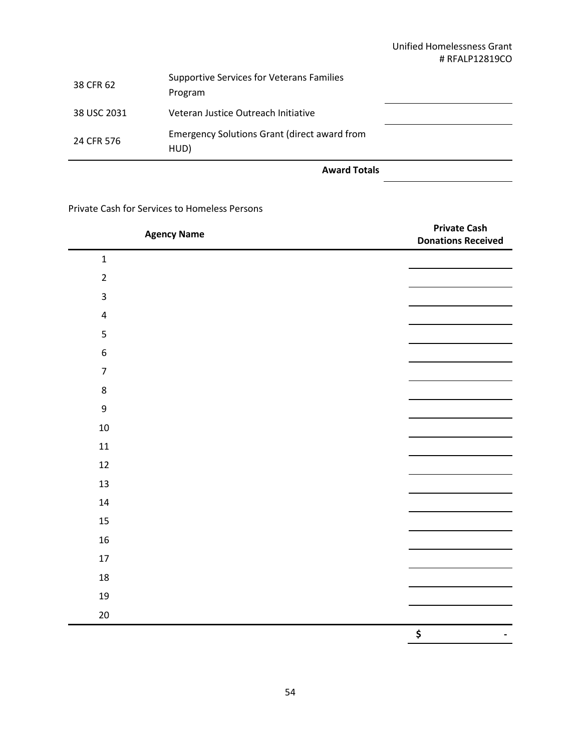### Unified Homelessness Grant # RFALP12819CO

| 38 CFR 62   | <b>Supportive Services for Veterans Families</b><br>Program |
|-------------|-------------------------------------------------------------|
| 38 USC 2031 | Veteran Justice Outreach Initiative                         |
| 24 CFR 576  | <b>Emergency Solutions Grant (direct award from</b><br>HUD) |

**Award Totals**

Private Cash for Services to Homeless Persons

| <b>Agency Name</b> | <b>Private Cash</b><br><b>Donations Received</b> |
|--------------------|--------------------------------------------------|
| $\mathbf 1$        |                                                  |
| $\mathbf 2$        |                                                  |
| 3                  |                                                  |
| $\pmb{4}$          |                                                  |
| 5                  |                                                  |
| $\boldsymbol{6}$   |                                                  |
| $\overline{7}$     |                                                  |
| $\bf 8$            |                                                  |
| $\boldsymbol{9}$   |                                                  |
| $10\,$             |                                                  |
| $11\,$             |                                                  |
| $12\,$             |                                                  |
| 13                 |                                                  |
| 14                 |                                                  |
| 15                 |                                                  |
| $16\,$             |                                                  |
| $17\,$             |                                                  |
| 18                 |                                                  |
| 19                 |                                                  |
| $20\,$             |                                                  |
|                    | \$                                               |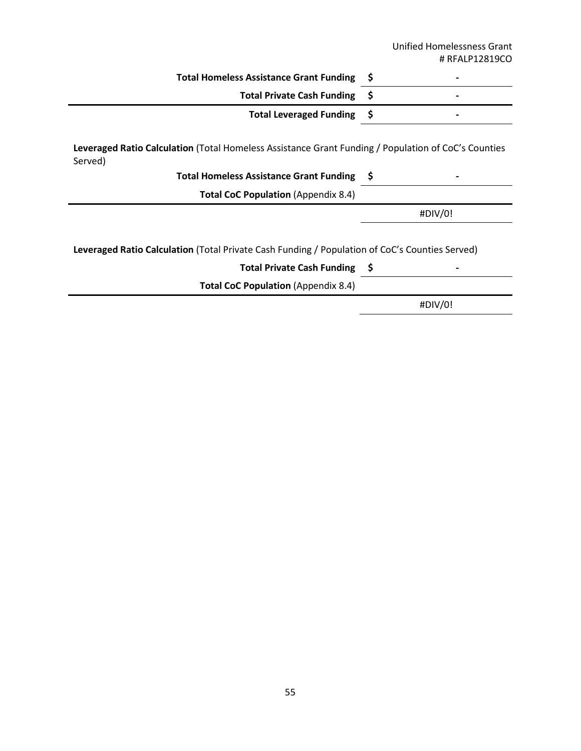|                                                                                                                                                              |    | <b>Unified Homelessness Grant</b><br># RFALP12819CO |
|--------------------------------------------------------------------------------------------------------------------------------------------------------------|----|-----------------------------------------------------|
| <b>Total Homeless Assistance Grant Funding</b>                                                                                                               | \$ |                                                     |
| <b>Total Private Cash Funding</b>                                                                                                                            | \$ |                                                     |
| <b>Total Leveraged Funding</b>                                                                                                                               | -Ş |                                                     |
| Leveraged Ratio Calculation (Total Homeless Assistance Grant Funding / Population of CoC's Counties<br>Served)<br>Total Homeless Assistance Grant Funding \$ |    |                                                     |
| <b>Total CoC Population (Appendix 8.4)</b>                                                                                                                   |    |                                                     |
|                                                                                                                                                              |    | #DIV/0!                                             |
| Leveraged Ratio Calculation (Total Private Cash Funding / Population of CoC's Counties Served)<br>Total Private Cash Funding \$                              |    |                                                     |
| <b>Total CoC Population (Appendix 8.4)</b>                                                                                                                   |    |                                                     |

#DIV/0!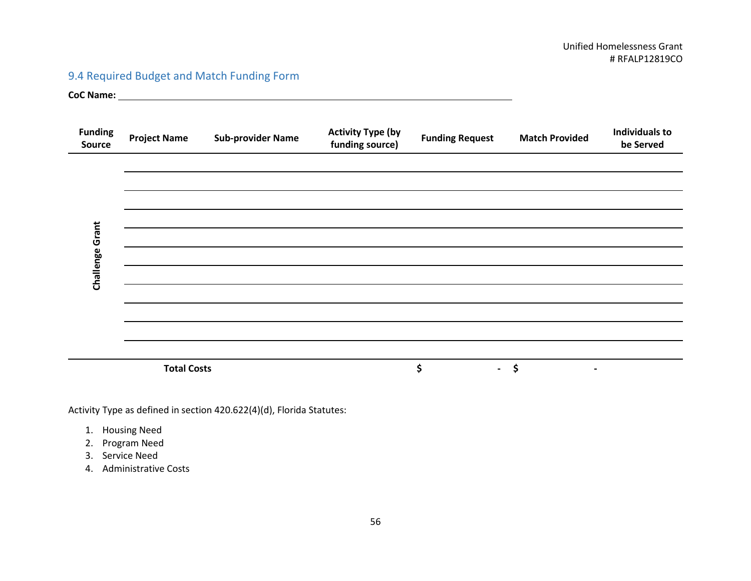# 9.4 Required Budget and Match Funding Form

**CoC Name:** 

| <b>Funding</b><br>Source | <b>Project Name</b> | <b>Sub-provider Name</b> | <b>Activity Type (by</b><br>funding source) | <b>Funding Request</b> | <b>Match Provided</b> | <b>Individuals to</b><br>be Served |
|--------------------------|---------------------|--------------------------|---------------------------------------------|------------------------|-----------------------|------------------------------------|
|                          |                     |                          |                                             |                        |                       |                                    |
|                          |                     |                          |                                             |                        |                       |                                    |
|                          |                     |                          |                                             |                        |                       |                                    |
|                          |                     |                          |                                             |                        |                       |                                    |
| Challenge Grant          |                     |                          |                                             |                        |                       |                                    |
|                          |                     |                          |                                             |                        |                       |                                    |
|                          |                     |                          |                                             |                        |                       |                                    |
|                          |                     |                          |                                             |                        |                       |                                    |
|                          |                     |                          |                                             |                        |                       |                                    |
|                          |                     |                          |                                             |                        |                       |                                    |
|                          |                     |                          |                                             |                        |                       |                                    |
|                          | <b>Total Costs</b>  |                          |                                             | \$<br>$\sim 100$       | \$<br>$\blacksquare$  |                                    |

Activity Type as defined in section 420.622(4)(d), Florida Statutes:

- 1. Housing Need
- 2. Program Need
- 3. Service Need
- 4. Administrative Costs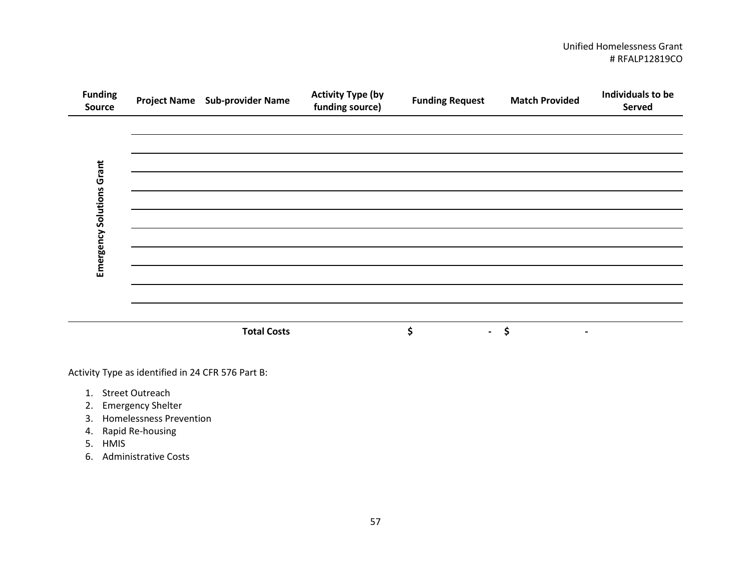### Unified Homelessness Grant # RFALP12819CO

| <b>Funding</b><br>Source  | Project Name Sub-provider Name | <b>Activity Type (by</b><br>funding source) | <b>Funding Request</b> | <b>Match Provided</b>                 | Individuals to be<br>Served |
|---------------------------|--------------------------------|---------------------------------------------|------------------------|---------------------------------------|-----------------------------|
|                           |                                |                                             |                        |                                       |                             |
|                           |                                |                                             |                        |                                       |                             |
|                           |                                |                                             |                        |                                       |                             |
| Emergency Solutions Grant |                                |                                             |                        |                                       |                             |
|                           |                                |                                             |                        |                                       |                             |
|                           |                                |                                             |                        |                                       |                             |
|                           |                                |                                             |                        |                                       |                             |
|                           | <b>Total Costs</b>             |                                             | \$<br>$\blacksquare$   | $\ddot{\bm{\zeta}}$<br>$\blacksquare$ |                             |

Activity Type as identified in 24 CFR 576 Part B:

- 1. Street Outreach
- 2. Emergency Shelter
- 3. Homelessness Prevention
- 4. Rapid Re-housing
- 5. HMIS
- 6. Administrative Costs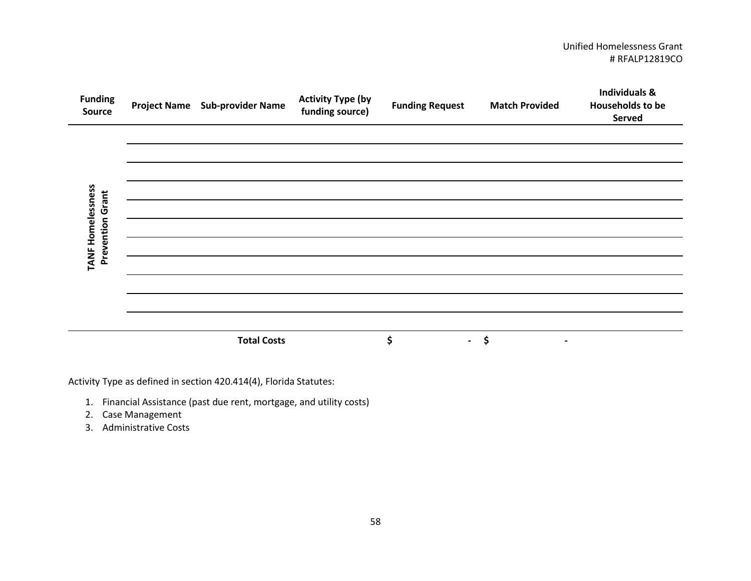### Unified Homelessness Grant # RFALP12819CO

| <b>Funding</b><br>Source                     | Project Name Sub-provider Name | <b>Activity Type (by</b><br>funding source) | <b>Funding Request</b> | <b>Match Provided</b> | <b>Individuals &amp;</b><br><b>Households to be</b><br>Served |
|----------------------------------------------|--------------------------------|---------------------------------------------|------------------------|-----------------------|---------------------------------------------------------------|
|                                              |                                |                                             |                        |                       |                                                               |
|                                              |                                |                                             |                        |                       |                                                               |
| TANF Homelessness<br><b>Prevention Grant</b> |                                |                                             |                        |                       |                                                               |
|                                              |                                |                                             |                        |                       |                                                               |
|                                              | <b>Total Costs</b>             |                                             | \$<br>$\sim$           | \$<br>$\blacksquare$  |                                                               |

Activity Type as defined in section 420.414(4), Florida Statutes:

- 1. Financial Assistance (past due rent, mortgage, and utility costs)
- 2. Case Management
- 3. Administrative Costs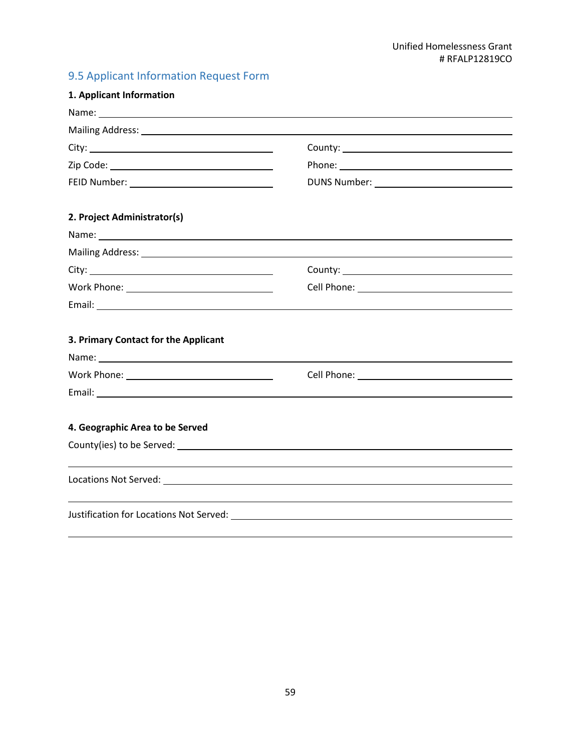# 9.5 Applicant Information Request Form

| 1. Applicant Information                                                                                                                                                                                                       |                                                                                                                |  |
|--------------------------------------------------------------------------------------------------------------------------------------------------------------------------------------------------------------------------------|----------------------------------------------------------------------------------------------------------------|--|
|                                                                                                                                                                                                                                |                                                                                                                |  |
|                                                                                                                                                                                                                                | Mailing Address: 1988 and 2008 and 2008 and 2008 and 2008 and 2008 and 2008 and 2008 and 2008 and 2008 and 200 |  |
|                                                                                                                                                                                                                                |                                                                                                                |  |
|                                                                                                                                                                                                                                |                                                                                                                |  |
| FEID Number: <u>______________________________</u>                                                                                                                                                                             |                                                                                                                |  |
| 2. Project Administrator(s)                                                                                                                                                                                                    |                                                                                                                |  |
|                                                                                                                                                                                                                                |                                                                                                                |  |
|                                                                                                                                                                                                                                |                                                                                                                |  |
|                                                                                                                                                                                                                                |                                                                                                                |  |
| Work Phone: __________________________________                                                                                                                                                                                 |                                                                                                                |  |
|                                                                                                                                                                                                                                |                                                                                                                |  |
| 3. Primary Contact for the Applicant                                                                                                                                                                                           |                                                                                                                |  |
|                                                                                                                                                                                                                                |                                                                                                                |  |
|                                                                                                                                                                                                                                |                                                                                                                |  |
|                                                                                                                                                                                                                                |                                                                                                                |  |
| 4. Geographic Area to be Served                                                                                                                                                                                                |                                                                                                                |  |
| County(ies) to be Served: Letter and the served of the served of the served of the served of the served of the served of the served of the served of the served of the served of the served of the served of the served of the |                                                                                                                |  |
|                                                                                                                                                                                                                                |                                                                                                                |  |
|                                                                                                                                                                                                                                |                                                                                                                |  |
|                                                                                                                                                                                                                                |                                                                                                                |  |
|                                                                                                                                                                                                                                |                                                                                                                |  |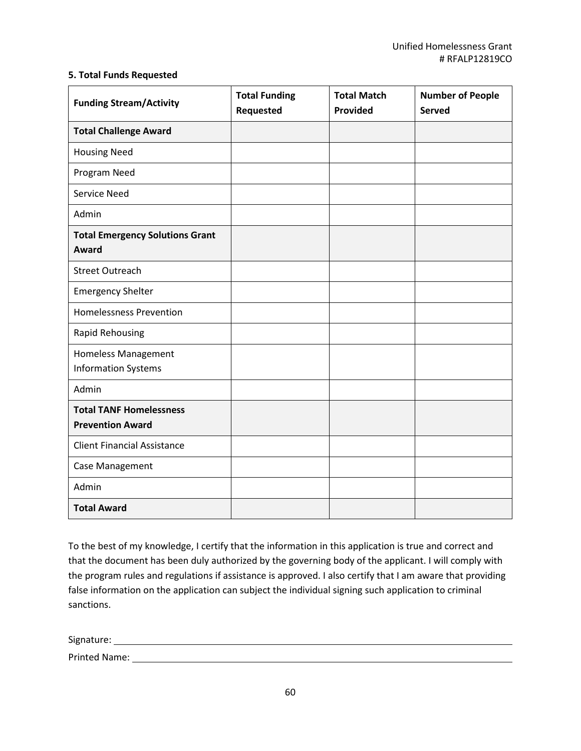### **5. Total Funds Requested**

| <b>Funding Stream/Activity</b>                            | <b>Total Funding</b><br><b>Requested</b> | <b>Total Match</b><br><b>Provided</b> | <b>Number of People</b><br><b>Served</b> |
|-----------------------------------------------------------|------------------------------------------|---------------------------------------|------------------------------------------|
| <b>Total Challenge Award</b>                              |                                          |                                       |                                          |
| <b>Housing Need</b>                                       |                                          |                                       |                                          |
| Program Need                                              |                                          |                                       |                                          |
| <b>Service Need</b>                                       |                                          |                                       |                                          |
| Admin                                                     |                                          |                                       |                                          |
| <b>Total Emergency Solutions Grant</b><br>Award           |                                          |                                       |                                          |
| <b>Street Outreach</b>                                    |                                          |                                       |                                          |
| <b>Emergency Shelter</b>                                  |                                          |                                       |                                          |
| <b>Homelessness Prevention</b>                            |                                          |                                       |                                          |
| <b>Rapid Rehousing</b>                                    |                                          |                                       |                                          |
| <b>Homeless Management</b><br><b>Information Systems</b>  |                                          |                                       |                                          |
| Admin                                                     |                                          |                                       |                                          |
| <b>Total TANF Homelessness</b><br><b>Prevention Award</b> |                                          |                                       |                                          |
| <b>Client Financial Assistance</b>                        |                                          |                                       |                                          |
| Case Management                                           |                                          |                                       |                                          |
| Admin                                                     |                                          |                                       |                                          |
| <b>Total Award</b>                                        |                                          |                                       |                                          |

To the best of my knowledge, I certify that the information in this application is true and correct and that the document has been duly authorized by the governing body of the applicant. I will comply with the program rules and regulations if assistance is approved. I also certify that I am aware that providing false information on the application can subject the individual signing such application to criminal sanctions.

Signature:

Printed Name: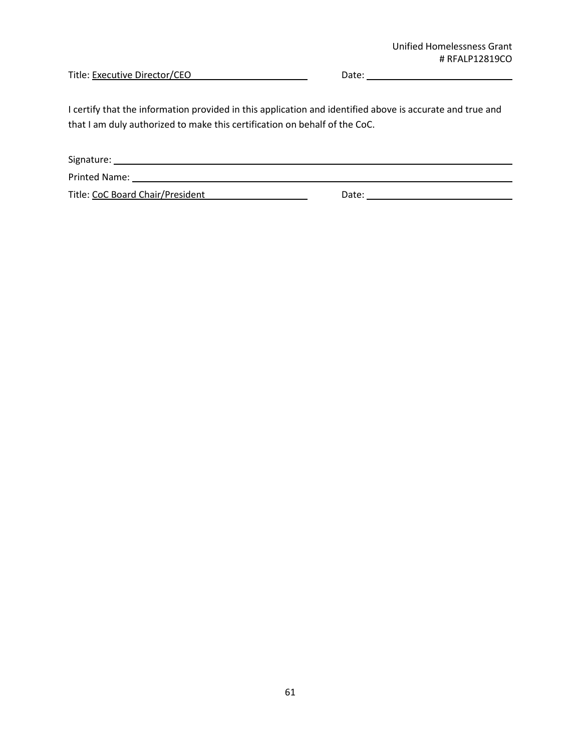Title: Executive Director/CEO Date: Date: Date: Date: Date: Date: Date: Date: Date: Date: Date: Date: Date: Date: Date: Date: Date: Date: Date: Date: Date: Date: Date: Date: Date: Date: Date: Date: Date: Date: Date: Date:

I certify that the information provided in this application and identified above is accurate and true and that I am duly authorized to make this certification on behalf of the CoC.

| Signature:                       |       |
|----------------------------------|-------|
| <b>Printed Name:</b>             |       |
| Title: CoC Board Chair/President | Date: |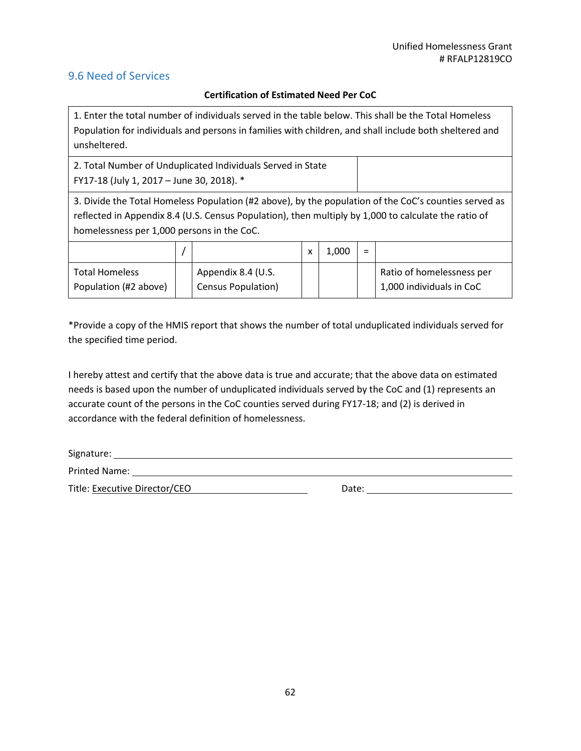# 9.6 Need of Services

### **Certification of Estimated Need Per CoC**

1. Enter the total number of individuals served in the table below. This shall be the Total Homeless Population for individuals and persons in families with children, and shall include both sheltered and unsheltered.

2. Total Number of Unduplicated Individuals Served in State FY17-18 (July 1, 2017 – June 30, 2018). \*

3. Divide the Total Homeless Population (#2 above), by the population of the CoC's counties served as reflected in Appendix 8.4 (U.S. Census Population), then multiply by 1,000 to calculate the ratio of homelessness per 1,000 persons in the CoC.

|                                                |                                                 | 1.000 | $=$ |                                                       |
|------------------------------------------------|-------------------------------------------------|-------|-----|-------------------------------------------------------|
| <b>Total Homeless</b><br>Population (#2 above) | Appendix 8.4 (U.S.<br><b>Census Population)</b> |       |     | Ratio of homelessness per<br>1,000 individuals in CoC |

\*Provide a copy of the HMIS report that shows the number of total unduplicated individuals served for the specified time period.

I hereby attest and certify that the above data is true and accurate; that the above data on estimated needs is based upon the number of unduplicated individuals served by the CoC and (1) represents an accurate count of the persons in the CoC counties served during FY17-18; and (2) is derived in accordance with the federal definition of homelessness.

Signature:

Printed Name:

Title: Executive Director/CEO Date: Date: Date: Date: Date: Date: Date: Date: Date: Date: Date: Date: Date: Date: Date: Date: Date: Date: Date: Date: Date: Date: Date: Date: Date: Date: Date: Date: Date: Date: Date: Date: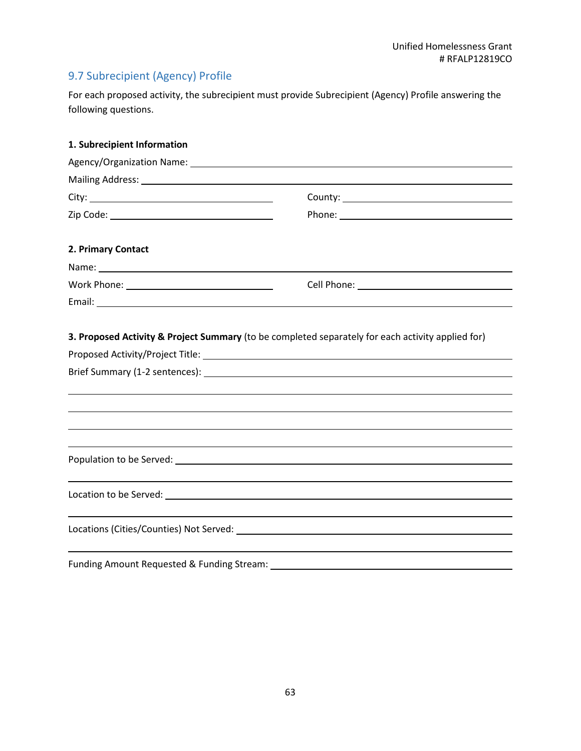# 9.7 Subrecipient (Agency) Profile

For each proposed activity, the subrecipient must provide Subrecipient (Agency) Profile answering the following questions.

| 1. Subrecipient Information                    |                                                                                                                |
|------------------------------------------------|----------------------------------------------------------------------------------------------------------------|
|                                                | Agency/Organization Name: 2008 2012 2022 2023 2024 2022 2023 2024 2022 2023 2024 2022 2023 2024 2022 2023 2024 |
|                                                |                                                                                                                |
|                                                |                                                                                                                |
|                                                |                                                                                                                |
| 2. Primary Contact                             |                                                                                                                |
|                                                |                                                                                                                |
| Work Phone: __________________________________ |                                                                                                                |
|                                                |                                                                                                                |
|                                                |                                                                                                                |
|                                                |                                                                                                                |
|                                                |                                                                                                                |
|                                                |                                                                                                                |
|                                                |                                                                                                                |
| Funding Amount Requested & Funding Stream:     |                                                                                                                |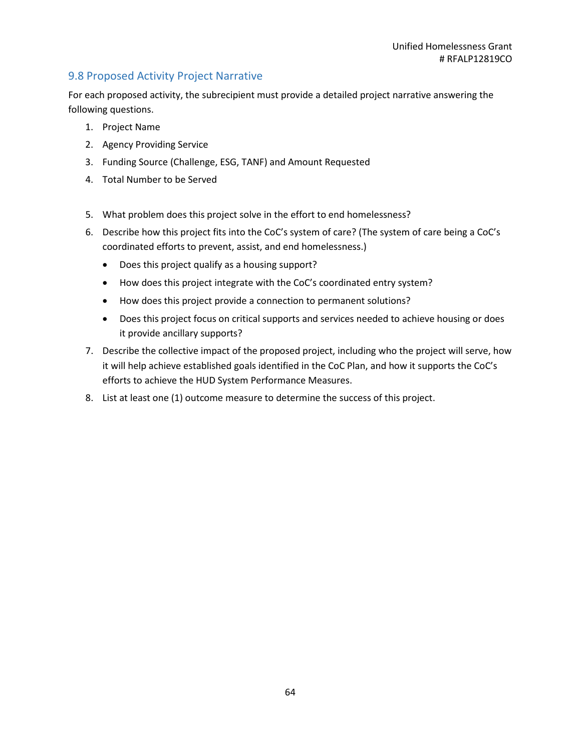# 9.8 Proposed Activity Project Narrative

For each proposed activity, the subrecipient must provide a detailed project narrative answering the following questions.

- 1. Project Name
- 2. Agency Providing Service
- 3. Funding Source (Challenge, ESG, TANF) and Amount Requested
- 4. Total Number to be Served
- 5. What problem does this project solve in the effort to end homelessness?
- 6. Describe how this project fits into the CoC's system of care? (The system of care being a CoC's coordinated efforts to prevent, assist, and end homelessness.)
	- Does this project qualify as a housing support?
	- How does this project integrate with the CoC's coordinated entry system?
	- How does this project provide a connection to permanent solutions?
	- Does this project focus on critical supports and services needed to achieve housing or does it provide ancillary supports?
- 7. Describe the collective impact of the proposed project, including who the project will serve, how it will help achieve established goals identified in the CoC Plan, and how it supports the CoC's efforts to achieve the HUD System Performance Measures.
- 8. List at least one (1) outcome measure to determine the success of this project.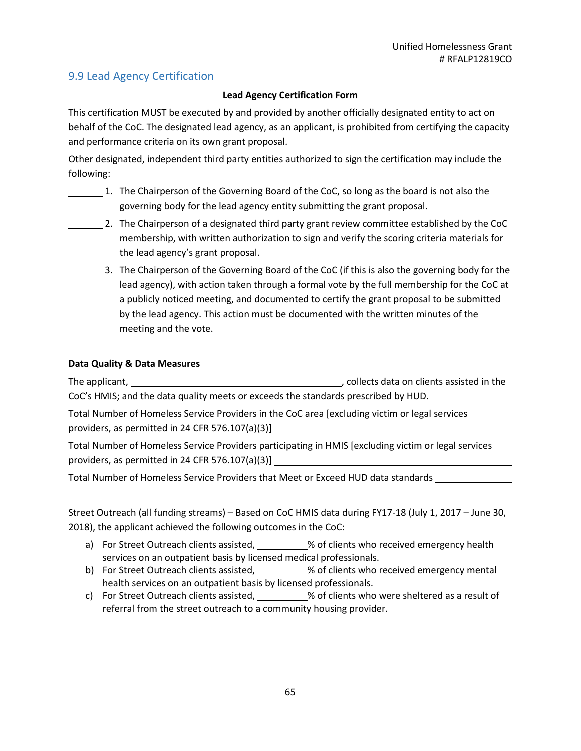# 9.9 Lead Agency Certification

### **Lead Agency Certification Form**

This certification MUST be executed by and provided by another officially designated entity to act on behalf of the CoC. The designated lead agency, as an applicant, is prohibited from certifying the capacity and performance criteria on its own grant proposal.

Other designated, independent third party entities authorized to sign the certification may include the following:

- 1. The Chairperson of the Governing Board of the CoC, so long as the board is not also the governing body for the lead agency entity submitting the grant proposal.
- 2. The Chairperson of a designated third party grant review committee established by the CoC membership, with written authorization to sign and verify the scoring criteria materials for the lead agency's grant proposal.
	- 3. The Chairperson of the Governing Board of the CoC (if this is also the governing body for the lead agency), with action taken through a formal vote by the full membership for the CoC at a publicly noticed meeting, and documented to certify the grant proposal to be submitted by the lead agency. This action must be documented with the written minutes of the meeting and the vote.

### **Data Quality & Data Measures**

The applicant,  $\blacksquare$  , collects data on clients assisted in the CoC's HMIS; and the data quality meets or exceeds the standards prescribed by HUD.

Total Number of Homeless Service Providers in the CoC area [excluding victim or legal services providers, as permitted in 24 CFR 576.107(a)(3)]

Total Number of Homeless Service Providers participating in HMIS [excluding victim or legal services providers, as permitted in 24 CFR 576.107(a)(3)]

Total Number of Homeless Service Providers that Meet or Exceed HUD data standards

Street Outreach (all funding streams) – Based on CoC HMIS data during FY17-18 (July 1, 2017 – June 30, 2018), the applicant achieved the following outcomes in the CoC:

- a) For Street Outreach clients assisted, % of clients who received emergency health services on an outpatient basis by licensed medical professionals.
- b) For Street Outreach clients assisted, \_\_\_\_\_\_\_\_\_% of clients who received emergency mental health services on an outpatient basis by licensed professionals.
- c) For Street Outreach clients assisted, \_\_\_\_\_\_\_\_\_% of clients who were sheltered as a result of referral from the street outreach to a community housing provider.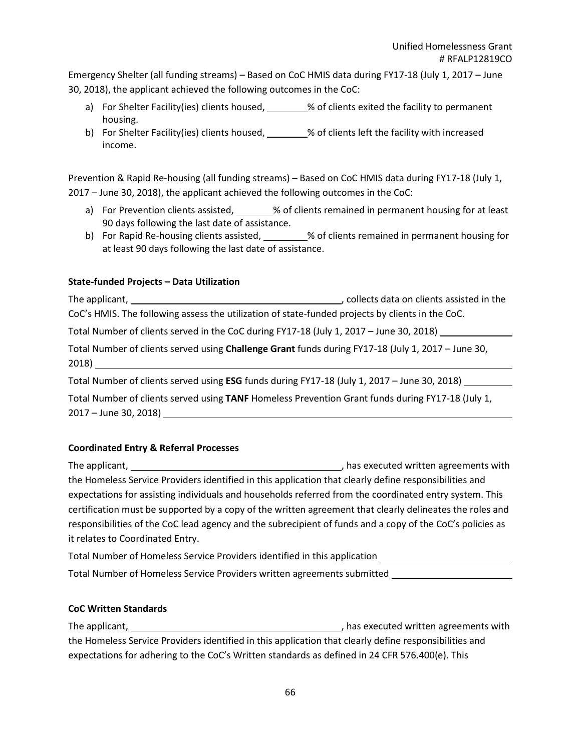Emergency Shelter (all funding streams) – Based on CoC HMIS data during FY17-18 (July 1, 2017 – June 30, 2018), the applicant achieved the following outcomes in the CoC:

- a) For Shelter Facility(ies) clients housed, \_\_\_\_\_\_\_% of clients exited the facility to permanent housing.
- b) For Shelter Facility(ies) clients housed, \_\_\_\_\_\_\_% of clients left the facility with increased income.

Prevention & Rapid Re-housing (all funding streams) – Based on CoC HMIS data during FY17-18 (July 1, 2017 – June 30, 2018), the applicant achieved the following outcomes in the CoC:

- a) For Prevention clients assisted,  $\frac{1}{2}$  % of clients remained in permanent housing for at least 90 days following the last date of assistance.
- b) For Rapid Re-housing clients assisted, 1998 Sof clients remained in permanent housing for at least 90 days following the last date of assistance.

### **State-funded Projects – Data Utilization**

The applicant,  $\Box$  and  $\Box$  collects data on clients assisted in the set of the set of the set of the set of the set of the set of the set of the set of the set of the set of the set of the set of the set of the set of th CoC's HMIS. The following assess the utilization of state-funded projects by clients in the CoC. Total Number of clients served in the CoC during FY17-18 (July 1, 2017 – June 30, 2018)

Total Number of clients served using **Challenge Grant** funds during FY17-18 (July 1, 2017 – June 30, 2018)

Total Number of clients served using **ESG** funds during FY17-18 (July 1, 2017 – June 30, 2018)

Total Number of clients served using **TANF** Homeless Prevention Grant funds during FY17-18 (July 1, 2017 – June 30, 2018)

### **Coordinated Entry & Referral Processes**

The applicant, The applicant,  $\blacksquare$  , has executed written agreements with the Homeless Service Providers identified in this application that clearly define responsibilities and expectations for assisting individuals and households referred from the coordinated entry system. This certification must be supported by a copy of the written agreement that clearly delineates the roles and responsibilities of the CoC lead agency and the subrecipient of funds and a copy of the CoC's policies as it relates to Coordinated Entry.

Total Number of Homeless Service Providers identified in this application Total Number of Homeless Service Providers written agreements submitted

### **CoC Written Standards**

The applicant, **the applicant** of the applicant,  $\frac{1}{2}$  are executed written agreements with the Homeless Service Providers identified in this application that clearly define responsibilities and expectations for adhering to the CoC's Written standards as defined in 24 CFR 576.400(e). This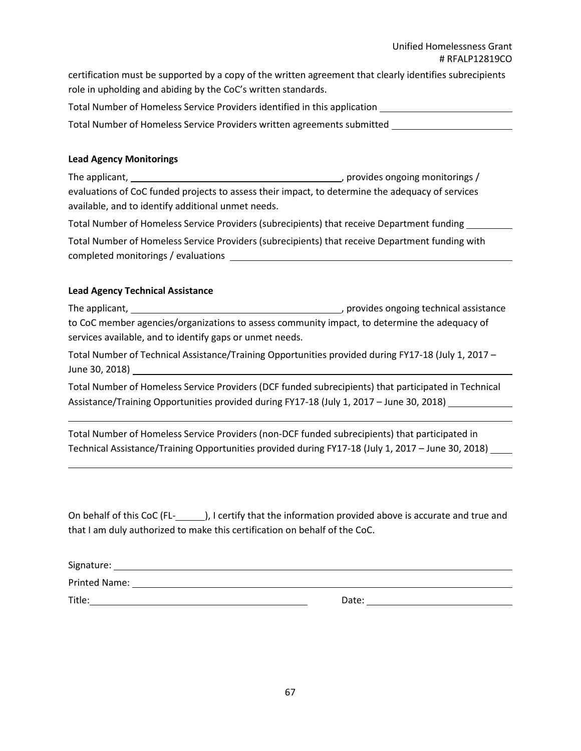### Unified Homelessness Grant # RFALP12819CO

certification must be supported by a copy of the written agreement that clearly identifies subrecipients role in upholding and abiding by the CoC's written standards.

Total Number of Homeless Service Providers identified in this application

Total Number of Homeless Service Providers written agreements submitted

### **Lead Agency Monitorings**

The applicant, , provides ongoing monitorings / evaluations of CoC funded projects to assess their impact, to determine the adequacy of services available, and to identify additional unmet needs.

Total Number of Homeless Service Providers (subrecipients) that receive Department funding

Total Number of Homeless Service Providers (subrecipients) that receive Department funding with completed monitorings / evaluations

### **Lead Agency Technical Assistance**

The applicant, , provides ongoing technical assistance to CoC member agencies/organizations to assess community impact, to determine the adequacy of services available, and to identify gaps or unmet needs.

Total Number of Technical Assistance/Training Opportunities provided during FY17-18 (July 1, 2017 – June 30, 2018)

Total Number of Homeless Service Providers (DCF funded subrecipients) that participated in Technical Assistance/Training Opportunities provided during FY17-18 (July 1, 2017 – June 30, 2018)

Total Number of Homeless Service Providers (non-DCF funded subrecipients) that participated in Technical Assistance/Training Opportunities provided during FY17-18 (July 1, 2017 - June 30, 2018) \_\_\_\_\_\_\_

On behalf of this CoC (FL-<br>
), I certify that the information provided above is accurate and true and that I am duly authorized to make this certification on behalf of the CoC.

| Signature:           |       |  |
|----------------------|-------|--|
| <b>Printed Name:</b> |       |  |
| Title:               | Date: |  |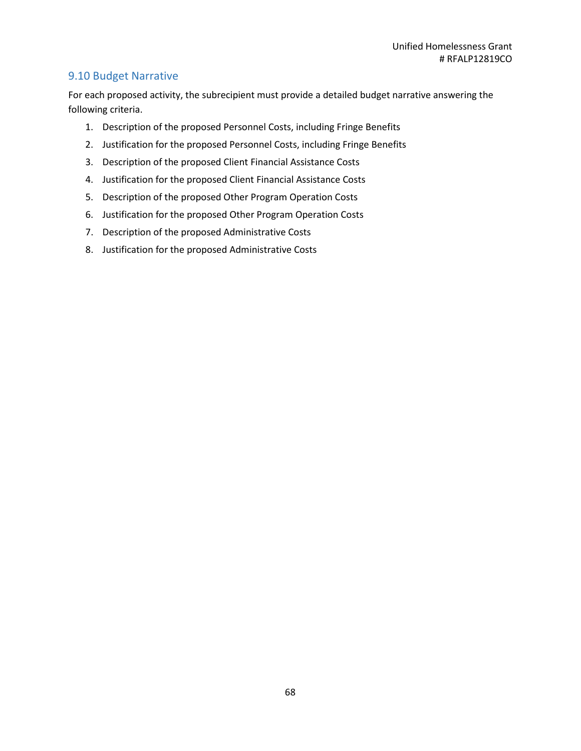# 9.10 Budget Narrative

For each proposed activity, the subrecipient must provide a detailed budget narrative answering the following criteria.

- 1. Description of the proposed Personnel Costs, including Fringe Benefits
- 2. Justification for the proposed Personnel Costs, including Fringe Benefits
- 3. Description of the proposed Client Financial Assistance Costs
- 4. Justification for the proposed Client Financial Assistance Costs
- 5. Description of the proposed Other Program Operation Costs
- 6. Justification for the proposed Other Program Operation Costs
- 7. Description of the proposed Administrative Costs
- 8. Justification for the proposed Administrative Costs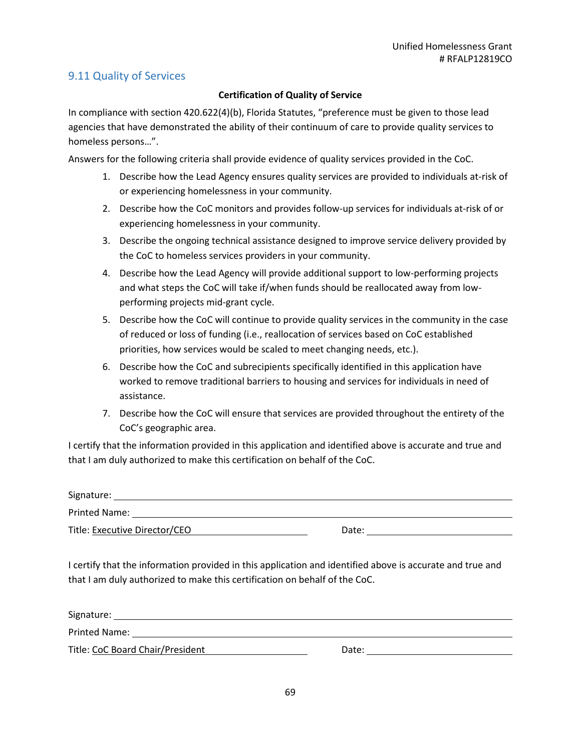# 9.11 Quality of Services

### **Certification of Quality of Service**

In compliance with section 420.622(4)(b), Florida Statutes, "preference must be given to those lead agencies that have demonstrated the ability of their continuum of care to provide quality services to homeless persons…".

Answers for the following criteria shall provide evidence of quality services provided in the CoC.

- 1. Describe how the Lead Agency ensures quality services are provided to individuals at-risk of or experiencing homelessness in your community.
- 2. Describe how the CoC monitors and provides follow-up services for individuals at-risk of or experiencing homelessness in your community.
- 3. Describe the ongoing technical assistance designed to improve service delivery provided by the CoC to homeless services providers in your community.
- 4. Describe how the Lead Agency will provide additional support to low-performing projects and what steps the CoC will take if/when funds should be reallocated away from lowperforming projects mid-grant cycle.
- 5. Describe how the CoC will continue to provide quality services in the community in the case of reduced or loss of funding (i.e., reallocation of services based on CoC established priorities, how services would be scaled to meet changing needs, etc.).
- 6. Describe how the CoC and subrecipients specifically identified in this application have worked to remove traditional barriers to housing and services for individuals in need of assistance.
- 7. Describe how the CoC will ensure that services are provided throughout the entirety of the CoC's geographic area.

I certify that the information provided in this application and identified above is accurate and true and that I am duly authorized to make this certification on behalf of the CoC.

| Signature:                    |       |
|-------------------------------|-------|
| <b>Printed Name:</b>          |       |
| Title: Executive Director/CEO | Date: |

I certify that the information provided in this application and identified above is accurate and true and that I am duly authorized to make this certification on behalf of the CoC.

| Signature:                       |       |
|----------------------------------|-------|
| Printed Name:                    |       |
| Title: CoC Board Chair/President | Date: |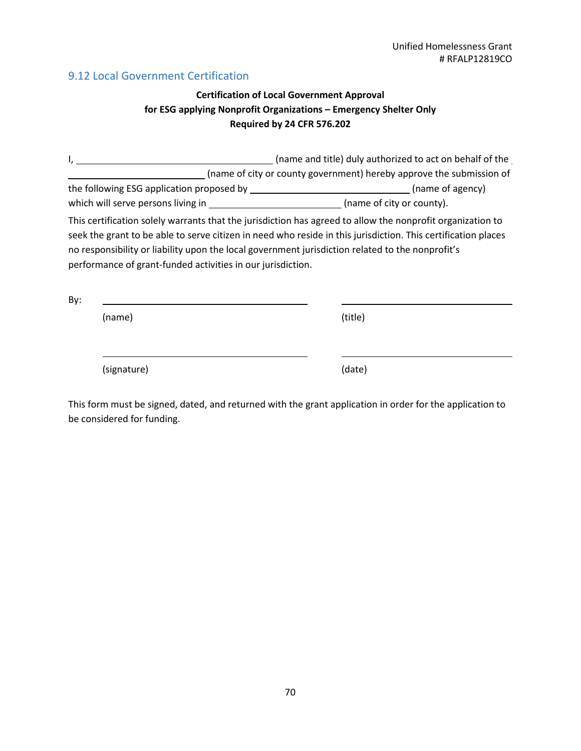# 9.12 Local Government Certification

# **Certification of Local Government Approval for ESG applying Nonprofit Organizations – Emergency Shelter Only Required by 24 CFR 576.202**

I, 1. 2012 1. (name and title) duly authorized to act on behalf of the (name of city or county government) hereby approve the submission of the following ESG application proposed by \_\_\_\_\_\_\_\_\_\_\_\_\_\_\_\_\_\_\_\_\_\_\_\_\_\_\_\_\_\_\_\_\_(name of agency) which will serve persons living in \_\_\_\_\_\_\_\_\_\_\_\_\_\_\_\_\_\_\_\_\_\_\_\_\_\_\_\_\_(name of city or county). This certification solely warrants that the jurisdiction has agreed to allow the nonprofit organization to seek the grant to be able to serve citizen in need who reside in this jurisdiction. This certification places no responsibility or liability upon the local government jurisdiction related to the nonprofit's performance of grant-funded activities in our jurisdiction. By:

| (name)      | (title) |  |
|-------------|---------|--|
|             |         |  |
| (signature) | (date)  |  |

This form must be signed, dated, and returned with the grant application in order for the application to be considered for funding.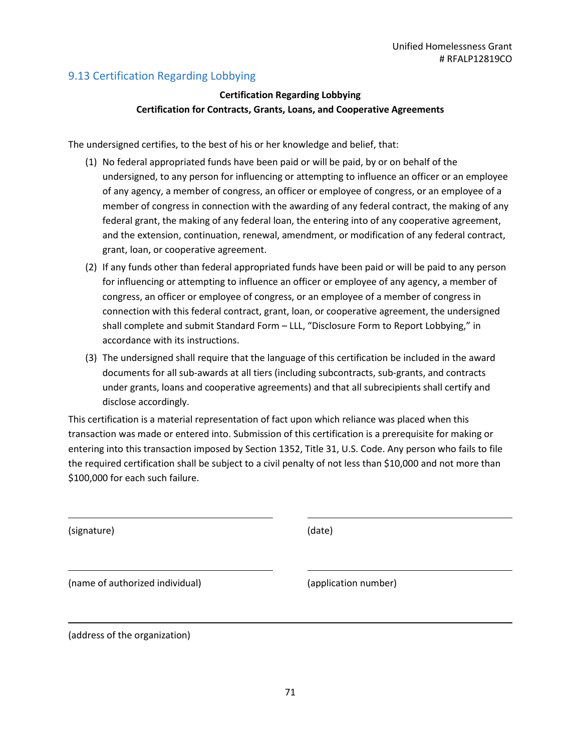# 9.13 Certification Regarding Lobbying

# **Certification Regarding Lobbying Certification for Contracts, Grants, Loans, and Cooperative Agreements**

The undersigned certifies, to the best of his or her knowledge and belief, that:

- (1) No federal appropriated funds have been paid or will be paid, by or on behalf of the undersigned, to any person for influencing or attempting to influence an officer or an employee of any agency, a member of congress, an officer or employee of congress, or an employee of a member of congress in connection with the awarding of any federal contract, the making of any federal grant, the making of any federal loan, the entering into of any cooperative agreement, and the extension, continuation, renewal, amendment, or modification of any federal contract, grant, loan, or cooperative agreement.
- (2) If any funds other than federal appropriated funds have been paid or will be paid to any person for influencing or attempting to influence an officer or employee of any agency, a member of congress, an officer or employee of congress, or an employee of a member of congress in connection with this federal contract, grant, loan, or cooperative agreement, the undersigned shall complete and submit Standard Form – LLL, "Disclosure Form to Report Lobbying," in accordance with its instructions.
- (3) The undersigned shall require that the language of this certification be included in the award documents for all sub-awards at all tiers (including subcontracts, sub-grants, and contracts under grants, loans and cooperative agreements) and that all subrecipients shall certify and disclose accordingly.

This certification is a material representation of fact upon which reliance was placed when this transaction was made or entered into. Submission of this certification is a prerequisite for making or entering into this transaction imposed by Section 1352, Title 31, U.S. Code. Any person who fails to file the required certification shall be subject to a civil penalty of not less than \$10,000 and not more than \$100,000 for each such failure.

(signature) (date)

(name of authorized individual) (application number)

(address of the organization)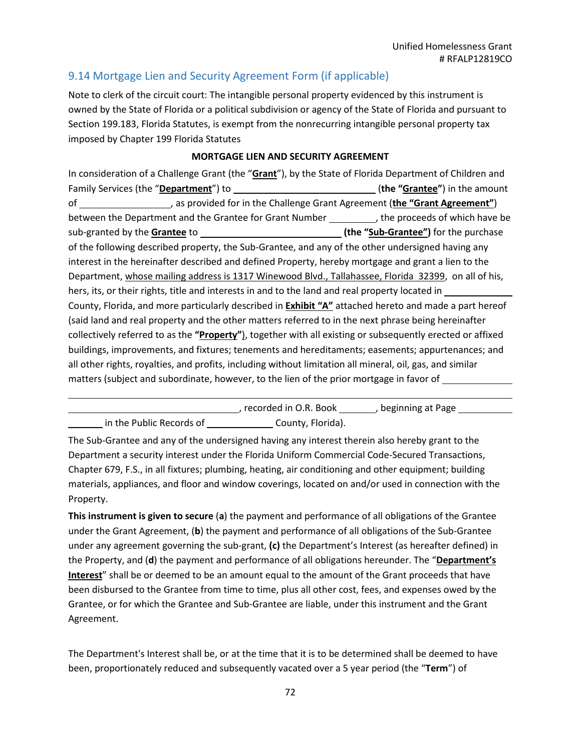# 9.14 Mortgage Lien and Security Agreement Form (if applicable)

Note to clerk of the circuit court: The intangible personal property evidenced by this instrument is owned by the State of Florida or a political subdivision or agency of the State of Florida and pursuant to Section 199.183, Florida Statutes, is exempt from the nonrecurring intangible personal property tax imposed by Chapter 199 Florida Statutes

### **MORTGAGE LIEN AND SECURITY AGREEMENT**

In consideration of a Challenge Grant (the "**Grant**"), by the State of Florida Department of Children and Family Services (the "**Department**") to (**the "Grantee"**) in the amount of , as provided for in the Challenge Grant Agreement (**the "Grant Agreement"**) between the Department and the Grantee for Grant Number \_\_\_\_\_\_\_\_\_\_, the proceeds of which have be sub-granted by the **Grantee** to **[14]** sub-grantee<sup>"</sup> and the "sub-Grantee" and the purchase of the following described property, the Sub-Grantee, and any of the other undersigned having any interest in the hereinafter described and defined Property, hereby mortgage and grant a lien to the Department, whose mailing address is 1317 Winewood Blvd., Tallahassee, Florida 32399, on all of his, hers, its, or their rights, title and interests in and to the land and real property located in \_\_\_\_\_\_\_\_ County, Florida, and more particularly described in **Exhibit "A"** attached hereto and made a part hereof (said land and real property and the other matters referred to in the next phrase being hereinafter collectively referred to as the **"Property"**), together with all existing or subsequently erected or affixed buildings, improvements, and fixtures; tenements and hereditaments; easements; appurtenances; and all other rights, royalties, and profits, including without limitation all mineral, oil, gas, and similar matters (subject and subordinate, however, to the lien of the prior mortgage in favor of

|                          | , recorded in O.R. Book | , beginning at Page |  |
|--------------------------|-------------------------|---------------------|--|
| in the Public Records of | County, Florida).       |                     |  |

The Sub-Grantee and any of the undersigned having any interest therein also hereby grant to the Department a security interest under the Florida Uniform Commercial Code-Secured Transactions, Chapter 679, F.S., in all fixtures; plumbing, heating, air conditioning and other equipment; building materials, appliances, and floor and window coverings, located on and/or used in connection with the Property.

**This instrument is given to secure** (**a**) the payment and performance of all obligations of the Grantee under the Grant Agreement, (**b**) the payment and performance of all obligations of the Sub-Grantee under any agreement governing the sub-grant, **(c)** the Department's Interest (as hereafter defined) in the Property, and (**d**) the payment and performance of all obligations hereunder. The "**Department's Interest**" shall be or deemed to be an amount equal to the amount of the Grant proceeds that have been disbursed to the Grantee from time to time, plus all other cost, fees, and expenses owed by the Grantee, or for which the Grantee and Sub-Grantee are liable, under this instrument and the Grant Agreement.

The Department's Interest shall be, or at the time that it is to be determined shall be deemed to have been, proportionately reduced and subsequently vacated over a 5 year period (the "**Term**") of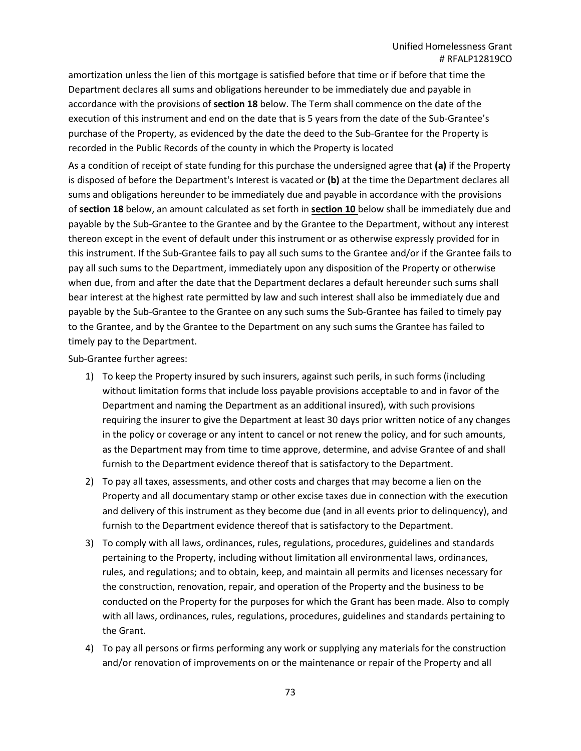amortization unless the lien of this mortgage is satisfied before that time or if before that time the Department declares all sums and obligations hereunder to be immediately due and payable in accordance with the provisions of **section 18** below. The Term shall commence on the date of the execution of this instrument and end on the date that is 5 years from the date of the Sub-Grantee's purchase of the Property, as evidenced by the date the deed to the Sub-Grantee for the Property is recorded in the Public Records of the county in which the Property is located

As a condition of receipt of state funding for this purchase the undersigned agree that **(a)** if the Property is disposed of before the Department's Interest is vacated or **(b)** at the time the Department declares all sums and obligations hereunder to be immediately due and payable in accordance with the provisions of **section 18** below, an amount calculated as set forth in **section 10** below shall be immediately due and payable by the Sub-Grantee to the Grantee and by the Grantee to the Department, without any interest thereon except in the event of default under this instrument or as otherwise expressly provided for in this instrument. If the Sub-Grantee fails to pay all such sums to the Grantee and/or if the Grantee fails to pay all such sums to the Department, immediately upon any disposition of the Property or otherwise when due, from and after the date that the Department declares a default hereunder such sums shall bear interest at the highest rate permitted by law and such interest shall also be immediately due and payable by the Sub-Grantee to the Grantee on any such sums the Sub-Grantee has failed to timely pay to the Grantee, and by the Grantee to the Department on any such sums the Grantee has failed to timely pay to the Department.

Sub-Grantee further agrees:

- 1) To keep the Property insured by such insurers, against such perils, in such forms (including without limitation forms that include loss payable provisions acceptable to and in favor of the Department and naming the Department as an additional insured), with such provisions requiring the insurer to give the Department at least 30 days prior written notice of any changes in the policy or coverage or any intent to cancel or not renew the policy, and for such amounts, as the Department may from time to time approve, determine, and advise Grantee of and shall furnish to the Department evidence thereof that is satisfactory to the Department.
- 2) To pay all taxes, assessments, and other costs and charges that may become a lien on the Property and all documentary stamp or other excise taxes due in connection with the execution and delivery of this instrument as they become due (and in all events prior to delinquency), and furnish to the Department evidence thereof that is satisfactory to the Department.
- 3) To comply with all laws, ordinances, rules, regulations, procedures, guidelines and standards pertaining to the Property, including without limitation all environmental laws, ordinances, rules, and regulations; and to obtain, keep, and maintain all permits and licenses necessary for the construction, renovation, repair, and operation of the Property and the business to be conducted on the Property for the purposes for which the Grant has been made. Also to comply with all laws, ordinances, rules, regulations, procedures, guidelines and standards pertaining to the Grant.
- 4) To pay all persons or firms performing any work or supplying any materials for the construction and/or renovation of improvements on or the maintenance or repair of the Property and all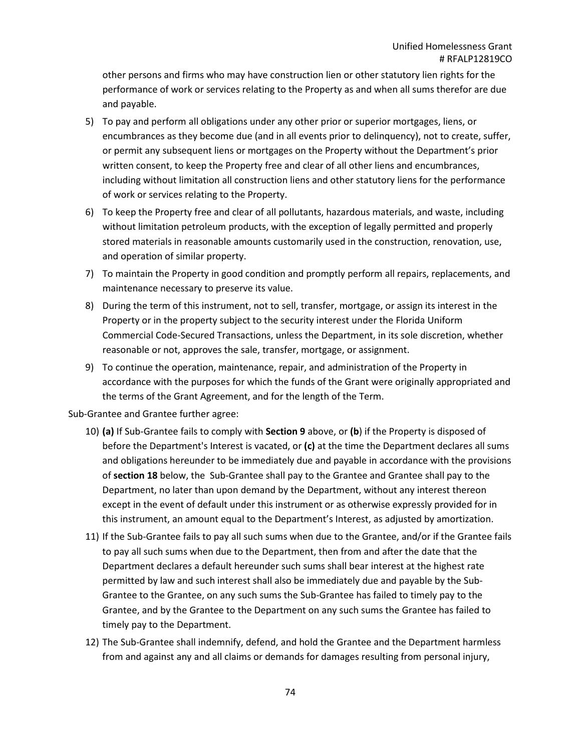other persons and firms who may have construction lien or other statutory lien rights for the performance of work or services relating to the Property as and when all sums therefor are due and payable.

- 5) To pay and perform all obligations under any other prior or superior mortgages, liens, or encumbrances as they become due (and in all events prior to delinquency), not to create, suffer, or permit any subsequent liens or mortgages on the Property without the Department's prior written consent, to keep the Property free and clear of all other liens and encumbrances, including without limitation all construction liens and other statutory liens for the performance of work or services relating to the Property.
- 6) To keep the Property free and clear of all pollutants, hazardous materials, and waste, including without limitation petroleum products, with the exception of legally permitted and properly stored materials in reasonable amounts customarily used in the construction, renovation, use, and operation of similar property.
- 7) To maintain the Property in good condition and promptly perform all repairs, replacements, and maintenance necessary to preserve its value.
- 8) During the term of this instrument, not to sell, transfer, mortgage, or assign its interest in the Property or in the property subject to the security interest under the Florida Uniform Commercial Code-Secured Transactions, unless the Department, in its sole discretion, whether reasonable or not, approves the sale, transfer, mortgage, or assignment.
- 9) To continue the operation, maintenance, repair, and administration of the Property in accordance with the purposes for which the funds of the Grant were originally appropriated and the terms of the Grant Agreement, and for the length of the Term.

## Sub-Grantee and Grantee further agree:

- 10) **(a)** If Sub-Grantee fails to comply with **Section 9** above, or **(b**) if the Property is disposed of before the Department's Interest is vacated, or **(c)** at the time the Department declares all sums and obligations hereunder to be immediately due and payable in accordance with the provisions of **section 18** below, the Sub-Grantee shall pay to the Grantee and Grantee shall pay to the Department, no later than upon demand by the Department, without any interest thereon except in the event of default under this instrument or as otherwise expressly provided for in this instrument, an amount equal to the Department's Interest, as adjusted by amortization.
- 11) If the Sub-Grantee fails to pay all such sums when due to the Grantee, and/or if the Grantee fails to pay all such sums when due to the Department, then from and after the date that the Department declares a default hereunder such sums shall bear interest at the highest rate permitted by law and such interest shall also be immediately due and payable by the Sub-Grantee to the Grantee, on any such sums the Sub-Grantee has failed to timely pay to the Grantee, and by the Grantee to the Department on any such sums the Grantee has failed to timely pay to the Department.
- 12) The Sub-Grantee shall indemnify, defend, and hold the Grantee and the Department harmless from and against any and all claims or demands for damages resulting from personal injury,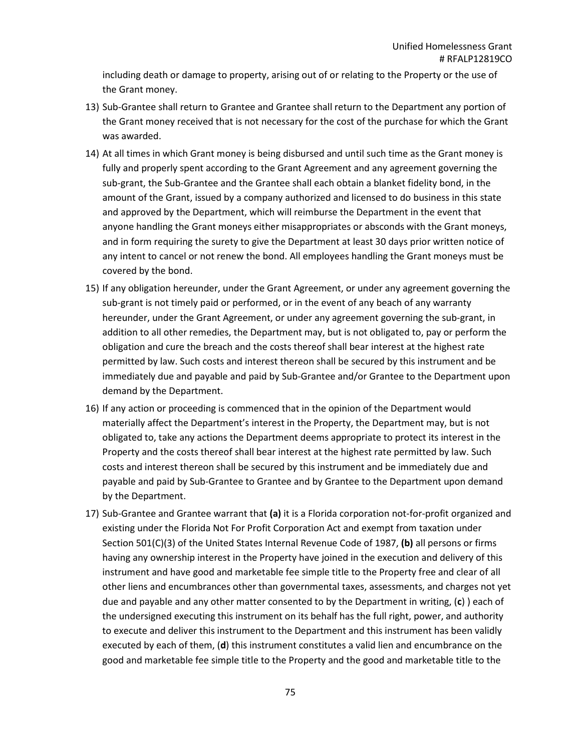including death or damage to property, arising out of or relating to the Property or the use of the Grant money.

- 13) Sub-Grantee shall return to Grantee and Grantee shall return to the Department any portion of the Grant money received that is not necessary for the cost of the purchase for which the Grant was awarded.
- 14) At all times in which Grant money is being disbursed and until such time as the Grant money is fully and properly spent according to the Grant Agreement and any agreement governing the sub-grant, the Sub-Grantee and the Grantee shall each obtain a blanket fidelity bond, in the amount of the Grant, issued by a company authorized and licensed to do business in this state and approved by the Department, which will reimburse the Department in the event that anyone handling the Grant moneys either misappropriates or absconds with the Grant moneys, and in form requiring the surety to give the Department at least 30 days prior written notice of any intent to cancel or not renew the bond. All employees handling the Grant moneys must be covered by the bond.
- 15) If any obligation hereunder, under the Grant Agreement, or under any agreement governing the sub-grant is not timely paid or performed, or in the event of any beach of any warranty hereunder, under the Grant Agreement, or under any agreement governing the sub-grant, in addition to all other remedies, the Department may, but is not obligated to, pay or perform the obligation and cure the breach and the costs thereof shall bear interest at the highest rate permitted by law. Such costs and interest thereon shall be secured by this instrument and be immediately due and payable and paid by Sub-Grantee and/or Grantee to the Department upon demand by the Department.
- 16) If any action or proceeding is commenced that in the opinion of the Department would materially affect the Department's interest in the Property, the Department may, but is not obligated to, take any actions the Department deems appropriate to protect its interest in the Property and the costs thereof shall bear interest at the highest rate permitted by law. Such costs and interest thereon shall be secured by this instrument and be immediately due and payable and paid by Sub-Grantee to Grantee and by Grantee to the Department upon demand by the Department.
- 17) Sub-Grantee and Grantee warrant that **(a)** it is a Florida corporation not-for-profit organized and existing under the Florida Not For Profit Corporation Act and exempt from taxation under Section 501(C)(3) of the United States Internal Revenue Code of 1987, **(b)** all persons or firms having any ownership interest in the Property have joined in the execution and delivery of this instrument and have good and marketable fee simple title to the Property free and clear of all other liens and encumbrances other than governmental taxes, assessments, and charges not yet due and payable and any other matter consented to by the Department in writing, (**c**) ) each of the undersigned executing this instrument on its behalf has the full right, power, and authority to execute and deliver this instrument to the Department and this instrument has been validly executed by each of them, (**d**) this instrument constitutes a valid lien and encumbrance on the good and marketable fee simple title to the Property and the good and marketable title to the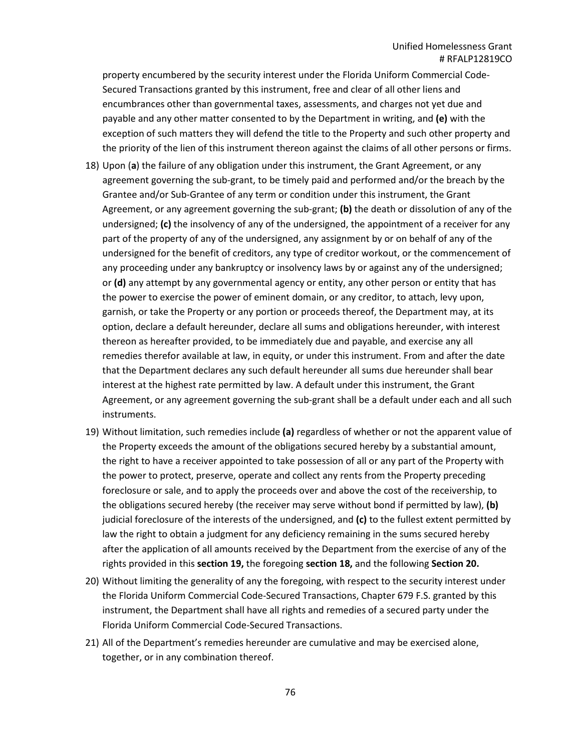property encumbered by the security interest under the Florida Uniform Commercial Code-Secured Transactions granted by this instrument, free and clear of all other liens and encumbrances other than governmental taxes, assessments, and charges not yet due and payable and any other matter consented to by the Department in writing, and **(e)** with the exception of such matters they will defend the title to the Property and such other property and the priority of the lien of this instrument thereon against the claims of all other persons or firms.

- 18) Upon (**a**) the failure of any obligation under this instrument, the Grant Agreement, or any agreement governing the sub-grant, to be timely paid and performed and/or the breach by the Grantee and/or Sub-Grantee of any term or condition under this instrument, the Grant Agreement, or any agreement governing the sub-grant; **(b)** the death or dissolution of any of the undersigned; **(c)** the insolvency of any of the undersigned, the appointment of a receiver for any part of the property of any of the undersigned, any assignment by or on behalf of any of the undersigned for the benefit of creditors, any type of creditor workout, or the commencement of any proceeding under any bankruptcy or insolvency laws by or against any of the undersigned; or **(d)** any attempt by any governmental agency or entity, any other person or entity that has the power to exercise the power of eminent domain, or any creditor, to attach, levy upon, garnish, or take the Property or any portion or proceeds thereof, the Department may, at its option, declare a default hereunder, declare all sums and obligations hereunder, with interest thereon as hereafter provided, to be immediately due and payable, and exercise any all remedies therefor available at law, in equity, or under this instrument. From and after the date that the Department declares any such default hereunder all sums due hereunder shall bear interest at the highest rate permitted by law. A default under this instrument, the Grant Agreement, or any agreement governing the sub-grant shall be a default under each and all such instruments.
- 19) Without limitation, such remedies include **(a)** regardless of whether or not the apparent value of the Property exceeds the amount of the obligations secured hereby by a substantial amount, the right to have a receiver appointed to take possession of all or any part of the Property with the power to protect, preserve, operate and collect any rents from the Property preceding foreclosure or sale, and to apply the proceeds over and above the cost of the receivership, to the obligations secured hereby (the receiver may serve without bond if permitted by law), **(b)** judicial foreclosure of the interests of the undersigned, and **(c)** to the fullest extent permitted by law the right to obtain a judgment for any deficiency remaining in the sums secured hereby after the application of all amounts received by the Department from the exercise of any of the rights provided in this **section 19,** the foregoing **section 18,** and the following **Section 20.**
- 20) Without limiting the generality of any the foregoing, with respect to the security interest under the Florida Uniform Commercial Code-Secured Transactions, Chapter 679 F.S. granted by this instrument, the Department shall have all rights and remedies of a secured party under the Florida Uniform Commercial Code-Secured Transactions.
- 21) All of the Department's remedies hereunder are cumulative and may be exercised alone, together, or in any combination thereof.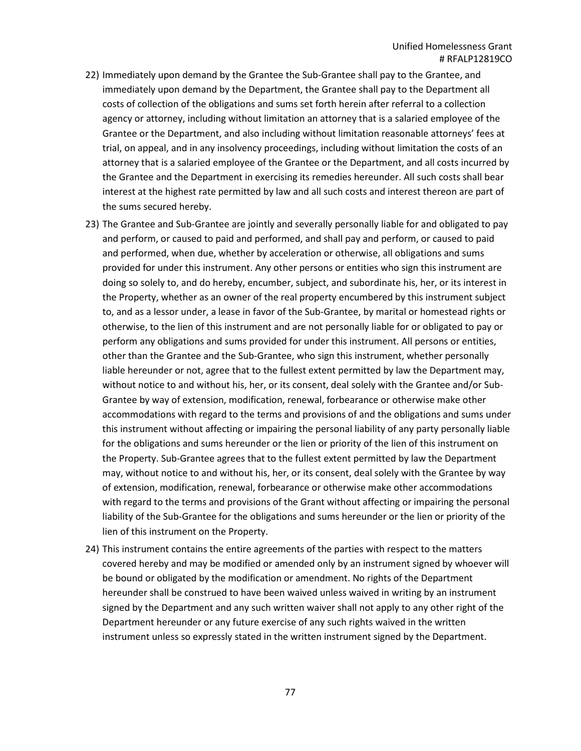- 22) Immediately upon demand by the Grantee the Sub-Grantee shall pay to the Grantee, and immediately upon demand by the Department, the Grantee shall pay to the Department all costs of collection of the obligations and sums set forth herein after referral to a collection agency or attorney, including without limitation an attorney that is a salaried employee of the Grantee or the Department, and also including without limitation reasonable attorneys' fees at trial, on appeal, and in any insolvency proceedings, including without limitation the costs of an attorney that is a salaried employee of the Grantee or the Department, and all costs incurred by the Grantee and the Department in exercising its remedies hereunder. All such costs shall bear interest at the highest rate permitted by law and all such costs and interest thereon are part of the sums secured hereby.
- 23) The Grantee and Sub-Grantee are jointly and severally personally liable for and obligated to pay and perform, or caused to paid and performed, and shall pay and perform, or caused to paid and performed, when due, whether by acceleration or otherwise, all obligations and sums provided for under this instrument. Any other persons or entities who sign this instrument are doing so solely to, and do hereby, encumber, subject, and subordinate his, her, or its interest in the Property, whether as an owner of the real property encumbered by this instrument subject to, and as a lessor under, a lease in favor of the Sub-Grantee, by marital or homestead rights or otherwise, to the lien of this instrument and are not personally liable for or obligated to pay or perform any obligations and sums provided for under this instrument. All persons or entities, other than the Grantee and the Sub-Grantee, who sign this instrument, whether personally liable hereunder or not, agree that to the fullest extent permitted by law the Department may, without notice to and without his, her, or its consent, deal solely with the Grantee and/or Sub-Grantee by way of extension, modification, renewal, forbearance or otherwise make other accommodations with regard to the terms and provisions of and the obligations and sums under this instrument without affecting or impairing the personal liability of any party personally liable for the obligations and sums hereunder or the lien or priority of the lien of this instrument on the Property. Sub-Grantee agrees that to the fullest extent permitted by law the Department may, without notice to and without his, her, or its consent, deal solely with the Grantee by way of extension, modification, renewal, forbearance or otherwise make other accommodations with regard to the terms and provisions of the Grant without affecting or impairing the personal liability of the Sub-Grantee for the obligations and sums hereunder or the lien or priority of the lien of this instrument on the Property.
- 24) This instrument contains the entire agreements of the parties with respect to the matters covered hereby and may be modified or amended only by an instrument signed by whoever will be bound or obligated by the modification or amendment. No rights of the Department hereunder shall be construed to have been waived unless waived in writing by an instrument signed by the Department and any such written waiver shall not apply to any other right of the Department hereunder or any future exercise of any such rights waived in the written instrument unless so expressly stated in the written instrument signed by the Department.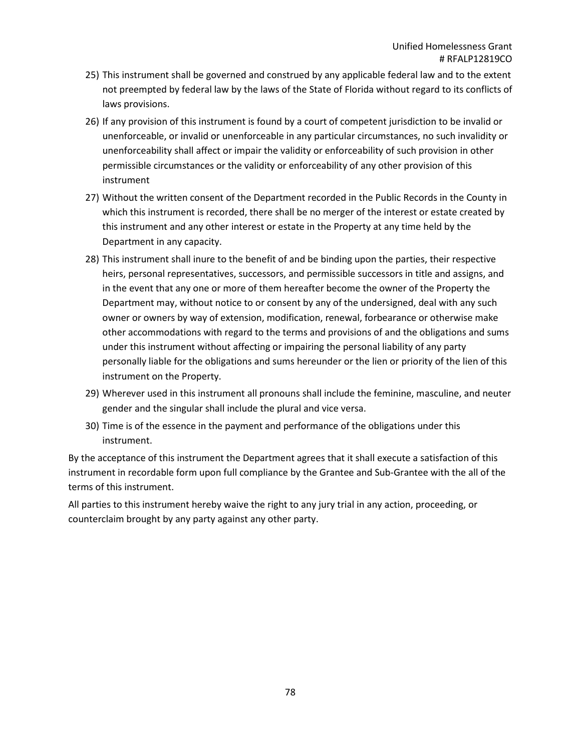- 25) This instrument shall be governed and construed by any applicable federal law and to the extent not preempted by federal law by the laws of the State of Florida without regard to its conflicts of laws provisions.
- 26) If any provision of this instrument is found by a court of competent jurisdiction to be invalid or unenforceable, or invalid or unenforceable in any particular circumstances, no such invalidity or unenforceability shall affect or impair the validity or enforceability of such provision in other permissible circumstances or the validity or enforceability of any other provision of this instrument
- 27) Without the written consent of the Department recorded in the Public Records in the County in which this instrument is recorded, there shall be no merger of the interest or estate created by this instrument and any other interest or estate in the Property at any time held by the Department in any capacity.
- 28) This instrument shall inure to the benefit of and be binding upon the parties, their respective heirs, personal representatives, successors, and permissible successors in title and assigns, and in the event that any one or more of them hereafter become the owner of the Property the Department may, without notice to or consent by any of the undersigned, deal with any such owner or owners by way of extension, modification, renewal, forbearance or otherwise make other accommodations with regard to the terms and provisions of and the obligations and sums under this instrument without affecting or impairing the personal liability of any party personally liable for the obligations and sums hereunder or the lien or priority of the lien of this instrument on the Property.
- 29) Wherever used in this instrument all pronouns shall include the feminine, masculine, and neuter gender and the singular shall include the plural and vice versa.
- 30) Time is of the essence in the payment and performance of the obligations under this instrument.

By the acceptance of this instrument the Department agrees that it shall execute a satisfaction of this instrument in recordable form upon full compliance by the Grantee and Sub-Grantee with the all of the terms of this instrument.

All parties to this instrument hereby waive the right to any jury trial in any action, proceeding, or counterclaim brought by any party against any other party.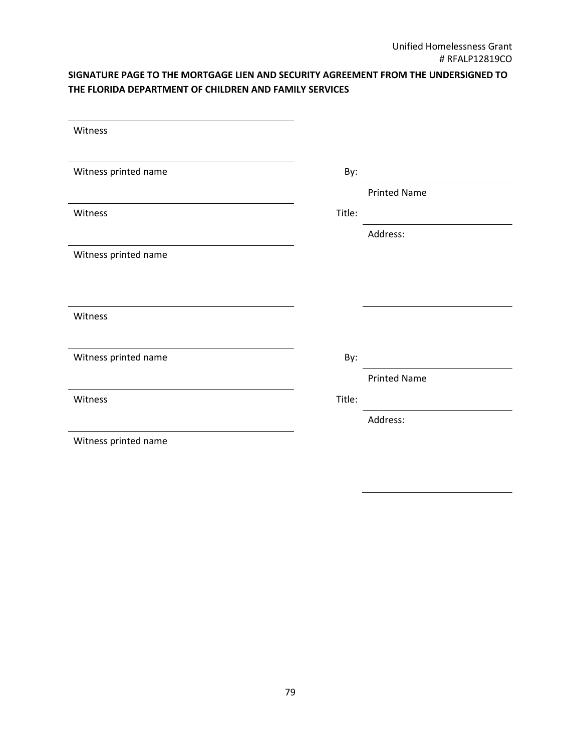## **SIGNATURE PAGE TO THE MORTGAGE LIEN AND SECURITY AGREEMENT FROM THE UNDERSIGNED TO THE FLORIDA DEPARTMENT OF CHILDREN AND FAMILY SERVICES**

| Witness              |        |                     |
|----------------------|--------|---------------------|
|                      |        |                     |
| Witness printed name | By:    |                     |
|                      |        | <b>Printed Name</b> |
| Witness              | Title: |                     |
|                      |        | Address:            |
| Witness printed name |        |                     |
|                      |        |                     |
|                      |        |                     |
| Witness              |        |                     |
|                      |        |                     |
| Witness printed name | By:    |                     |
|                      |        | <b>Printed Name</b> |
| Witness              | Title: |                     |
|                      |        | Address:            |
| Witness printed name |        |                     |